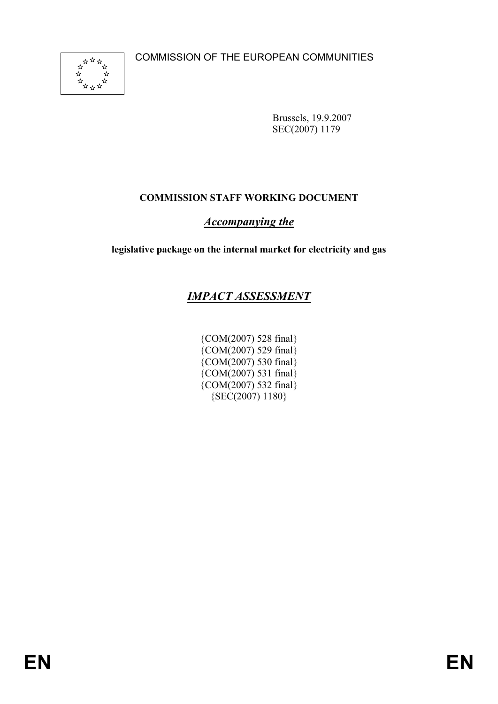

Brussels, 19.9.2007 SEC(2007) 1179

# **COMMISSION STAFF WORKING DOCUMENT**

# *Accompanying the*

**legislative package on the internal market for electricity and gas** 

# *IMPACT ASSESSMENT*

{COM(2007) 528 final} {COM(2007) 529 final} {COM(2007) 530 final} {COM(2007) 531 final}  $\{COM(2007) 532 \text{ final}\}$ {SEC(2007) 1180}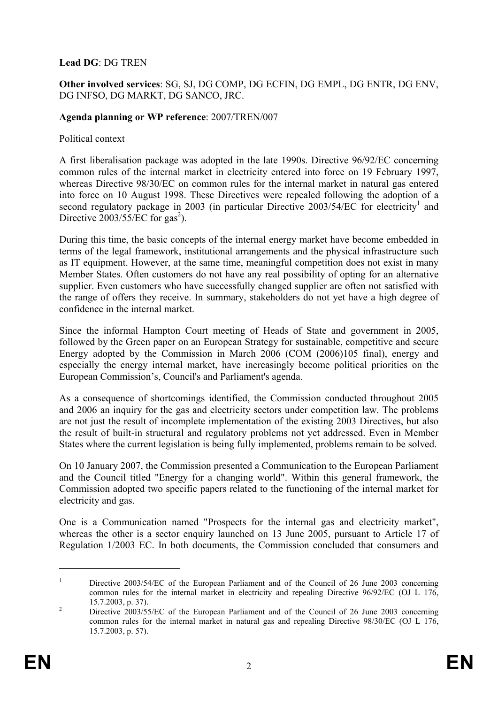#### **Lead DG**: DG TREN

#### **Other involved services**: SG, SJ, DG COMP, DG ECFIN, DG EMPL, DG ENTR, DG ENV, DG INFSO, DG MARKT, DG SANCO, JRC.

#### **Agenda planning or WP reference**: 2007/TREN/007

#### Political context

A first liberalisation package was adopted in the late 1990s. Directive 96/92/EC concerning common rules of the internal market in electricity entered into force on 19 February 1997, whereas Directive 98/30/EC on common rules for the internal market in natural gas entered into force on 10 August 1998. These Directives were repealed following the adoption of a second regulatory package in 2003 (in particular Directive  $2003/54/EC$  for electricity<sup>1</sup> and Directive  $2003/55/EC$  for gas<sup>2</sup>).

During this time, the basic concepts of the internal energy market have become embedded in terms of the legal framework, institutional arrangements and the physical infrastructure such as IT equipment. However, at the same time, meaningful competition does not exist in many Member States. Often customers do not have any real possibility of opting for an alternative supplier. Even customers who have successfully changed supplier are often not satisfied with the range of offers they receive. In summary, stakeholders do not yet have a high degree of confidence in the internal market.

Since the informal Hampton Court meeting of Heads of State and government in 2005, followed by the Green paper on an European Strategy for sustainable, competitive and secure Energy adopted by the Commission in March 2006 (COM (2006)105 final), energy and especially the energy internal market, have increasingly become political priorities on the European Commission's, Council's and Parliament's agenda.

As a consequence of shortcomings identified, the Commission conducted throughout 2005 and 2006 an inquiry for the gas and electricity sectors under competition law. The problems are not just the result of incomplete implementation of the existing 2003 Directives, but also the result of built-in structural and regulatory problems not yet addressed. Even in Member States where the current legislation is being fully implemented, problems remain to be solved.

On 10 January 2007, the Commission presented a Communication to the European Parliament and the Council titled "Energy for a changing world". Within this general framework, the Commission adopted two specific papers related to the functioning of the internal market for electricity and gas.

One is a Communication named "Prospects for the internal gas and electricity market", whereas the other is a sector enquiry launched on 13 June 2005, pursuant to Article 17 of Regulation 1/2003 EC. In both documents, the Commission concluded that consumers and

<u>.</u>

<sup>1</sup> Directive 2003/54/EC of the European Parliament and of the Council of 26 June 2003 concerning common rules for the internal market in electricity and repealing Directive 96/92/EC (OJ L 176,  $15.7.2003$ , p. 37).

Directive 2003/55/EC of the European Parliament and of the Council of 26 June 2003 concerning common rules for the internal market in natural gas and repealing Directive 98/30/EC (OJ L 176, 15.7.2003, p. 57).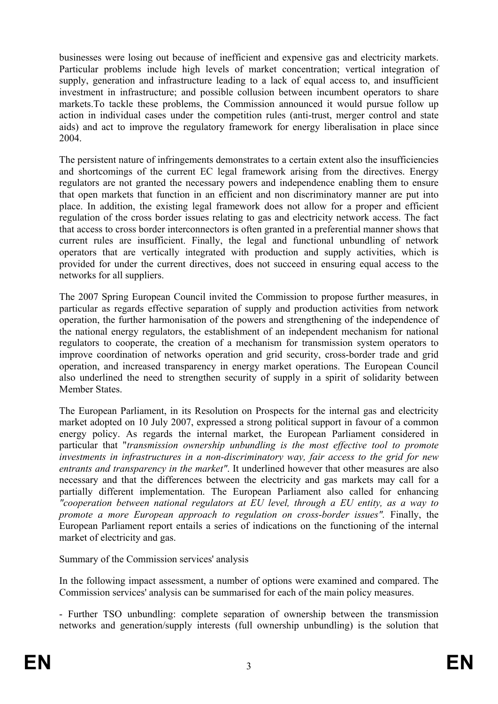businesses were losing out because of inefficient and expensive gas and electricity markets. Particular problems include high levels of market concentration; vertical integration of supply, generation and infrastructure leading to a lack of equal access to, and insufficient investment in infrastructure; and possible collusion between incumbent operators to share markets.To tackle these problems, the Commission announced it would pursue follow up action in individual cases under the competition rules (anti-trust, merger control and state aids) and act to improve the regulatory framework for energy liberalisation in place since 2004.

The persistent nature of infringements demonstrates to a certain extent also the insufficiencies and shortcomings of the current EC legal framework arising from the directives. Energy regulators are not granted the necessary powers and independence enabling them to ensure that open markets that function in an efficient and non discriminatory manner are put into place. In addition, the existing legal framework does not allow for a proper and efficient regulation of the cross border issues relating to gas and electricity network access. The fact that access to cross border interconnectors is often granted in a preferential manner shows that current rules are insufficient. Finally, the legal and functional unbundling of network operators that are vertically integrated with production and supply activities, which is provided for under the current directives, does not succeed in ensuring equal access to the networks for all suppliers.

The 2007 Spring European Council invited the Commission to propose further measures, in particular as regards effective separation of supply and production activities from network operation, the further harmonisation of the powers and strengthening of the independence of the national energy regulators, the establishment of an independent mechanism for national regulators to cooperate, the creation of a mechanism for transmission system operators to improve coordination of networks operation and grid security, cross-border trade and grid operation, and increased transparency in energy market operations. The European Council also underlined the need to strengthen security of supply in a spirit of solidarity between Member States.

The European Parliament, in its Resolution on Prospects for the internal gas and electricity market adopted on 10 July 2007, expressed a strong political support in favour of a common energy policy. As regards the internal market, the European Parliament considered in particular that "*transmission ownership unbundling is the most effective tool to promote investments in infrastructures in a non-discriminatory way, fair access to the grid for new entrants and transparency in the market"*. It underlined however that other measures are also necessary and that the differences between the electricity and gas markets may call for a partially different implementation. The European Parliament also called for enhancing *"cooperation between national regulators at EU level, through a EU entity, as a way to promote a more European approach to regulation on cross-border issues".* Finally, the European Parliament report entails a series of indications on the functioning of the internal market of electricity and gas.

Summary of the Commission services' analysis

In the following impact assessment, a number of options were examined and compared. The Commission services' analysis can be summarised for each of the main policy measures.

- Further TSO unbundling: complete separation of ownership between the transmission networks and generation/supply interests (full ownership unbundling) is the solution that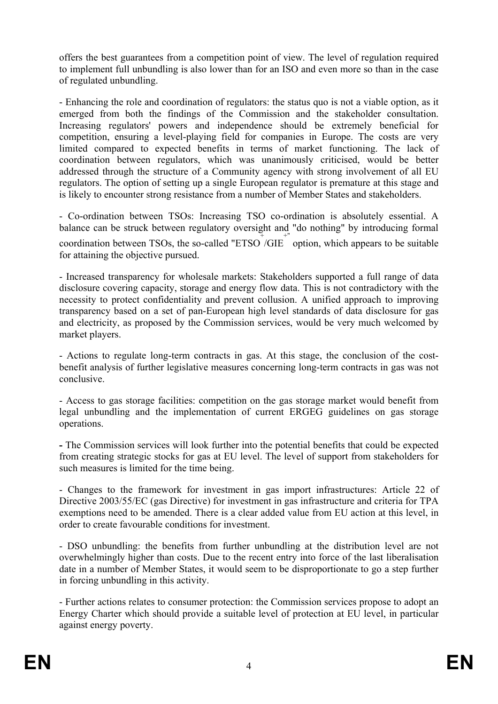offers the best guarantees from a competition point of view. The level of regulation required to implement full unbundling is also lower than for an ISO and even more so than in the case of regulated unbundling.

- Enhancing the role and coordination of regulators: the status quo is not a viable option, as it emerged from both the findings of the Commission and the stakeholder consultation. Increasing regulators' powers and independence should be extremely beneficial for competition, ensuring a level-playing field for companies in Europe. The costs are very limited compared to expected benefits in terms of market functioning. The lack of coordination between regulators, which was unanimously criticised, would be better addressed through the structure of a Community agency with strong involvement of all EU regulators. The option of setting up a single European regulator is premature at this stage and is likely to encounter strong resistance from a number of Member States and stakeholders.

- Co-ordination between TSOs: Increasing TSO co-ordination is absolutely essential. A balance can be struck between regulatory oversight and "do nothing" by introducing formal coordination between TSOs, the so-called "ETSO  $/GE^+$ " option, which appears to be suitable for attaining the objective pursued.

- Increased transparency for wholesale markets: Stakeholders supported a full range of data disclosure covering capacity, storage and energy flow data. This is not contradictory with the necessity to protect confidentiality and prevent collusion. A unified approach to improving transparency based on a set of pan-European high level standards of data disclosure for gas and electricity, as proposed by the Commission services, would be very much welcomed by market players.

- Actions to regulate long-term contracts in gas. At this stage, the conclusion of the costbenefit analysis of further legislative measures concerning long-term contracts in gas was not conclusive.

- Access to gas storage facilities: competition on the gas storage market would benefit from legal unbundling and the implementation of current ERGEG guidelines on gas storage operations.

**-** The Commission services will look further into the potential benefits that could be expected from creating strategic stocks for gas at EU level. The level of support from stakeholders for such measures is limited for the time being.

- Changes to the framework for investment in gas import infrastructures: Article 22 of Directive 2003/55/EC (gas Directive) for investment in gas infrastructure and criteria for TPA exemptions need to be amended. There is a clear added value from EU action at this level, in order to create favourable conditions for investment.

- DSO unbundling: the benefits from further unbundling at the distribution level are not overwhelmingly higher than costs. Due to the recent entry into force of the last liberalisation date in a number of Member States, it would seem to be disproportionate to go a step further in forcing unbundling in this activity.

- Further actions relates to consumer protection: the Commission services propose to adopt an Energy Charter which should provide a suitable level of protection at EU level, in particular against energy poverty.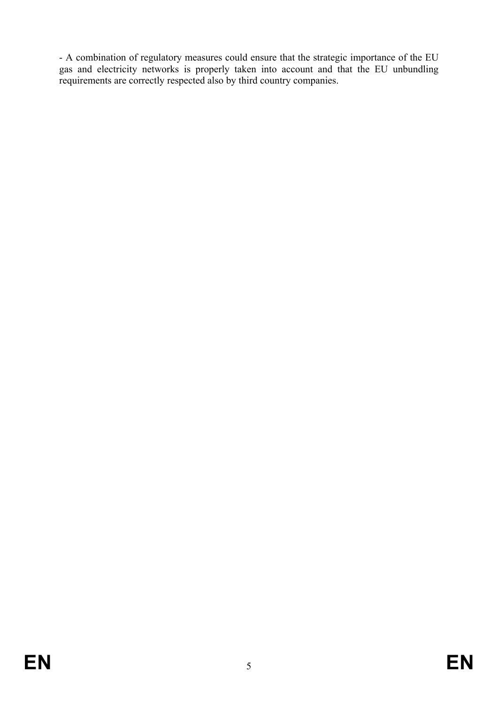- A combination of regulatory measures could ensure that the strategic importance of the EU gas and electricity networks is properly taken into account and that the EU unbundling requirements are correctly respected also by third country companies.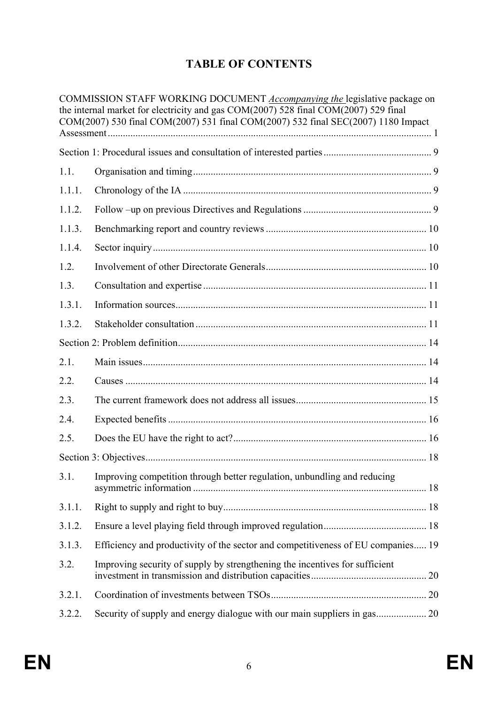# **TABLE OF CONTENTS**

|        | COMMISSION STAFF WORKING DOCUMENT Accompanying the legislative package on<br>the internal market for electricity and gas COM(2007) 528 final COM(2007) 529 final<br>COM(2007) 530 final COM(2007) 531 final COM(2007) 532 final SEC(2007) 1180 Impact |  |
|--------|-------------------------------------------------------------------------------------------------------------------------------------------------------------------------------------------------------------------------------------------------------|--|
|        |                                                                                                                                                                                                                                                       |  |
| 1.1.   |                                                                                                                                                                                                                                                       |  |
|        |                                                                                                                                                                                                                                                       |  |
| 1.1.1. |                                                                                                                                                                                                                                                       |  |
| 1.1.2. |                                                                                                                                                                                                                                                       |  |
| 1.1.3. |                                                                                                                                                                                                                                                       |  |
| 1.1.4. |                                                                                                                                                                                                                                                       |  |
| 1.2.   |                                                                                                                                                                                                                                                       |  |
| 1.3.   |                                                                                                                                                                                                                                                       |  |
| 1.3.1. |                                                                                                                                                                                                                                                       |  |
| 1.3.2. |                                                                                                                                                                                                                                                       |  |
|        |                                                                                                                                                                                                                                                       |  |
| 2.1.   |                                                                                                                                                                                                                                                       |  |
| 2.2.   |                                                                                                                                                                                                                                                       |  |
| 2.3.   |                                                                                                                                                                                                                                                       |  |
| 2.4.   |                                                                                                                                                                                                                                                       |  |
| 2.5.   |                                                                                                                                                                                                                                                       |  |
|        |                                                                                                                                                                                                                                                       |  |
| 3.1.   | Improving competition through better regulation, unbundling and reducing                                                                                                                                                                              |  |
| 3.1.1. |                                                                                                                                                                                                                                                       |  |
| 3.1.2. |                                                                                                                                                                                                                                                       |  |
| 3.1.3. | Efficiency and productivity of the sector and competitiveness of EU companies 19                                                                                                                                                                      |  |
| 3.2.   | Improving security of supply by strengthening the incentives for sufficient                                                                                                                                                                           |  |
| 3.2.1. |                                                                                                                                                                                                                                                       |  |
| 3.2.2. | Security of supply and energy dialogue with our main suppliers in gas 20                                                                                                                                                                              |  |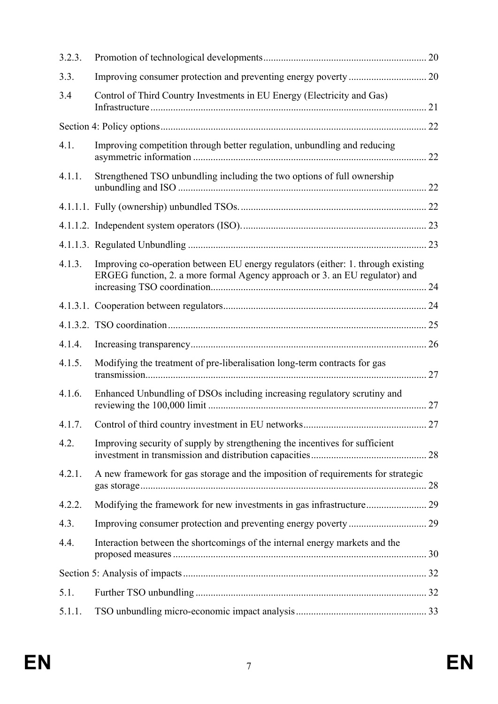| 3.2.3. |                                                                                                                                                                 |    |
|--------|-----------------------------------------------------------------------------------------------------------------------------------------------------------------|----|
| 3.3.   |                                                                                                                                                                 |    |
| 3.4    | Control of Third Country Investments in EU Energy (Electricity and Gas)                                                                                         |    |
|        |                                                                                                                                                                 |    |
| 4.1.   | Improving competition through better regulation, unbundling and reducing                                                                                        |    |
| 4.1.1. | Strengthened TSO unbundling including the two options of full ownership                                                                                         |    |
|        |                                                                                                                                                                 |    |
|        |                                                                                                                                                                 |    |
|        |                                                                                                                                                                 |    |
| 4.1.3. | Improving co-operation between EU energy regulators (either: 1. through existing<br>ERGEG function, 2. a more formal Agency approach or 3. an EU regulator) and |    |
|        |                                                                                                                                                                 |    |
|        |                                                                                                                                                                 |    |
| 4.1.4. |                                                                                                                                                                 |    |
| 4.1.5. | Modifying the treatment of pre-liberalisation long-term contracts for gas                                                                                       | 27 |
| 4.1.6. | Enhanced Unbundling of DSOs including increasing regulatory scrutiny and                                                                                        | 27 |
| 4.1.7. |                                                                                                                                                                 |    |
| 4.2.   | Improving security of supply by strengthening the incentives for sufficient                                                                                     |    |
| 4.2.1. | A new framework for gas storage and the imposition of requirements for strategic                                                                                |    |
| 4.2.2. |                                                                                                                                                                 |    |
| 4.3.   |                                                                                                                                                                 |    |
| 4.4.   | Interaction between the shortcomings of the internal energy markets and the                                                                                     |    |
|        |                                                                                                                                                                 |    |
| 5.1.   |                                                                                                                                                                 |    |
| 5.1.1. |                                                                                                                                                                 |    |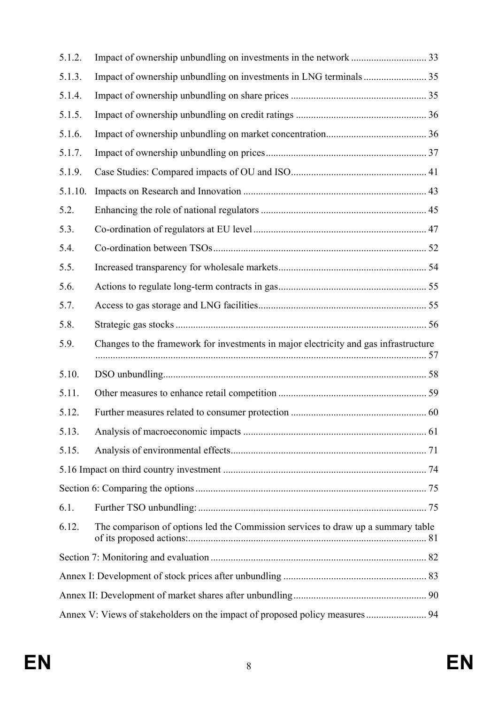| 5.1.2.  |                                                                                      |  |  |
|---------|--------------------------------------------------------------------------------------|--|--|
| 5.1.3.  |                                                                                      |  |  |
| 5.1.4.  |                                                                                      |  |  |
| 5.1.5.  |                                                                                      |  |  |
| 5.1.6.  |                                                                                      |  |  |
| 5.1.7.  |                                                                                      |  |  |
| 5.1.9.  |                                                                                      |  |  |
| 5.1.10. |                                                                                      |  |  |
| 5.2.    |                                                                                      |  |  |
| 5.3.    |                                                                                      |  |  |
| 5.4.    |                                                                                      |  |  |
| 5.5.    |                                                                                      |  |  |
| 5.6.    |                                                                                      |  |  |
| 5.7.    |                                                                                      |  |  |
| 5.8.    |                                                                                      |  |  |
| 5.9.    | Changes to the framework for investments in major electricity and gas infrastructure |  |  |
| 5.10.   |                                                                                      |  |  |
| 5.11.   |                                                                                      |  |  |
| 5.12.   |                                                                                      |  |  |
| 5.13.   |                                                                                      |  |  |
| 5.15.   |                                                                                      |  |  |
|         |                                                                                      |  |  |
|         |                                                                                      |  |  |
| 6.1.    |                                                                                      |  |  |
| 6.12.   | The comparison of options led the Commission services to draw up a summary table     |  |  |
|         |                                                                                      |  |  |
|         |                                                                                      |  |  |
|         |                                                                                      |  |  |
|         | Annex V: Views of stakeholders on the impact of proposed policy measures  94         |  |  |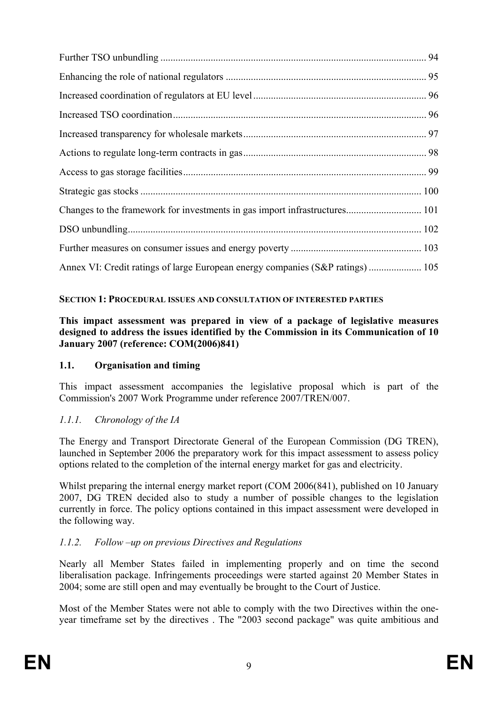| Annex VI: Credit ratings of large European energy companies (S&P ratings)  105 |  |
|--------------------------------------------------------------------------------|--|

### **SECTION 1: PROCEDURAL ISSUES AND CONSULTATION OF INTERESTED PARTIES**

#### **This impact assessment was prepared in view of a package of legislative measures designed to address the issues identified by the Commission in its Communication of 10 January 2007 (reference: COM(2006)841)**

#### **1.1. Organisation and timing**

This impact assessment accompanies the legislative proposal which is part of the Commission's 2007 Work Programme under reference 2007/TREN/007.

## *1.1.1. Chronology of the IA*

The Energy and Transport Directorate General of the European Commission (DG TREN), launched in September 2006 the preparatory work for this impact assessment to assess policy options related to the completion of the internal energy market for gas and electricity.

Whilst preparing the internal energy market report (COM 2006(841), published on 10 January 2007, DG TREN decided also to study a number of possible changes to the legislation currently in force. The policy options contained in this impact assessment were developed in the following way.

#### *1.1.2. Follow –up on previous Directives and Regulations*

Nearly all Member States failed in implementing properly and on time the second liberalisation package. Infringements proceedings were started against 20 Member States in 2004; some are still open and may eventually be brought to the Court of Justice.

Most of the Member States were not able to comply with the two Directives within the oneyear timeframe set by the directives . The "2003 second package" was quite ambitious and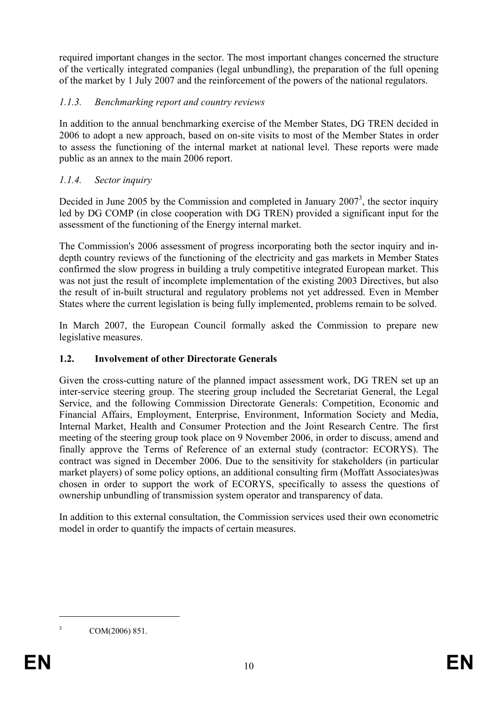required important changes in the sector. The most important changes concerned the structure of the vertically integrated companies (legal unbundling), the preparation of the full opening of the market by 1 July 2007 and the reinforcement of the powers of the national regulators.

## *1.1.3. Benchmarking report and country reviews*

In addition to the annual benchmarking exercise of the Member States, DG TREN decided in 2006 to adopt a new approach, based on on-site visits to most of the Member States in order to assess the functioning of the internal market at national level. These reports were made public as an annex to the main 2006 report.

### *1.1.4. Sector inquiry*

Decided in June 2005 by the Commission and completed in January  $2007<sup>3</sup>$ , the sector inquiry led by DG COMP (in close cooperation with DG TREN) provided a significant input for the assessment of the functioning of the Energy internal market.

The Commission's 2006 assessment of progress incorporating both the sector inquiry and indepth country reviews of the functioning of the electricity and gas markets in Member States confirmed the slow progress in building a truly competitive integrated European market. This was not just the result of incomplete implementation of the existing 2003 Directives, but also the result of in-built structural and regulatory problems not yet addressed. Even in Member States where the current legislation is being fully implemented, problems remain to be solved.

In March 2007, the European Council formally asked the Commission to prepare new legislative measures.

#### **1.2. Involvement of other Directorate Generals**

Given the cross-cutting nature of the planned impact assessment work, DG TREN set up an inter-service steering group. The steering group included the Secretariat General, the Legal Service, and the following Commission Directorate Generals: Competition, Economic and Financial Affairs, Employment, Enterprise, Environment, Information Society and Media, Internal Market, Health and Consumer Protection and the Joint Research Centre. The first meeting of the steering group took place on 9 November 2006, in order to discuss, amend and finally approve the Terms of Reference of an external study (contractor: ECORYS). The contract was signed in December 2006. Due to the sensitivity for stakeholders (in particular market players) of some policy options, an additional consulting firm (Moffatt Associates)was chosen in order to support the work of ECORYS, specifically to assess the questions of ownership unbundling of transmission system operator and transparency of data.

In addition to this external consultation, the Commission services used their own econometric model in order to quantify the impacts of certain measures.

1

 $3$  COM(2006) 851.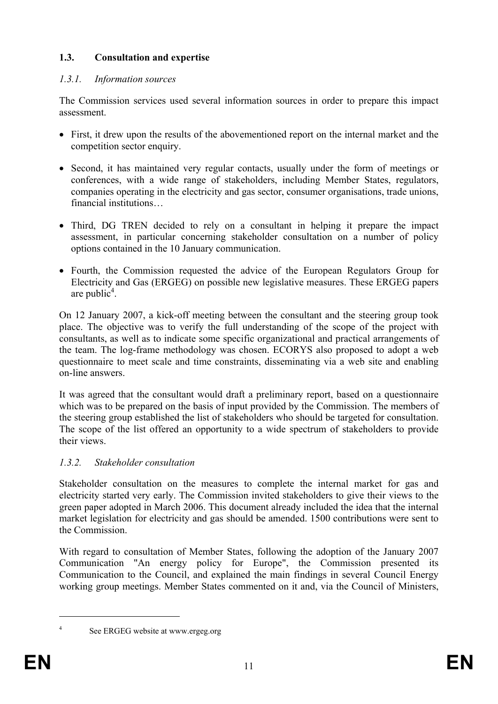## **1.3. Consultation and expertise**

## *1.3.1. Information sources*

The Commission services used several information sources in order to prepare this impact assessment.

- First, it drew upon the results of the abovementioned report on the internal market and the competition sector enquiry.
- Second, it has maintained very regular contacts, usually under the form of meetings or conferences, with a wide range of stakeholders, including Member States, regulators, companies operating in the electricity and gas sector, consumer organisations, trade unions, financial institutions…
- Third, DG TREN decided to rely on a consultant in helping it prepare the impact assessment, in particular concerning stakeholder consultation on a number of policy options contained in the 10 January communication.
- Fourth, the Commission requested the advice of the European Regulators Group for Electricity and Gas (ERGEG) on possible new legislative measures. These ERGEG papers are public<sup>4</sup>.

On 12 January 2007, a kick-off meeting between the consultant and the steering group took place. The objective was to verify the full understanding of the scope of the project with consultants, as well as to indicate some specific organizational and practical arrangements of the team. The log-frame methodology was chosen. ECORYS also proposed to adopt a web questionnaire to meet scale and time constraints, disseminating via a web site and enabling on-line answers.

It was agreed that the consultant would draft a preliminary report, based on a questionnaire which was to be prepared on the basis of input provided by the Commission. The members of the steering group established the list of stakeholders who should be targeted for consultation. The scope of the list offered an opportunity to a wide spectrum of stakeholders to provide their views.

## *1.3.2. Stakeholder consultation*

Stakeholder consultation on the measures to complete the internal market for gas and electricity started very early. The Commission invited stakeholders to give their views to the green paper adopted in March 2006. This document already included the idea that the internal market legislation for electricity and gas should be amended. 1500 contributions were sent to the Commission.

With regard to consultation of Member States, following the adoption of the January 2007 Communication "An energy policy for Europe", the Commission presented its Communication to the Council, and explained the main findings in several Council Energy working group meetings. Member States commented on it and, via the Council of Ministers,

4

1

See ERGEG website at www.ergeg.org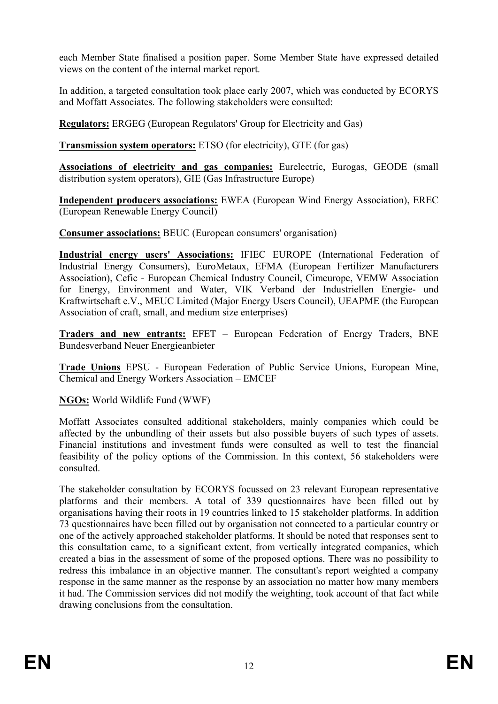each Member State finalised a position paper. Some Member State have expressed detailed views on the content of the internal market report.

In addition, a targeted consultation took place early 2007, which was conducted by ECORYS and Moffatt Associates. The following stakeholders were consulted:

**Regulators:** ERGEG (European Regulators' Group for Electricity and Gas)

**Transmission system operators:** ETSO (for electricity), GTE (for gas)

**Associations of electricity and gas companies:** Eurelectric, Eurogas, GEODE (small distribution system operators), GIE (Gas Infrastructure Europe)

**Independent producers associations:** EWEA (European Wind Energy Association), EREC (European Renewable Energy Council)

**Consumer associations:** BEUC (European consumers' organisation)

**Industrial energy users' Associations:** IFIEC EUROPE (International Federation of Industrial Energy Consumers), EuroMetaux, EFMA (European Fertilizer Manufacturers Association), Cefic - European Chemical Industry Council, Cimeurope, VEMW Association for Energy, Environment and Water, VIK Verband der Industriellen Energie- und Kraftwirtschaft e.V., MEUC Limited (Major Energy Users Council), UEAPME (the European Association of craft, small, and medium size enterprises)

**Traders and new entrants:** EFET – European Federation of Energy Traders, BNE Bundesverband Neuer Energieanbieter

**Trade Unions** EPSU - European Federation of Public Service Unions, European Mine, Chemical and Energy Workers Association – EMCEF

**NGOs:** World Wildlife Fund (WWF)

Moffatt Associates consulted additional stakeholders, mainly companies which could be affected by the unbundling of their assets but also possible buyers of such types of assets. Financial institutions and investment funds were consulted as well to test the financial feasibility of the policy options of the Commission. In this context, 56 stakeholders were consulted.

The stakeholder consultation by ECORYS focussed on 23 relevant European representative platforms and their members. A total of 339 questionnaires have been filled out by organisations having their roots in 19 countries linked to 15 stakeholder platforms. In addition 73 questionnaires have been filled out by organisation not connected to a particular country or one of the actively approached stakeholder platforms. It should be noted that responses sent to this consultation came, to a significant extent, from vertically integrated companies, which created a bias in the assessment of some of the proposed options. There was no possibility to redress this imbalance in an objective manner. The consultant's report weighted a company response in the same manner as the response by an association no matter how many members it had. The Commission services did not modify the weighting, took account of that fact while drawing conclusions from the consultation.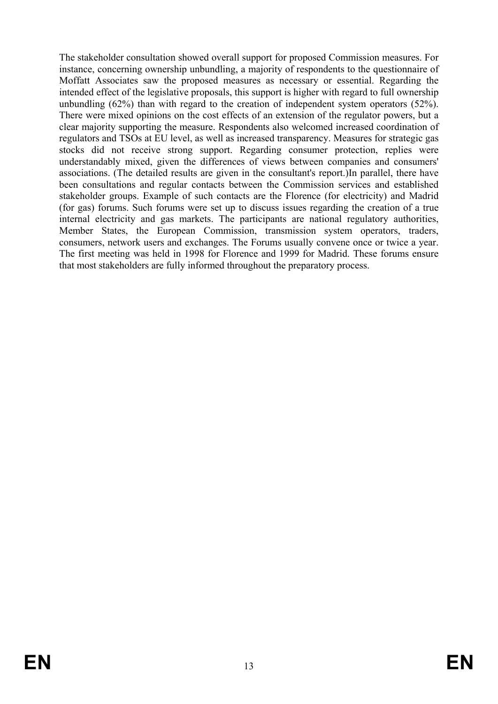The stakeholder consultation showed overall support for proposed Commission measures. For instance, concerning ownership unbundling, a majority of respondents to the questionnaire of Moffatt Associates saw the proposed measures as necessary or essential. Regarding the intended effect of the legislative proposals, this support is higher with regard to full ownership unbundling (62%) than with regard to the creation of independent system operators (52%). There were mixed opinions on the cost effects of an extension of the regulator powers, but a clear majority supporting the measure. Respondents also welcomed increased coordination of regulators and TSOs at EU level, as well as increased transparency. Measures for strategic gas stocks did not receive strong support. Regarding consumer protection, replies were understandably mixed, given the differences of views between companies and consumers' associations. (The detailed results are given in the consultant's report.)In parallel, there have been consultations and regular contacts between the Commission services and established stakeholder groups. Example of such contacts are the Florence (for electricity) and Madrid (for gas) forums. Such forums were set up to discuss issues regarding the creation of a true internal electricity and gas markets. The participants are national regulatory authorities, Member States, the European Commission, transmission system operators, traders, consumers, network users and exchanges. The Forums usually convene once or twice a year. The first meeting was held in 1998 for Florence and 1999 for Madrid. These forums ensure that most stakeholders are fully informed throughout the preparatory process.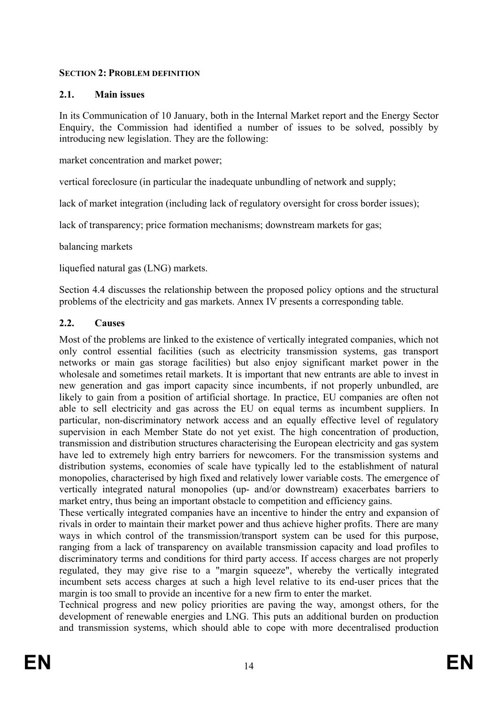#### **SECTION 2: PROBLEM DEFINITION**

## **2.1. Main issues**

In its Communication of 10 January, both in the Internal Market report and the Energy Sector Enquiry, the Commission had identified a number of issues to be solved, possibly by introducing new legislation. They are the following:

market concentration and market power;

vertical foreclosure (in particular the inadequate unbundling of network and supply;

lack of market integration (including lack of regulatory oversight for cross border issues);

lack of transparency; price formation mechanisms; downstream markets for gas;

balancing markets

liquefied natural gas (LNG) markets.

Section 4.4 discusses the relationship between the proposed policy options and the structural problems of the electricity and gas markets. Annex IV presents a corresponding table.

### **2.2. Causes**

Most of the problems are linked to the existence of vertically integrated companies, which not only control essential facilities (such as electricity transmission systems, gas transport networks or main gas storage facilities) but also enjoy significant market power in the wholesale and sometimes retail markets. It is important that new entrants are able to invest in new generation and gas import capacity since incumbents, if not properly unbundled, are likely to gain from a position of artificial shortage. In practice, EU companies are often not able to sell electricity and gas across the EU on equal terms as incumbent suppliers. In particular, non-discriminatory network access and an equally effective level of regulatory supervision in each Member State do not yet exist. The high concentration of production, transmission and distribution structures characterising the European electricity and gas system have led to extremely high entry barriers for newcomers. For the transmission systems and distribution systems, economies of scale have typically led to the establishment of natural monopolies, characterised by high fixed and relatively lower variable costs. The emergence of vertically integrated natural monopolies (up- and/or downstream) exacerbates barriers to market entry, thus being an important obstacle to competition and efficiency gains.

These vertically integrated companies have an incentive to hinder the entry and expansion of rivals in order to maintain their market power and thus achieve higher profits. There are many ways in which control of the transmission/transport system can be used for this purpose, ranging from a lack of transparency on available transmission capacity and load profiles to discriminatory terms and conditions for third party access. If access charges are not properly regulated, they may give rise to a "margin squeeze", whereby the vertically integrated incumbent sets access charges at such a high level relative to its end-user prices that the margin is too small to provide an incentive for a new firm to enter the market.

Technical progress and new policy priorities are paving the way, amongst others, for the development of renewable energies and LNG. This puts an additional burden on production and transmission systems, which should able to cope with more decentralised production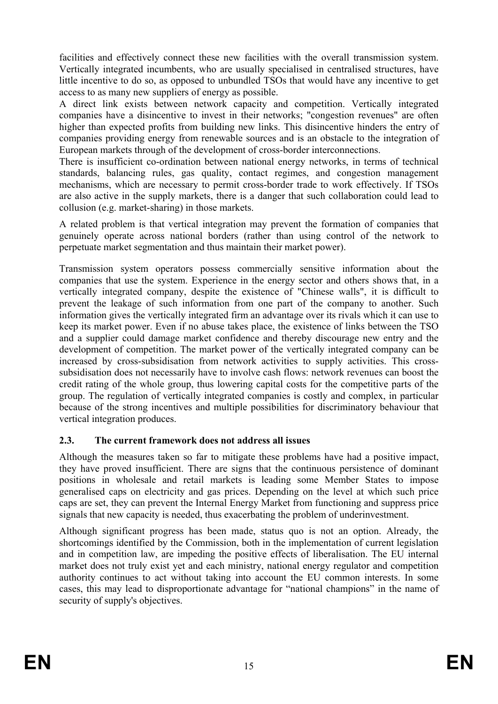facilities and effectively connect these new facilities with the overall transmission system. Vertically integrated incumbents, who are usually specialised in centralised structures, have little incentive to do so, as opposed to unbundled TSOs that would have any incentive to get access to as many new suppliers of energy as possible.

A direct link exists between network capacity and competition. Vertically integrated companies have a disincentive to invest in their networks; "congestion revenues" are often higher than expected profits from building new links. This disincentive hinders the entry of companies providing energy from renewable sources and is an obstacle to the integration of European markets through of the development of cross-border interconnections.

There is insufficient co-ordination between national energy networks, in terms of technical standards, balancing rules, gas quality, contact regimes, and congestion management mechanisms, which are necessary to permit cross-border trade to work effectively. If TSOs are also active in the supply markets, there is a danger that such collaboration could lead to collusion (e.g. market-sharing) in those markets.

A related problem is that vertical integration may prevent the formation of companies that genuinely operate across national borders (rather than using control of the network to perpetuate market segmentation and thus maintain their market power).

Transmission system operators possess commercially sensitive information about the companies that use the system. Experience in the energy sector and others shows that, in a vertically integrated company, despite the existence of "Chinese walls", it is difficult to prevent the leakage of such information from one part of the company to another. Such information gives the vertically integrated firm an advantage over its rivals which it can use to keep its market power. Even if no abuse takes place, the existence of links between the TSO and a supplier could damage market confidence and thereby discourage new entry and the development of competition. The market power of the vertically integrated company can be increased by cross-subsidisation from network activities to supply activities. This crosssubsidisation does not necessarily have to involve cash flows: network revenues can boost the credit rating of the whole group, thus lowering capital costs for the competitive parts of the group. The regulation of vertically integrated companies is costly and complex, in particular because of the strong incentives and multiple possibilities for discriminatory behaviour that vertical integration produces.

#### **2.3. The current framework does not address all issues**

Although the measures taken so far to mitigate these problems have had a positive impact, they have proved insufficient. There are signs that the continuous persistence of dominant positions in wholesale and retail markets is leading some Member States to impose generalised caps on electricity and gas prices. Depending on the level at which such price caps are set, they can prevent the Internal Energy Market from functioning and suppress price signals that new capacity is needed, thus exacerbating the problem of underinvestment.

Although significant progress has been made, status quo is not an option. Already, the shortcomings identified by the Commission, both in the implementation of current legislation and in competition law, are impeding the positive effects of liberalisation. The EU internal market does not truly exist yet and each ministry, national energy regulator and competition authority continues to act without taking into account the EU common interests. In some cases, this may lead to disproportionate advantage for "national champions" in the name of security of supply's objectives.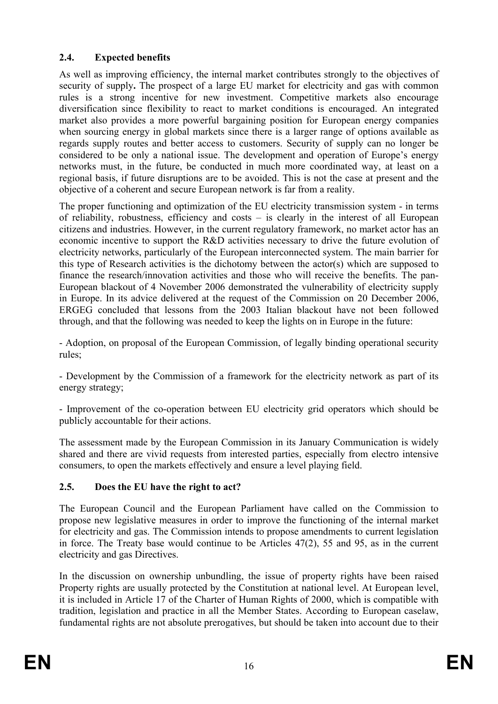## **2.4. Expected benefits**

As well as improving efficiency, the internal market contributes strongly to the objectives of security of supply**.** The prospect of a large EU market for electricity and gas with common rules is a strong incentive for new investment. Competitive markets also encourage diversification since flexibility to react to market conditions is encouraged. An integrated market also provides a more powerful bargaining position for European energy companies when sourcing energy in global markets since there is a larger range of options available as regards supply routes and better access to customers. Security of supply can no longer be considered to be only a national issue. The development and operation of Europe's energy networks must, in the future, be conducted in much more coordinated way, at least on a regional basis, if future disruptions are to be avoided. This is not the case at present and the objective of a coherent and secure European network is far from a reality.

The proper functioning and optimization of the EU electricity transmission system - in terms of reliability, robustness, efficiency and costs – is clearly in the interest of all European citizens and industries. However, in the current regulatory framework, no market actor has an economic incentive to support the R&D activities necessary to drive the future evolution of electricity networks, particularly of the European interconnected system. The main barrier for this type of Research activities is the dichotomy between the actor(s) which are supposed to finance the research/innovation activities and those who will receive the benefits. The pan-European blackout of 4 November 2006 demonstrated the vulnerability of electricity supply in Europe. In its advice delivered at the request of the Commission on 20 December 2006, ERGEG concluded that lessons from the 2003 Italian blackout have not been followed through, and that the following was needed to keep the lights on in Europe in the future:

- Adoption, on proposal of the European Commission, of legally binding operational security rules;

- Development by the Commission of a framework for the electricity network as part of its energy strategy;

- Improvement of the co-operation between EU electricity grid operators which should be publicly accountable for their actions.

The assessment made by the European Commission in its January Communication is widely shared and there are vivid requests from interested parties, especially from electro intensive consumers, to open the markets effectively and ensure a level playing field.

## **2.5. Does the EU have the right to act?**

The European Council and the European Parliament have called on the Commission to propose new legislative measures in order to improve the functioning of the internal market for electricity and gas. The Commission intends to propose amendments to current legislation in force. The Treaty base would continue to be Articles 47(2), 55 and 95, as in the current electricity and gas Directives.

In the discussion on ownership unbundling, the issue of property rights have been raised Property rights are usually protected by the Constitution at national level. At European level, it is included in Article 17 of the Charter of Human Rights of 2000, which is compatible with tradition, legislation and practice in all the Member States. According to European caselaw, fundamental rights are not absolute prerogatives, but should be taken into account due to their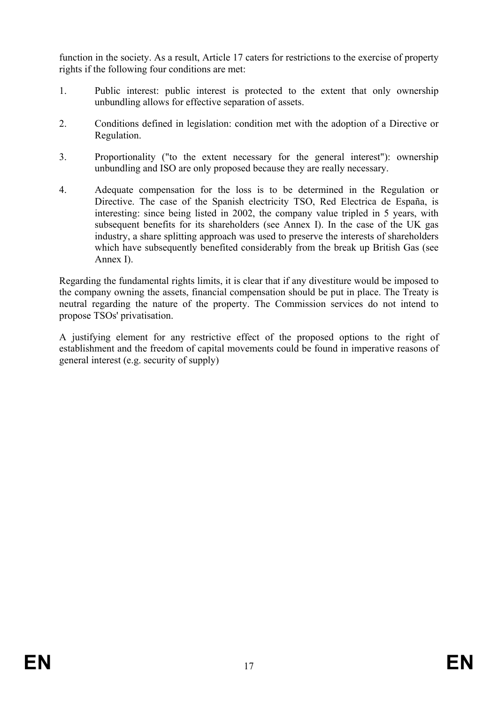function in the society. As a result, Article 17 caters for restrictions to the exercise of property rights if the following four conditions are met:

- 1. Public interest: public interest is protected to the extent that only ownership unbundling allows for effective separation of assets.
- 2. Conditions defined in legislation: condition met with the adoption of a Directive or Regulation.
- 3. Proportionality ("to the extent necessary for the general interest"): ownership unbundling and ISO are only proposed because they are really necessary.
- 4. Adequate compensation for the loss is to be determined in the Regulation or Directive. The case of the Spanish electricity TSO, Red Electrica de España, is interesting: since being listed in 2002, the company value tripled in 5 years, with subsequent benefits for its shareholders (see Annex I). In the case of the UK gas industry, a share splitting approach was used to preserve the interests of shareholders which have subsequently benefited considerably from the break up British Gas (see Annex I).

Regarding the fundamental rights limits, it is clear that if any divestiture would be imposed to the company owning the assets, financial compensation should be put in place. The Treaty is neutral regarding the nature of the property. The Commission services do not intend to propose TSOs' privatisation.

A justifying element for any restrictive effect of the proposed options to the right of establishment and the freedom of capital movements could be found in imperative reasons of general interest (e.g. security of supply)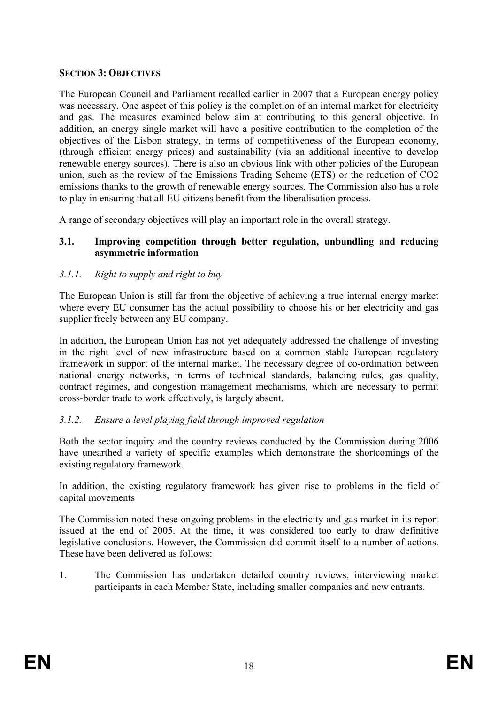#### **SECTION 3: OBJECTIVES**

The European Council and Parliament recalled earlier in 2007 that a European energy policy was necessary. One aspect of this policy is the completion of an internal market for electricity and gas. The measures examined below aim at contributing to this general objective. In addition, an energy single market will have a positive contribution to the completion of the objectives of the Lisbon strategy, in terms of competitiveness of the European economy, (through efficient energy prices) and sustainability (via an additional incentive to develop renewable energy sources). There is also an obvious link with other policies of the European union, such as the review of the Emissions Trading Scheme (ETS) or the reduction of CO2 emissions thanks to the growth of renewable energy sources. The Commission also has a role to play in ensuring that all EU citizens benefit from the liberalisation process.

A range of secondary objectives will play an important role in the overall strategy.

### **3.1. Improving competition through better regulation, unbundling and reducing asymmetric information**

## *3.1.1. Right to supply and right to buy*

The European Union is still far from the objective of achieving a true internal energy market where every EU consumer has the actual possibility to choose his or her electricity and gas supplier freely between any EU company.

In addition, the European Union has not yet adequately addressed the challenge of investing in the right level of new infrastructure based on a common stable European regulatory framework in support of the internal market. The necessary degree of co-ordination between national energy networks, in terms of technical standards, balancing rules, gas quality, contract regimes, and congestion management mechanisms, which are necessary to permit cross-border trade to work effectively, is largely absent.

## *3.1.2. Ensure a level playing field through improved regulation*

Both the sector inquiry and the country reviews conducted by the Commission during 2006 have unearthed a variety of specific examples which demonstrate the shortcomings of the existing regulatory framework.

In addition, the existing regulatory framework has given rise to problems in the field of capital movements

The Commission noted these ongoing problems in the electricity and gas market in its report issued at the end of 2005. At the time, it was considered too early to draw definitive legislative conclusions. However, the Commission did commit itself to a number of actions. These have been delivered as follows:

1. The Commission has undertaken detailed country reviews, interviewing market participants in each Member State, including smaller companies and new entrants.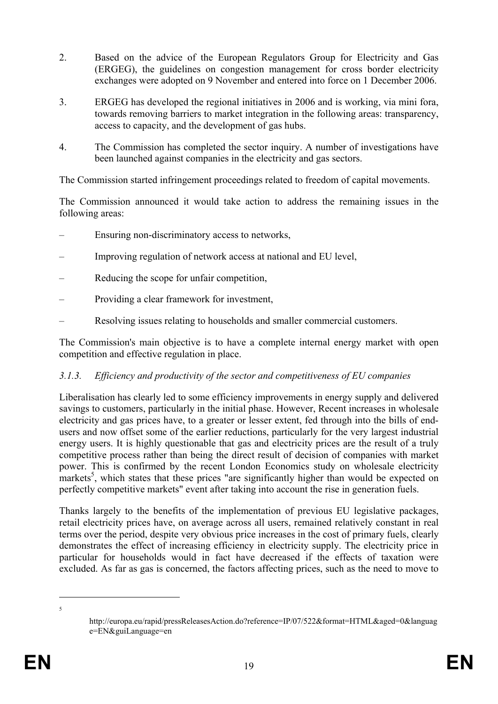- 2. Based on the advice of the European Regulators Group for Electricity and Gas (ERGEG), the guidelines on congestion management for cross border electricity exchanges were adopted on 9 November and entered into force on 1 December 2006.
- 3. ERGEG has developed the regional initiatives in 2006 and is working, via mini fora, towards removing barriers to market integration in the following areas: transparency, access to capacity, and the development of gas hubs.
- 4. The Commission has completed the sector inquiry. A number of investigations have been launched against companies in the electricity and gas sectors.

The Commission started infringement proceedings related to freedom of capital movements.

The Commission announced it would take action to address the remaining issues in the following areas:

- Ensuring non-discriminatory access to networks,
- Improving regulation of network access at national and EU level,
- Reducing the scope for unfair competition,
- Providing a clear framework for investment,
- Resolving issues relating to households and smaller commercial customers.

The Commission's main objective is to have a complete internal energy market with open competition and effective regulation in place.

#### *3.1.3. Efficiency and productivity of the sector and competitiveness of EU companies*

Liberalisation has clearly led to some efficiency improvements in energy supply and delivered savings to customers, particularly in the initial phase. However, Recent increases in wholesale electricity and gas prices have, to a greater or lesser extent, fed through into the bills of endusers and now offset some of the earlier reductions, particularly for the very largest industrial energy users. It is highly questionable that gas and electricity prices are the result of a truly competitive process rather than being the direct result of decision of companies with market power. This is confirmed by the recent London Economics study on wholesale electricity markets<sup>5</sup>, which states that these prices "are significantly higher than would be expected on perfectly competitive markets" event after taking into account the rise in generation fuels.

Thanks largely to the benefits of the implementation of previous EU legislative packages, retail electricity prices have, on average across all users, remained relatively constant in real terms over the period, despite very obvious price increases in the cost of primary fuels, clearly demonstrates the effect of increasing efficiency in electricity supply. The electricity price in particular for households would in fact have decreased if the effects of taxation were excluded. As far as gas is concerned, the factors affecting prices, such as the need to move to

<u>.</u> 5

http://europa.eu/rapid/pressReleasesAction.do?reference=IP/07/522&format=HTML&aged=0&languag e=EN&guiLanguage=en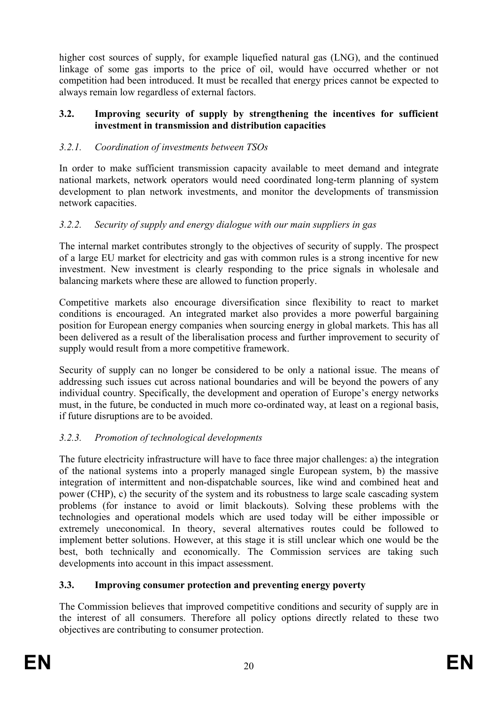higher cost sources of supply, for example liquefied natural gas (LNG), and the continued linkage of some gas imports to the price of oil, would have occurred whether or not competition had been introduced. It must be recalled that energy prices cannot be expected to always remain low regardless of external factors.

#### **3.2. Improving security of supply by strengthening the incentives for sufficient investment in transmission and distribution capacities**

## *3.2.1. Coordination of investments between TSOs*

In order to make sufficient transmission capacity available to meet demand and integrate national markets, network operators would need coordinated long-term planning of system development to plan network investments, and monitor the developments of transmission network capacities.

### *3.2.2. Security of supply and energy dialogue with our main suppliers in gas*

The internal market contributes strongly to the objectives of security of supply. The prospect of a large EU market for electricity and gas with common rules is a strong incentive for new investment. New investment is clearly responding to the price signals in wholesale and balancing markets where these are allowed to function properly.

Competitive markets also encourage diversification since flexibility to react to market conditions is encouraged. An integrated market also provides a more powerful bargaining position for European energy companies when sourcing energy in global markets. This has all been delivered as a result of the liberalisation process and further improvement to security of supply would result from a more competitive framework.

Security of supply can no longer be considered to be only a national issue. The means of addressing such issues cut across national boundaries and will be beyond the powers of any individual country. Specifically, the development and operation of Europe's energy networks must, in the future, be conducted in much more co-ordinated way, at least on a regional basis, if future disruptions are to be avoided.

## *3.2.3. Promotion of technological developments*

The future electricity infrastructure will have to face three major challenges: a) the integration of the national systems into a properly managed single European system, b) the massive integration of intermittent and non-dispatchable sources, like wind and combined heat and power (CHP), c) the security of the system and its robustness to large scale cascading system problems (for instance to avoid or limit blackouts). Solving these problems with the technologies and operational models which are used today will be either impossible or extremely uneconomical. In theory, several alternatives routes could be followed to implement better solutions. However, at this stage it is still unclear which one would be the best, both technically and economically. The Commission services are taking such developments into account in this impact assessment.

#### **3.3. Improving consumer protection and preventing energy poverty**

The Commission believes that improved competitive conditions and security of supply are in the interest of all consumers. Therefore all policy options directly related to these two objectives are contributing to consumer protection.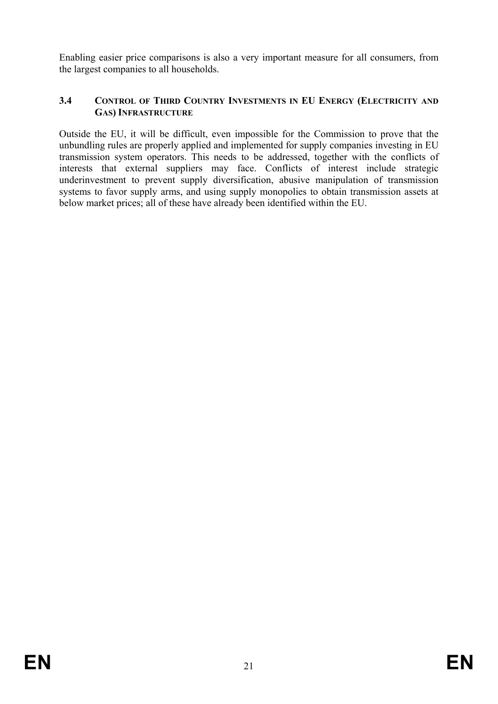Enabling easier price comparisons is also a very important measure for all consumers, from the largest companies to all households.

#### **3.4 CONTROL OF THIRD COUNTRY INVESTMENTS IN EU ENERGY (ELECTRICITY AND GAS) INFRASTRUCTURE**

Outside the EU, it will be difficult, even impossible for the Commission to prove that the unbundling rules are properly applied and implemented for supply companies investing in EU transmission system operators. This needs to be addressed, together with the conflicts of interests that external suppliers may face. Conflicts of interest include strategic underinvestment to prevent supply diversification, abusive manipulation of transmission systems to favor supply arms, and using supply monopolies to obtain transmission assets at below market prices; all of these have already been identified within the EU.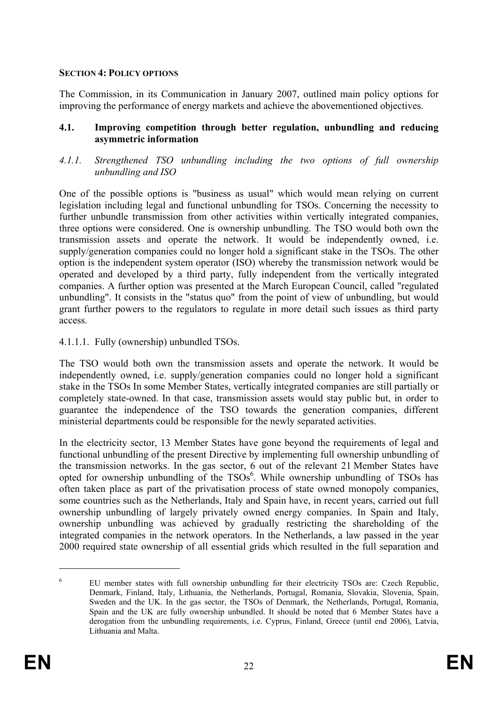#### **SECTION 4: POLICY OPTIONS**

The Commission, in its Communication in January 2007, outlined main policy options for improving the performance of energy markets and achieve the abovementioned objectives.

#### **4.1. Improving competition through better regulation, unbundling and reducing asymmetric information**

*4.1.1. Strengthened TSO unbundling including the two options of full ownership unbundling and ISO* 

One of the possible options is "business as usual" which would mean relying on current legislation including legal and functional unbundling for TSOs. Concerning the necessity to further unbundle transmission from other activities within vertically integrated companies, three options were considered. One is ownership unbundling. The TSO would both own the transmission assets and operate the network. It would be independently owned, i.e. supply/generation companies could no longer hold a significant stake in the TSOs. The other option is the independent system operator (ISO) whereby the transmission network would be operated and developed by a third party, fully independent from the vertically integrated companies. A further option was presented at the March European Council, called "regulated unbundling". It consists in the "status quo" from the point of view of unbundling, but would grant further powers to the regulators to regulate in more detail such issues as third party access.

#### 4.1.1.1. Fully (ownership) unbundled TSOs.

The TSO would both own the transmission assets and operate the network. It would be independently owned, i.e. supply/generation companies could no longer hold a significant stake in the TSOs In some Member States, vertically integrated companies are still partially or completely state-owned. In that case, transmission assets would stay public but, in order to guarantee the independence of the TSO towards the generation companies, different ministerial departments could be responsible for the newly separated activities.

In the electricity sector, 13 Member States have gone beyond the requirements of legal and functional unbundling of the present Directive by implementing full ownership unbundling of the transmission networks. In the gas sector, 6 out of the relevant 21 Member States have opted for ownership unbundling of the  $TSOs<sup>6</sup>$ . While ownership unbundling of TSOs has often taken place as part of the privatisation process of state owned monopoly companies, some countries such as the Netherlands, Italy and Spain have, in recent years, carried out full ownership unbundling of largely privately owned energy companies. In Spain and Italy, ownership unbundling was achieved by gradually restricting the shareholding of the integrated companies in the network operators. In the Netherlands, a law passed in the year 2000 required state ownership of all essential grids which resulted in the full separation and

<u>.</u>

<sup>6</sup> EU member states with full ownership unbundling for their electricity TSOs are: Czech Republic, Denmark, Finland, Italy, Lithuania, the Netherlands, Portugal, Romania, Slovakia, Slovenia, Spain, Sweden and the UK. In the gas sector, the TSOs of Denmark, the Netherlands, Portugal, Romania, Spain and the UK are fully ownership unbundled. It should be noted that 6 Member States have a derogation from the unbundling requirements, i.e. Cyprus, Finland, Greece (until end 2006), Latvia, Lithuania and Malta.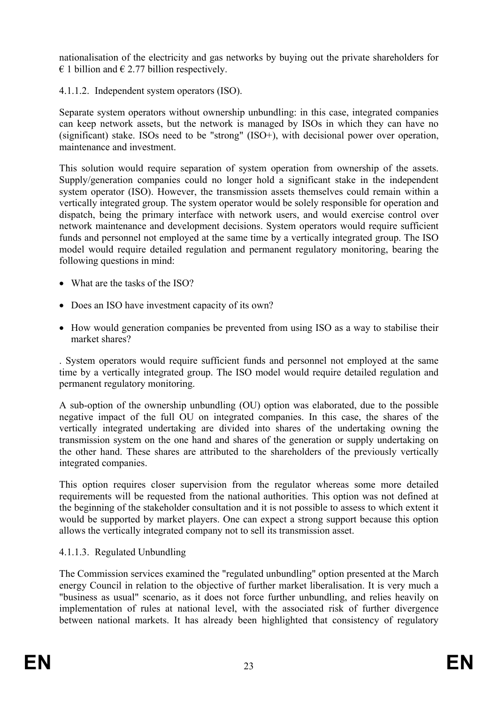nationalisation of the electricity and gas networks by buying out the private shareholders for  $\epsilon$  1 billion and  $\epsilon$  2.77 billion respectively.

4.1.1.2. Independent system operators (ISO).

Separate system operators without ownership unbundling: in this case, integrated companies can keep network assets, but the network is managed by ISOs in which they can have no (significant) stake. ISOs need to be "strong" (ISO+), with decisional power over operation, maintenance and investment.

This solution would require separation of system operation from ownership of the assets. Supply/generation companies could no longer hold a significant stake in the independent system operator (ISO). However, the transmission assets themselves could remain within a vertically integrated group. The system operator would be solely responsible for operation and dispatch, being the primary interface with network users, and would exercise control over network maintenance and development decisions. System operators would require sufficient funds and personnel not employed at the same time by a vertically integrated group. The ISO model would require detailed regulation and permanent regulatory monitoring, bearing the following questions in mind:

- What are the tasks of the ISO?
- Does an ISO have investment capacity of its own?
- How would generation companies be prevented from using ISO as a way to stabilise their market shares?

. System operators would require sufficient funds and personnel not employed at the same time by a vertically integrated group. The ISO model would require detailed regulation and permanent regulatory monitoring.

A sub-option of the ownership unbundling (OU) option was elaborated, due to the possible negative impact of the full OU on integrated companies. In this case, the shares of the vertically integrated undertaking are divided into shares of the undertaking owning the transmission system on the one hand and shares of the generation or supply undertaking on the other hand. These shares are attributed to the shareholders of the previously vertically integrated companies.

This option requires closer supervision from the regulator whereas some more detailed requirements will be requested from the national authorities. This option was not defined at the beginning of the stakeholder consultation and it is not possible to assess to which extent it would be supported by market players. One can expect a strong support because this option allows the vertically integrated company not to sell its transmission asset.

## 4.1.1.3. Regulated Unbundling

The Commission services examined the "regulated unbundling" option presented at the March energy Council in relation to the objective of further market liberalisation. It is very much a "business as usual" scenario, as it does not force further unbundling, and relies heavily on implementation of rules at national level, with the associated risk of further divergence between national markets. It has already been highlighted that consistency of regulatory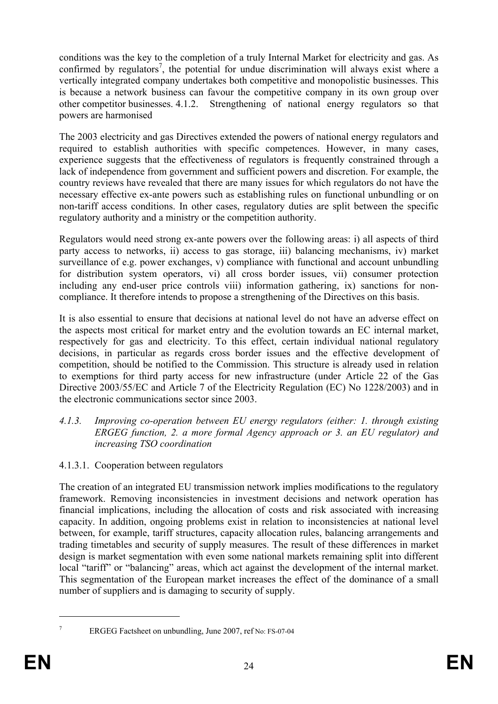conditions was the key to the completion of a truly Internal Market for electricity and gas. As confirmed by regulators<sup>7</sup>, the potential for undue discrimination will always exist where a vertically integrated company undertakes both competitive and monopolistic businesses. This is because a network business can favour the competitive company in its own group over other competitor businesses. 4.1.2. Strengthening of national energy regulators so that powers are harmonised

The 2003 electricity and gas Directives extended the powers of national energy regulators and required to establish authorities with specific competences. However, in many cases, experience suggests that the effectiveness of regulators is frequently constrained through a lack of independence from government and sufficient powers and discretion. For example, the country reviews have revealed that there are many issues for which regulators do not have the necessary effective ex-ante powers such as establishing rules on functional unbundling or on non-tariff access conditions. In other cases, regulatory duties are split between the specific regulatory authority and a ministry or the competition authority.

Regulators would need strong ex-ante powers over the following areas: i) all aspects of third party access to networks, ii) access to gas storage, iii) balancing mechanisms, iv) market surveillance of e.g. power exchanges, v) compliance with functional and account unbundling for distribution system operators, vi) all cross border issues, vii) consumer protection including any end-user price controls viii) information gathering, ix) sanctions for noncompliance. It therefore intends to propose a strengthening of the Directives on this basis.

It is also essential to ensure that decisions at national level do not have an adverse effect on the aspects most critical for market entry and the evolution towards an EC internal market, respectively for gas and electricity. To this effect, certain individual national regulatory decisions, in particular as regards cross border issues and the effective development of competition, should be notified to the Commission. This structure is already used in relation to exemptions for third party access for new infrastructure (under Article 22 of the Gas Directive 2003/55/EC and Article 7 of the Electricity Regulation (EC) No 1228/2003) and in the electronic communications sector since 2003.

#### *4.1.3. Improving co-operation between EU energy regulators (either: 1. through existing ERGEG function, 2. a more formal Agency approach or 3. an EU regulator) and increasing TSO coordination*

4.1.3.1. Cooperation between regulators

The creation of an integrated EU transmission network implies modifications to the regulatory framework. Removing inconsistencies in investment decisions and network operation has financial implications, including the allocation of costs and risk associated with increasing capacity. In addition, ongoing problems exist in relation to inconsistencies at national level between, for example, tariff structures, capacity allocation rules, balancing arrangements and trading timetables and security of supply measures. The result of these differences in market design is market segmentation with even some national markets remaining split into different local "tariff" or "balancing" areas, which act against the development of the internal market. This segmentation of the European market increases the effect of the dominance of a small number of suppliers and is damaging to security of supply.

1 7

ERGEG Factsheet on unbundling, June 2007, ref No: FS-07-04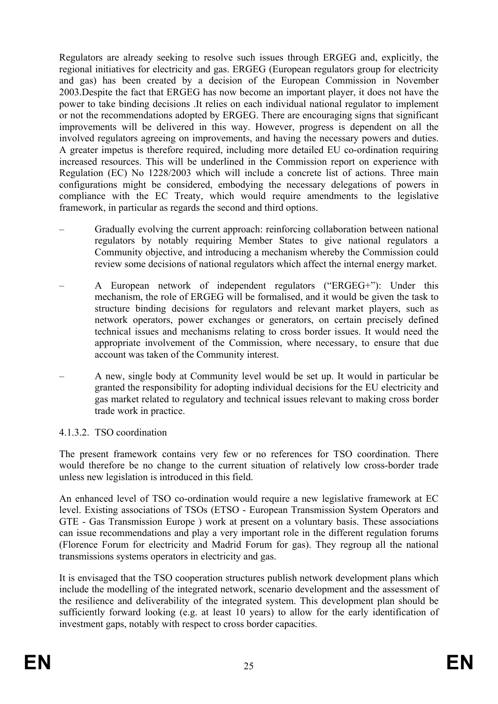Regulators are already seeking to resolve such issues through ERGEG and, explicitly, the regional initiatives for electricity and gas. ERGEG (European regulators group for electricity and gas) has been created by a decision of the European Commission in November 2003.Despite the fact that ERGEG has now become an important player, it does not have the power to take binding decisions .It relies on each individual national regulator to implement or not the recommendations adopted by ERGEG. There are encouraging signs that significant improvements will be delivered in this way. However, progress is dependent on all the involved regulators agreeing on improvements, and having the necessary powers and duties. A greater impetus is therefore required, including more detailed EU co-ordination requiring increased resources. This will be underlined in the Commission report on experience with Regulation (EC) No 1228/2003 which will include a concrete list of actions. Three main configurations might be considered, embodying the necessary delegations of powers in compliance with the EC Treaty, which would require amendments to the legislative framework, in particular as regards the second and third options.

- Gradually evolving the current approach: reinforcing collaboration between national regulators by notably requiring Member States to give national regulators a Community objective, and introducing a mechanism whereby the Commission could review some decisions of national regulators which affect the internal energy market.
- A European network of independent regulators ("ERGEG+"): Under this mechanism, the role of ERGEG will be formalised, and it would be given the task to structure binding decisions for regulators and relevant market players, such as network operators, power exchanges or generators, on certain precisely defined technical issues and mechanisms relating to cross border issues. It would need the appropriate involvement of the Commission, where necessary, to ensure that due account was taken of the Community interest.
- A new, single body at Community level would be set up. It would in particular be granted the responsibility for adopting individual decisions for the EU electricity and gas market related to regulatory and technical issues relevant to making cross border trade work in practice.

#### 4.1.3.2. TSO coordination

The present framework contains very few or no references for TSO coordination. There would therefore be no change to the current situation of relatively low cross-border trade unless new legislation is introduced in this field.

An enhanced level of TSO co-ordination would require a new legislative framework at EC level. Existing associations of TSOs (ETSO - European Transmission System Operators and GTE - Gas Transmission Europe ) work at present on a voluntary basis. These associations can issue recommendations and play a very important role in the different regulation forums (Florence Forum for electricity and Madrid Forum for gas). They regroup all the national transmissions systems operators in electricity and gas.

It is envisaged that the TSO cooperation structures publish network development plans which include the modelling of the integrated network, scenario development and the assessment of the resilience and deliverability of the integrated system. This development plan should be sufficiently forward looking (e.g. at least 10 years) to allow for the early identification of investment gaps, notably with respect to cross border capacities.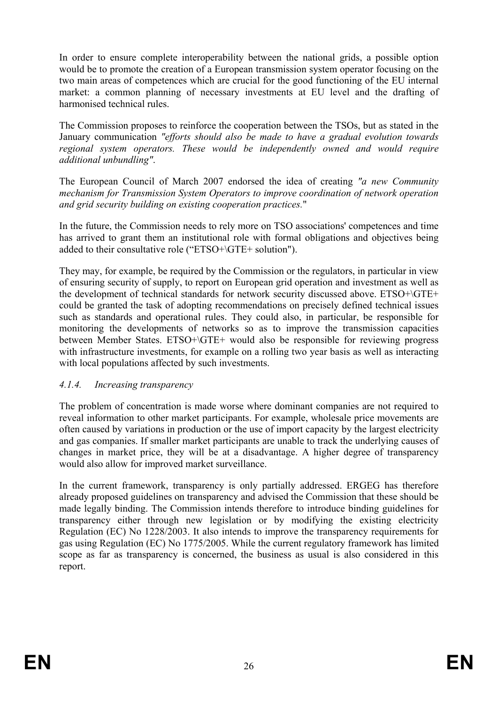In order to ensure complete interoperability between the national grids, a possible option would be to promote the creation of a European transmission system operator focusing on the two main areas of competences which are crucial for the good functioning of the EU internal market: a common planning of necessary investments at EU level and the drafting of harmonised technical rules.

The Commission proposes to reinforce the cooperation between the TSOs, but as stated in the January communication *"efforts should also be made to have a gradual evolution towards regional system operators. These would be independently owned and would require additional unbundling"*.

The European Council of March 2007 endorsed the idea of creating *"a new Community mechanism for Transmission System Operators to improve coordination of network operation and grid security building on existing cooperation practices.*"

In the future, the Commission needs to rely more on TSO associations' competences and time has arrived to grant them an institutional role with formal obligations and objectives being added to their consultative role ("ETSO+\GTE+ solution").

They may, for example, be required by the Commission or the regulators, in particular in view of ensuring security of supply, to report on European grid operation and investment as well as the development of technical standards for network security discussed above. ETSO+\GTE+ could be granted the task of adopting recommendations on precisely defined technical issues such as standards and operational rules. They could also, in particular, be responsible for monitoring the developments of networks so as to improve the transmission capacities between Member States. ETSO+\GTE+ would also be responsible for reviewing progress with infrastructure investments, for example on a rolling two year basis as well as interacting with local populations affected by such investments.

#### *4.1.4. Increasing transparency*

The problem of concentration is made worse where dominant companies are not required to reveal information to other market participants. For example, wholesale price movements are often caused by variations in production or the use of import capacity by the largest electricity and gas companies. If smaller market participants are unable to track the underlying causes of changes in market price, they will be at a disadvantage. A higher degree of transparency would also allow for improved market surveillance.

In the current framework, transparency is only partially addressed. ERGEG has therefore already proposed guidelines on transparency and advised the Commission that these should be made legally binding. The Commission intends therefore to introduce binding guidelines for transparency either through new legislation or by modifying the existing electricity Regulation (EC) No 1228/2003. It also intends to improve the transparency requirements for gas using Regulation (EC) No 1775/2005. While the current regulatory framework has limited scope as far as transparency is concerned, the business as usual is also considered in this report.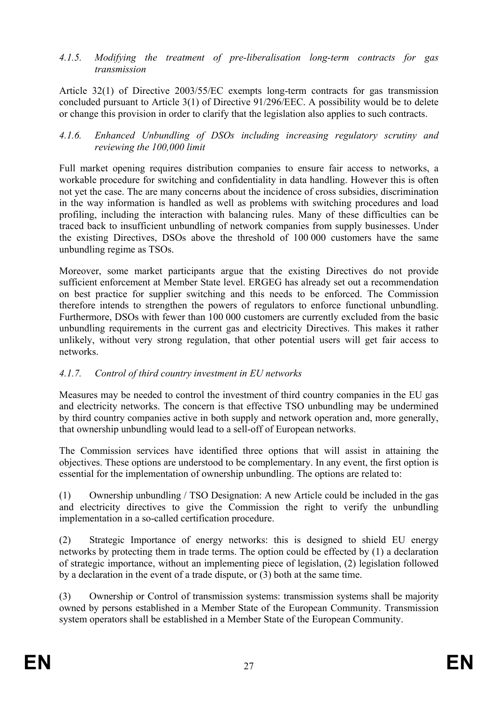*4.1.5. Modifying the treatment of pre-liberalisation long-term contracts for gas transmission* 

Article 32(1) of Directive 2003/55/EC exempts long-term contracts for gas transmission concluded pursuant to Article 3(1) of Directive 91/296/EEC. A possibility would be to delete or change this provision in order to clarify that the legislation also applies to such contracts.

#### *4.1.6. Enhanced Unbundling of DSOs including increasing regulatory scrutiny and reviewing the 100,000 limit*

Full market opening requires distribution companies to ensure fair access to networks, a workable procedure for switching and confidentiality in data handling. However this is often not yet the case. The are many concerns about the incidence of cross subsidies, discrimination in the way information is handled as well as problems with switching procedures and load profiling, including the interaction with balancing rules. Many of these difficulties can be traced back to insufficient unbundling of network companies from supply businesses. Under the existing Directives, DSOs above the threshold of 100 000 customers have the same unbundling regime as TSOs.

Moreover, some market participants argue that the existing Directives do not provide sufficient enforcement at Member State level. ERGEG has already set out a recommendation on best practice for supplier switching and this needs to be enforced. The Commission therefore intends to strengthen the powers of regulators to enforce functional unbundling. Furthermore, DSOs with fewer than 100 000 customers are currently excluded from the basic unbundling requirements in the current gas and electricity Directives. This makes it rather unlikely, without very strong regulation, that other potential users will get fair access to networks.

#### *4.1.7. Control of third country investment in EU networks*

Measures may be needed to control the investment of third country companies in the EU gas and electricity networks. The concern is that effective TSO unbundling may be undermined by third country companies active in both supply and network operation and, more generally, that ownership unbundling would lead to a sell-off of European networks.

The Commission services have identified three options that will assist in attaining the objectives. These options are understood to be complementary. In any event, the first option is essential for the implementation of ownership unbundling. The options are related to:

(1) Ownership unbundling / TSO Designation: A new Article could be included in the gas and electricity directives to give the Commission the right to verify the unbundling implementation in a so-called certification procedure.

(2) Strategic Importance of energy networks: this is designed to shield EU energy networks by protecting them in trade terms. The option could be effected by (1) a declaration of strategic importance, without an implementing piece of legislation, (2) legislation followed by a declaration in the event of a trade dispute, or (3) both at the same time.

(3) Ownership or Control of transmission systems: transmission systems shall be majority owned by persons established in a Member State of the European Community. Transmission system operators shall be established in a Member State of the European Community.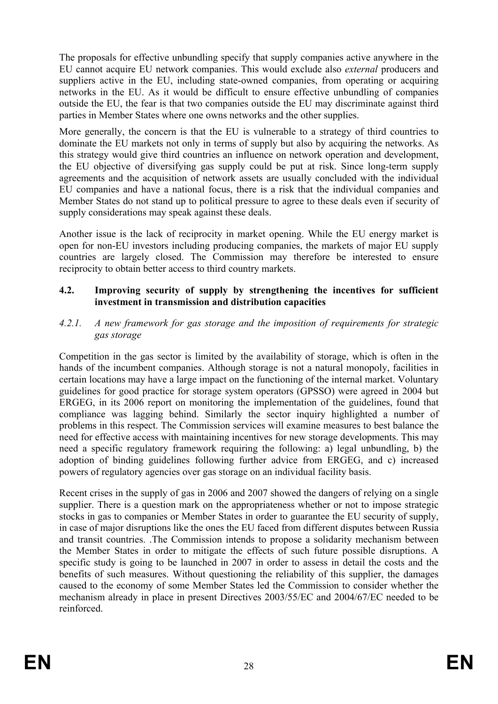The proposals for effective unbundling specify that supply companies active anywhere in the EU cannot acquire EU network companies. This would exclude also *external* producers and suppliers active in the EU, including state-owned companies, from operating or acquiring networks in the EU. As it would be difficult to ensure effective unbundling of companies outside the EU, the fear is that two companies outside the EU may discriminate against third parties in Member States where one owns networks and the other supplies.

More generally, the concern is that the EU is vulnerable to a strategy of third countries to dominate the EU markets not only in terms of supply but also by acquiring the networks. As this strategy would give third countries an influence on network operation and development, the EU objective of diversifying gas supply could be put at risk. Since long-term supply agreements and the acquisition of network assets are usually concluded with the individual EU companies and have a national focus, there is a risk that the individual companies and Member States do not stand up to political pressure to agree to these deals even if security of supply considerations may speak against these deals.

Another issue is the lack of reciprocity in market opening. While the EU energy market is open for non-EU investors including producing companies, the markets of major EU supply countries are largely closed. The Commission may therefore be interested to ensure reciprocity to obtain better access to third country markets.

#### **4.2. Improving security of supply by strengthening the incentives for sufficient investment in transmission and distribution capacities**

#### *4.2.1. A new framework for gas storage and the imposition of requirements for strategic gas storage*

Competition in the gas sector is limited by the availability of storage, which is often in the hands of the incumbent companies. Although storage is not a natural monopoly, facilities in certain locations may have a large impact on the functioning of the internal market. Voluntary guidelines for good practice for storage system operators (GPSSO) were agreed in 2004 but ERGEG, in its 2006 report on monitoring the implementation of the guidelines, found that compliance was lagging behind. Similarly the sector inquiry highlighted a number of problems in this respect. The Commission services will examine measures to best balance the need for effective access with maintaining incentives for new storage developments. This may need a specific regulatory framework requiring the following: a) legal unbundling, b) the adoption of binding guidelines following further advice from ERGEG, and c) increased powers of regulatory agencies over gas storage on an individual facility basis.

Recent crises in the supply of gas in 2006 and 2007 showed the dangers of relying on a single supplier. There is a question mark on the appropriateness whether or not to impose strategic stocks in gas to companies or Member States in order to guarantee the EU security of supply, in case of major disruptions like the ones the EU faced from different disputes between Russia and transit countries. .The Commission intends to propose a solidarity mechanism between the Member States in order to mitigate the effects of such future possible disruptions. A specific study is going to be launched in 2007 in order to assess in detail the costs and the benefits of such measures. Without questioning the reliability of this supplier, the damages caused to the economy of some Member States led the Commission to consider whether the mechanism already in place in present Directives 2003/55/EC and 2004/67/EC needed to be reinforced.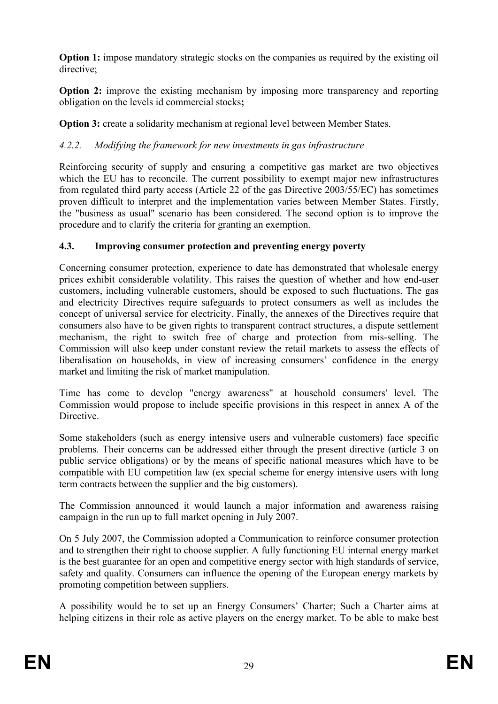**Option 1:** impose mandatory strategic stocks on the companies as required by the existing oil directive;

**Option 2:** improve the existing mechanism by imposing more transparency and reporting obligation on the levels id commercial stocks**;** 

**Option 3:** create a solidarity mechanism at regional level between Member States.

## *4.2.2. Modifying the framework for new investments in gas infrastructure*

Reinforcing security of supply and ensuring a competitive gas market are two objectives which the EU has to reconcile. The current possibility to exempt major new infrastructures from regulated third party access (Article 22 of the gas Directive 2003/55/EC) has sometimes proven difficult to interpret and the implementation varies between Member States. Firstly, the "business as usual" scenario has been considered. The second option is to improve the procedure and to clarify the criteria for granting an exemption.

### **4.3. Improving consumer protection and preventing energy poverty**

Concerning consumer protection, experience to date has demonstrated that wholesale energy prices exhibit considerable volatility. This raises the question of whether and how end-user customers, including vulnerable customers, should be exposed to such fluctuations. The gas and electricity Directives require safeguards to protect consumers as well as includes the concept of universal service for electricity. Finally, the annexes of the Directives require that consumers also have to be given rights to transparent contract structures, a dispute settlement mechanism, the right to switch free of charge and protection from mis-selling. The Commission will also keep under constant review the retail markets to assess the effects of liberalisation on households, in view of increasing consumers' confidence in the energy market and limiting the risk of market manipulation.

Time has come to develop "energy awareness" at household consumers' level. The Commission would propose to include specific provisions in this respect in annex A of the Directive.

Some stakeholders (such as energy intensive users and vulnerable customers) face specific problems. Their concerns can be addressed either through the present directive (article 3 on public service obligations) or by the means of specific national measures which have to be compatible with EU competition law (ex special scheme for energy intensive users with long term contracts between the supplier and the big customers).

The Commission announced it would launch a major information and awareness raising campaign in the run up to full market opening in July 2007.

On 5 July 2007, the Commission adopted a Communication to reinforce consumer protection and to strengthen their right to choose supplier. A fully functioning EU internal energy market is the best guarantee for an open and competitive energy sector with high standards of service, safety and quality. Consumers can influence the opening of the European energy markets by promoting competition between suppliers.

A possibility would be to set up an Energy Consumers' Charter; Such a Charter aims at helping citizens in their role as active players on the energy market. To be able to make best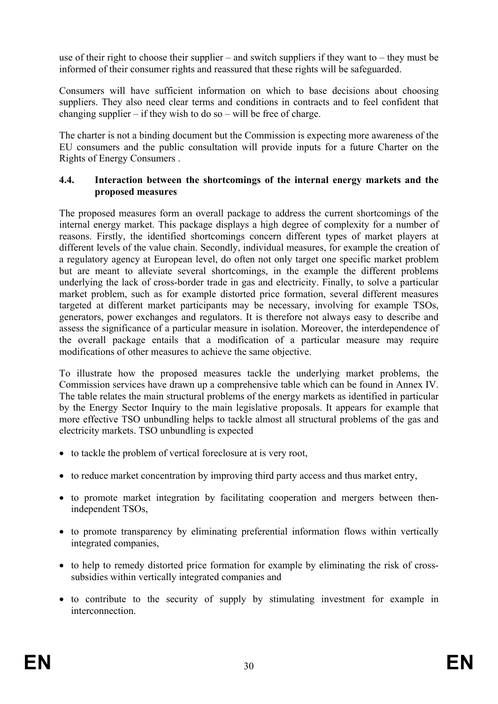use of their right to choose their supplier – and switch suppliers if they want to – they must be informed of their consumer rights and reassured that these rights will be safeguarded.

Consumers will have sufficient information on which to base decisions about choosing suppliers. They also need clear terms and conditions in contracts and to feel confident that changing supplier – if they wish to do so – will be free of charge.

The charter is not a binding document but the Commission is expecting more awareness of the EU consumers and the public consultation will provide inputs for a future Charter on the Rights of Energy Consumers .

#### **4.4. Interaction between the shortcomings of the internal energy markets and the proposed measures**

The proposed measures form an overall package to address the current shortcomings of the internal energy market. This package displays a high degree of complexity for a number of reasons. Firstly, the identified shortcomings concern different types of market players at different levels of the value chain. Secondly, individual measures, for example the creation of a regulatory agency at European level, do often not only target one specific market problem but are meant to alleviate several shortcomings, in the example the different problems underlying the lack of cross-border trade in gas and electricity. Finally, to solve a particular market problem, such as for example distorted price formation, several different measures targeted at different market participants may be necessary, involving for example TSOs, generators, power exchanges and regulators. It is therefore not always easy to describe and assess the significance of a particular measure in isolation. Moreover, the interdependence of the overall package entails that a modification of a particular measure may require modifications of other measures to achieve the same objective.

To illustrate how the proposed measures tackle the underlying market problems, the Commission services have drawn up a comprehensive table which can be found in Annex IV. The table relates the main structural problems of the energy markets as identified in particular by the Energy Sector Inquiry to the main legislative proposals. It appears for example that more effective TSO unbundling helps to tackle almost all structural problems of the gas and electricity markets. TSO unbundling is expected

- to tackle the problem of vertical foreclosure at is very root,
- to reduce market concentration by improving third party access and thus market entry,
- to promote market integration by facilitating cooperation and mergers between thenindependent TSOs,
- to promote transparency by eliminating preferential information flows within vertically integrated companies,
- to help to remedy distorted price formation for example by eliminating the risk of crosssubsidies within vertically integrated companies and
- to contribute to the security of supply by stimulating investment for example in interconnection.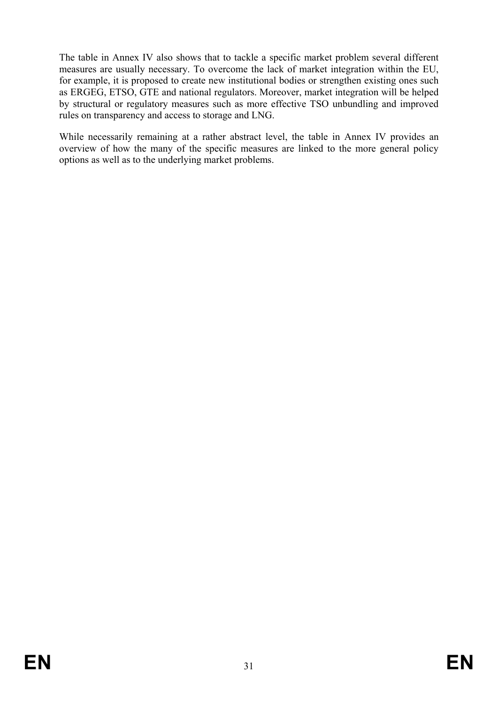The table in Annex IV also shows that to tackle a specific market problem several different measures are usually necessary. To overcome the lack of market integration within the EU, for example, it is proposed to create new institutional bodies or strengthen existing ones such as ERGEG, ETSO, GTE and national regulators. Moreover, market integration will be helped by structural or regulatory measures such as more effective TSO unbundling and improved rules on transparency and access to storage and LNG.

While necessarily remaining at a rather abstract level, the table in Annex IV provides an overview of how the many of the specific measures are linked to the more general policy options as well as to the underlying market problems.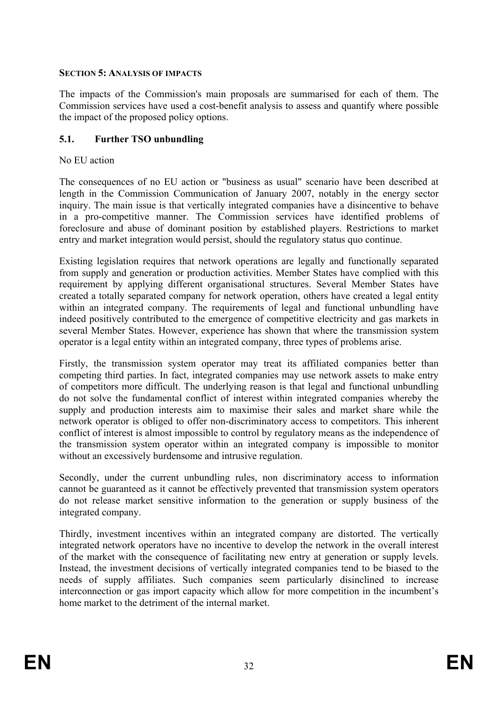#### **SECTION 5: ANALYSIS OF IMPACTS**

The impacts of the Commission's main proposals are summarised for each of them. The Commission services have used a cost-benefit analysis to assess and quantify where possible the impact of the proposed policy options.

#### **5.1. Further TSO unbundling**

No EU action

The consequences of no EU action or "business as usual" scenario have been described at length in the Commission Communication of January 2007, notably in the energy sector inquiry. The main issue is that vertically integrated companies have a disincentive to behave in a pro-competitive manner. The Commission services have identified problems of foreclosure and abuse of dominant position by established players. Restrictions to market entry and market integration would persist, should the regulatory status quo continue.

Existing legislation requires that network operations are legally and functionally separated from supply and generation or production activities. Member States have complied with this requirement by applying different organisational structures. Several Member States have created a totally separated company for network operation, others have created a legal entity within an integrated company. The requirements of legal and functional unbundling have indeed positively contributed to the emergence of competitive electricity and gas markets in several Member States. However, experience has shown that where the transmission system operator is a legal entity within an integrated company, three types of problems arise.

Firstly, the transmission system operator may treat its affiliated companies better than competing third parties. In fact, integrated companies may use network assets to make entry of competitors more difficult. The underlying reason is that legal and functional unbundling do not solve the fundamental conflict of interest within integrated companies whereby the supply and production interests aim to maximise their sales and market share while the network operator is obliged to offer non-discriminatory access to competitors. This inherent conflict of interest is almost impossible to control by regulatory means as the independence of the transmission system operator within an integrated company is impossible to monitor without an excessively burdensome and intrusive regulation.

Secondly, under the current unbundling rules, non discriminatory access to information cannot be guaranteed as it cannot be effectively prevented that transmission system operators do not release market sensitive information to the generation or supply business of the integrated company.

Thirdly, investment incentives within an integrated company are distorted. The vertically integrated network operators have no incentive to develop the network in the overall interest of the market with the consequence of facilitating new entry at generation or supply levels. Instead, the investment decisions of vertically integrated companies tend to be biased to the needs of supply affiliates. Such companies seem particularly disinclined to increase interconnection or gas import capacity which allow for more competition in the incumbent's home market to the detriment of the internal market.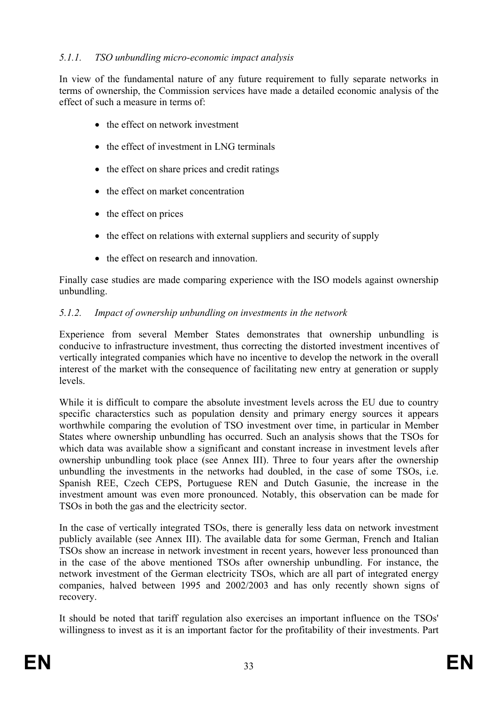### *5.1.1. TSO unbundling micro-economic impact analysis*

In view of the fundamental nature of any future requirement to fully separate networks in terms of ownership, the Commission services have made a detailed economic analysis of the effect of such a measure in terms of:

- the effect on network investment
- the effect of investment in LNG terminals
- the effect on share prices and credit ratings
- the effect on market concentration
- the effect on prices
- the effect on relations with external suppliers and security of supply
- the effect on research and innovation.

Finally case studies are made comparing experience with the ISO models against ownership unbundling.

#### *5.1.2. Impact of ownership unbundling on investments in the network*

Experience from several Member States demonstrates that ownership unbundling is conducive to infrastructure investment, thus correcting the distorted investment incentives of vertically integrated companies which have no incentive to develop the network in the overall interest of the market with the consequence of facilitating new entry at generation or supply levels.

While it is difficult to compare the absolute investment levels across the EU due to country specific characterstics such as population density and primary energy sources it appears worthwhile comparing the evolution of TSO investment over time, in particular in Member States where ownership unbundling has occurred. Such an analysis shows that the TSOs for which data was available show a significant and constant increase in investment levels after ownership unbundling took place (see Annex III). Three to four years after the ownership unbundling the investments in the networks had doubled, in the case of some TSOs, i.e. Spanish REE, Czech CEPS, Portuguese REN and Dutch Gasunie, the increase in the investment amount was even more pronounced. Notably, this observation can be made for TSOs in both the gas and the electricity sector.

In the case of vertically integrated TSOs, there is generally less data on network investment publicly available (see Annex III). The available data for some German, French and Italian TSOs show an increase in network investment in recent years, however less pronounced than in the case of the above mentioned TSOs after ownership unbundling. For instance, the network investment of the German electricity TSOs, which are all part of integrated energy companies, halved between 1995 and 2002/2003 and has only recently shown signs of recovery.

It should be noted that tariff regulation also exercises an important influence on the TSOs' willingness to invest as it is an important factor for the profitability of their investments. Part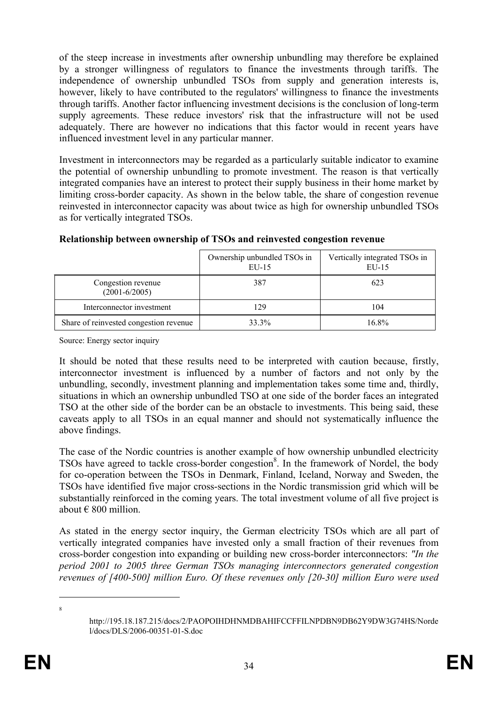of the steep increase in investments after ownership unbundling may therefore be explained by a stronger willingness of regulators to finance the investments through tariffs. The independence of ownership unbundled TSOs from supply and generation interests is, however, likely to have contributed to the regulators' willingness to finance the investments through tariffs. Another factor influencing investment decisions is the conclusion of long-term supply agreements. These reduce investors' risk that the infrastructure will not be used adequately. There are however no indications that this factor would in recent years have influenced investment level in any particular manner.

Investment in interconnectors may be regarded as a particularly suitable indicator to examine the potential of ownership unbundling to promote investment. The reason is that vertically integrated companies have an interest to protect their supply business in their home market by limiting cross-border capacity. As shown in the below table, the share of congestion revenue reinvested in interconnector capacity was about twice as high for ownership unbundled TSOs as for vertically integrated TSOs.

|                                         | Ownership unbundled TSOs in<br>$EU-15$ | Vertically integrated TSOs in<br>EU-15 |
|-----------------------------------------|----------------------------------------|----------------------------------------|
| Congestion revenue<br>$(2001 - 6/2005)$ | 387                                    | 623                                    |
| Interconnector investment               | 129                                    | 104                                    |
| Share of reinvested congestion revenue  | 33.3%                                  | 16.8%                                  |

#### **Relationship between ownership of TSOs and reinvested congestion revenue**

Source: Energy sector inquiry

It should be noted that these results need to be interpreted with caution because, firstly, interconnector investment is influenced by a number of factors and not only by the unbundling, secondly, investment planning and implementation takes some time and, thirdly, situations in which an ownership unbundled TSO at one side of the border faces an integrated TSO at the other side of the border can be an obstacle to investments. This being said, these caveats apply to all TSOs in an equal manner and should not systematically influence the above findings.

The case of the Nordic countries is another example of how ownership unbundled electricity TSOs have agreed to tackle cross-border congestion<sup>8</sup>. In the framework of Nordel, the body for co-operation between the TSOs in Denmark, Finland, Iceland, Norway and Sweden, the TSOs have identified five major cross-sections in the Nordic transmission grid which will be substantially reinforced in the coming years. The total investment volume of all five project is about  $\epsilon$  800 million.

As stated in the energy sector inquiry, the German electricity TSOs which are all part of vertically integrated companies have invested only a small fraction of their revenues from cross-border congestion into expanding or building new cross-border interconnectors: *"In the period 2001 to 2005 three German TSOs managing interconnectors generated congestion revenues of [400-500] million Euro. Of these revenues only [20-30] million Euro were used* 

<u>.</u> 8

http://195.18.187.215/docs/2/PAOPOIHDHNMDBAHIFCCFFILNPDBN9DB62Y9DW3G74HS/Norde l/docs/DLS/2006-00351-01-S.doc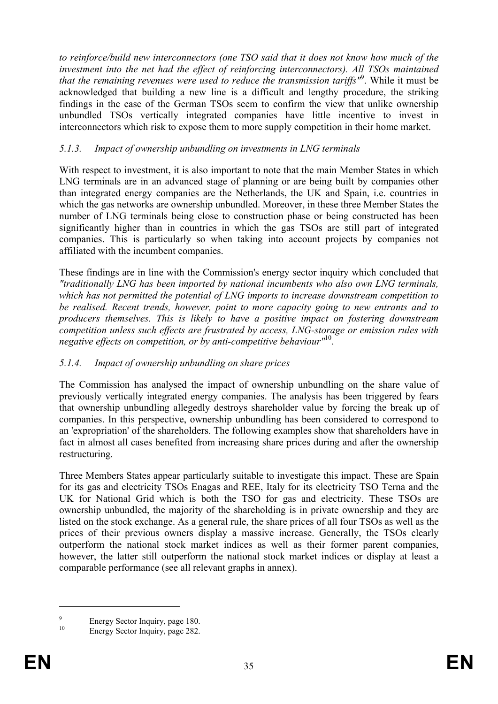*to reinforce/build new interconnectors (one TSO said that it does not know how much of the investment into the net had the effect of reinforcing interconnectors). All TSOs maintained that the remaining revenues were used to reduce the transmission tariffs"*<sup>9</sup> . While it must be acknowledged that building a new line is a difficult and lengthy procedure, the striking findings in the case of the German TSOs seem to confirm the view that unlike ownership unbundled TSOs vertically integrated companies have little incentive to invest in interconnectors which risk to expose them to more supply competition in their home market.

#### *5.1.3. Impact of ownership unbundling on investments in LNG terminals*

With respect to investment, it is also important to note that the main Member States in which LNG terminals are in an advanced stage of planning or are being built by companies other than integrated energy companies are the Netherlands, the UK and Spain, i.e. countries in which the gas networks are ownership unbundled. Moreover, in these three Member States the number of LNG terminals being close to construction phase or being constructed has been significantly higher than in countries in which the gas TSOs are still part of integrated companies. This is particularly so when taking into account projects by companies not affiliated with the incumbent companies.

These findings are in line with the Commission's energy sector inquiry which concluded that *"traditionally LNG has been imported by national incumbents who also own LNG terminals, which has not permitted the potential of LNG imports to increase downstream competition to be realised. Recent trends, however, point to more capacity going to new entrants and to producers themselves. This is likely to have a positive impact on fostering downstream competition unless such effects are frustrated by access, LNG-storage or emission rules with negative effects on competition, or by anti-competitive behaviour"*10.

#### *5.1.4. Impact of ownership unbundling on share prices*

The Commission has analysed the impact of ownership unbundling on the share value of previously vertically integrated energy companies. The analysis has been triggered by fears that ownership unbundling allegedly destroys shareholder value by forcing the break up of companies. In this perspective, ownership unbundling has been considered to correspond to an 'expropriation' of the shareholders. The following examples show that shareholders have in fact in almost all cases benefited from increasing share prices during and after the ownership restructuring.

Three Members States appear particularly suitable to investigate this impact. These are Spain for its gas and electricity TSOs Enagas and REE, Italy for its electricity TSO Terna and the UK for National Grid which is both the TSO for gas and electricity. These TSOs are ownership unbundled, the majority of the shareholding is in private ownership and they are listed on the stock exchange. As a general rule, the share prices of all four TSOs as well as the prices of their previous owners display a massive increase. Generally, the TSOs clearly outperform the national stock market indices as well as their former parent companies, however, the latter still outperform the national stock market indices or display at least a comparable performance (see all relevant graphs in annex).

1

<sup>9</sup>  $\frac{9}{10}$  Energy Sector Inquiry, page 180.

Energy Sector Inquiry, page 282.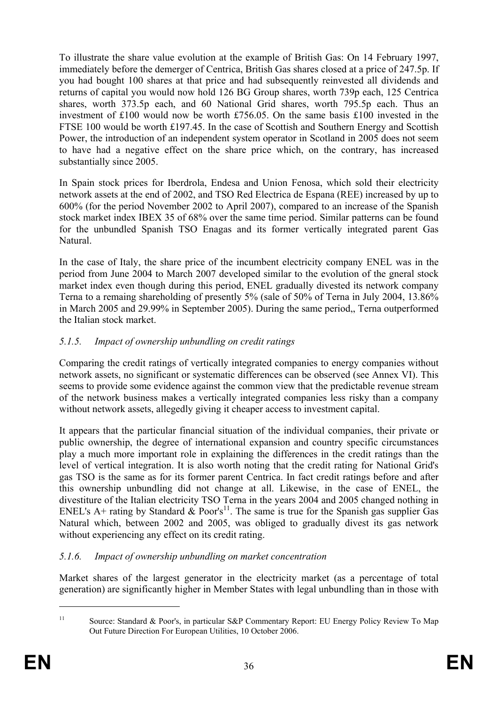To illustrate the share value evolution at the example of British Gas: On 14 February 1997, immediately before the demerger of Centrica, British Gas shares closed at a price of 247.5p. If you had bought 100 shares at that price and had subsequently reinvested all dividends and returns of capital you would now hold 126 BG Group shares, worth 739p each, 125 Centrica shares, worth 373.5p each, and 60 National Grid shares, worth 795.5p each. Thus an investment of £100 would now be worth £756.05. On the same basis £100 invested in the FTSE 100 would be worth £197.45. In the case of Scottish and Southern Energy and Scottish Power, the introduction of an independent system operator in Scotland in 2005 does not seem to have had a negative effect on the share price which, on the contrary, has increased substantially since 2005.

In Spain stock prices for Iberdrola, Endesa and Union Fenosa, which sold their electricity network assets at the end of 2002, and TSO Red Electrica de Espana (REE) increased by up to 600% (for the period November 2002 to April 2007), compared to an increase of the Spanish stock market index IBEX 35 of 68% over the same time period. Similar patterns can be found for the unbundled Spanish TSO Enagas and its former vertically integrated parent Gas Natural.

In the case of Italy, the share price of the incumbent electricity company ENEL was in the period from June 2004 to March 2007 developed similar to the evolution of the gneral stock market index even though during this period, ENEL gradually divested its network company Terna to a remaing shareholding of presently 5% (sale of 50% of Terna in July 2004, 13.86% in March 2005 and 29.99% in September 2005). During the same period,, Terna outperformed the Italian stock market.

# *5.1.5. Impact of ownership unbundling on credit ratings*

Comparing the credit ratings of vertically integrated companies to energy companies without network assets, no significant or systematic differences can be observed (see Annex VI). This seems to provide some evidence against the common view that the predictable revenue stream of the network business makes a vertically integrated companies less risky than a company without network assets, allegedly giving it cheaper access to investment capital.

It appears that the particular financial situation of the individual companies, their private or public ownership, the degree of international expansion and country specific circumstances play a much more important role in explaining the differences in the credit ratings than the level of vertical integration. It is also worth noting that the credit rating for National Grid's gas TSO is the same as for its former parent Centrica. In fact credit ratings before and after this ownership unbundling did not change at all. Likewise, in the case of ENEL, the divestiture of the Italian electricity TSO Terna in the years 2004 and 2005 changed nothing in ENEL's A+ rating by Standard  $\&$  Poor's<sup>11</sup>. The same is true for the Spanish gas supplier Gas Natural which, between 2002 and 2005, was obliged to gradually divest its gas network without experiencing any effect on its credit rating.

# *5.1.6. Impact of ownership unbundling on market concentration*

Market shares of the largest generator in the electricity market (as a percentage of total generation) are significantly higher in Member States with legal unbundling than in those with

1

<sup>&</sup>lt;sup>11</sup> Source: Standard & Poor's, in particular S&P Commentary Report: EU Energy Policy Review To Map Out Future Direction For European Utilities, 10 October 2006.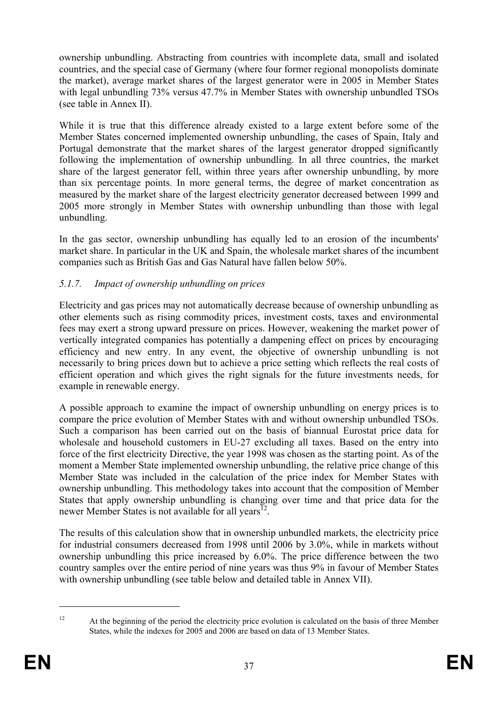ownership unbundling. Abstracting from countries with incomplete data, small and isolated countries, and the special case of Germany (where four former regional monopolists dominate the market), average market shares of the largest generator were in 2005 in Member States with legal unbundling 73% versus 47.7% in Member States with ownership unbundled TSOs (see table in Annex II).

While it is true that this difference already existed to a large extent before some of the Member States concerned implemented ownership unbundling, the cases of Spain, Italy and Portugal demonstrate that the market shares of the largest generator dropped significantly following the implementation of ownership unbundling. In all three countries, the market share of the largest generator fell, within three years after ownership unbundling, by more than six percentage points. In more general terms, the degree of market concentration as measured by the market share of the largest electricity generator decreased between 1999 and 2005 more strongly in Member States with ownership unbundling than those with legal unbundling.

In the gas sector, ownership unbundling has equally led to an erosion of the incumbents' market share. In particular in the UK and Spain, the wholesale market shares of the incumbent companies such as British Gas and Gas Natural have fallen below 50%.

## *5.1.7. Impact of ownership unbundling on prices*

Electricity and gas prices may not automatically decrease because of ownership unbundling as other elements such as rising commodity prices, investment costs, taxes and environmental fees may exert a strong upward pressure on prices. However, weakening the market power of vertically integrated companies has potentially a dampening effect on prices by encouraging efficiency and new entry. In any event, the objective of ownership unbundling is not necessarily to bring prices down but to achieve a price setting which reflects the real costs of efficient operation and which gives the right signals for the future investments needs, for example in renewable energy.

A possible approach to examine the impact of ownership unbundling on energy prices is to compare the price evolution of Member States with and without ownership unbundled TSOs. Such a comparison has been carried out on the basis of biannual Eurostat price data for wholesale and household customers in EU-27 excluding all taxes. Based on the entry into force of the first electricity Directive, the year 1998 was chosen as the starting point. As of the moment a Member State implemented ownership unbundling, the relative price change of this Member State was included in the calculation of the price index for Member States with ownership unbundling. This methodology takes into account that the composition of Member States that apply ownership unbundling is changing over time and that price data for the newer Member States is not available for all years<sup> $12$ </sup>.

The results of this calculation show that in ownership unbundled markets, the electricity price for industrial consumers decreased from 1998 until 2006 by 3.0%, while in markets without ownership unbundling this price increased by 6.0%. The price difference between the two country samples over the entire period of nine years was thus 9% in favour of Member States with ownership unbundling (see table below and detailed table in Annex VII).

1

<sup>&</sup>lt;sup>12</sup> At the beginning of the period the electricity price evolution is calculated on the basis of three Member States, while the indexes for 2005 and 2006 are based on data of 13 Member States.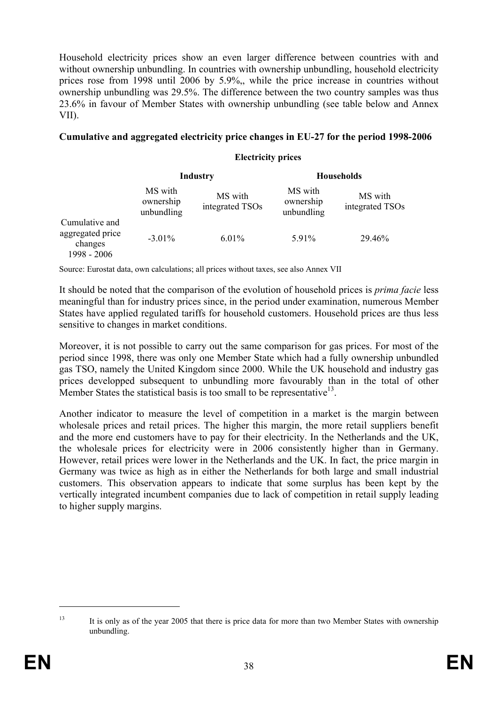Household electricity prices show an even larger difference between countries with and without ownership unbundling. In countries with ownership unbundling, household electricity prices rose from 1998 until 2006 by 5.9%,, while the price increase in countries without ownership unbundling was 29.5%. The difference between the two country samples was thus 23.6% in favour of Member States with ownership unbundling (see table below and Annex VII).

#### **Cumulative and aggregated electricity price changes in EU-27 for the period 1998-2006**

#### **Electricity prices**

|                                                              | <b>Industry</b>                    |                            | <b>Households</b>                  |                            |  |
|--------------------------------------------------------------|------------------------------------|----------------------------|------------------------------------|----------------------------|--|
|                                                              | MS with<br>ownership<br>unbundling | MS with<br>integrated TSOs | MS with<br>ownership<br>unbundling | MS with<br>integrated TSOs |  |
| Cumulative and<br>aggregated price<br>changes<br>1998 - 2006 | $-3.01\%$                          | 6.01%                      | 5.91%                              | 29.46%                     |  |

Source: Eurostat data, own calculations; all prices without taxes, see also Annex VII

It should be noted that the comparison of the evolution of household prices is *prima facie* less meaningful than for industry prices since, in the period under examination, numerous Member States have applied regulated tariffs for household customers. Household prices are thus less sensitive to changes in market conditions.

Moreover, it is not possible to carry out the same comparison for gas prices. For most of the period since 1998, there was only one Member State which had a fully ownership unbundled gas TSO, namely the United Kingdom since 2000. While the UK household and industry gas prices developped subsequent to unbundling more favourably than in the total of other Member States the statistical basis is too small to be representative<sup>13</sup>.

Another indicator to measure the level of competition in a market is the margin between wholesale prices and retail prices. The higher this margin, the more retail suppliers benefit and the more end customers have to pay for their electricity. In the Netherlands and the UK, the wholesale prices for electricity were in 2006 consistently higher than in Germany. However, retail prices were lower in the Netherlands and the UK. In fact, the price margin in Germany was twice as high as in either the Netherlands for both large and small industrial customers. This observation appears to indicate that some surplus has been kept by the vertically integrated incumbent companies due to lack of competition in retail supply leading to higher supply margins.

1

<sup>&</sup>lt;sup>13</sup> It is only as of the year 2005 that there is price data for more than two Member States with ownership unbundling.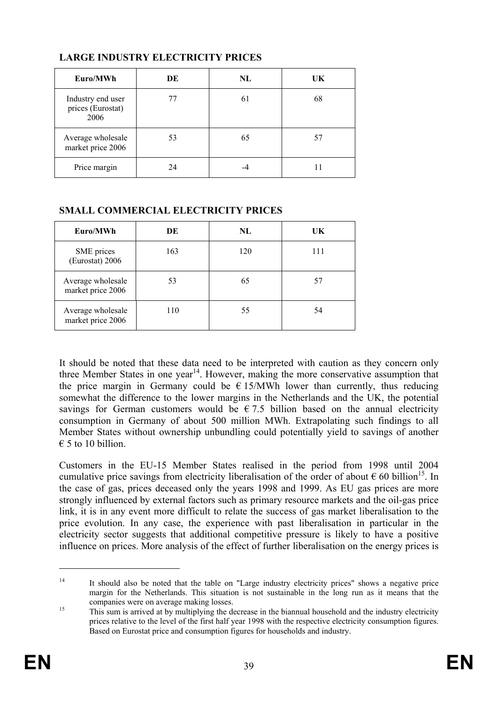| Euro/MWh                                       | DE | NL | UK |
|------------------------------------------------|----|----|----|
| Industry end user<br>prices (Eurostat)<br>2006 |    | 61 | 68 |
| Average wholesale<br>market price 2006         | 53 | 65 | 57 |
| Price margin                                   |    |    |    |

## **LARGE INDUSTRY ELECTRICITY PRICES**

#### **SMALL COMMERCIAL ELECTRICITY PRICES**

| Euro/MWh                               | DE  | NL  | UK  |
|----------------------------------------|-----|-----|-----|
| SME prices<br>(Eurostat) 2006          | 163 | 120 | 111 |
| Average wholesale<br>market price 2006 | 53  | 65  |     |
| Average wholesale<br>market price 2006 | 110 | 55  | 54  |

It should be noted that these data need to be interpreted with caution as they concern only three Member States in one year<sup>14</sup>. However, making the more conservative assumption that the price margin in Germany could be  $\epsilon$  15/MWh lower than currently, thus reducing somewhat the difference to the lower margins in the Netherlands and the UK, the potential savings for German customers would be  $\epsilon$  7.5 billion based on the annual electricity consumption in Germany of about 500 million MWh. Extrapolating such findings to all Member States without ownership unbundling could potentially yield to savings of another  $\epsilon$  5 to 10 billion.

Customers in the EU-15 Member States realised in the period from 1998 until 2004 cumulative price savings from electricity liberalisation of the order of about  $\epsilon$  60 billion<sup>15</sup>. In the case of gas, prices deceased only the years 1998 and 1999. As EU gas prices are more strongly influenced by external factors such as primary resource markets and the oil-gas price link, it is in any event more difficult to relate the success of gas market liberalisation to the price evolution. In any case, the experience with past liberalisation in particular in the electricity sector suggests that additional competitive pressure is likely to have a positive influence on prices. More analysis of the effect of further liberalisation on the energy prices is

<u>.</u>

<sup>&</sup>lt;sup>14</sup> It should also be noted that the table on "Large industry electricity prices" shows a negative price margin for the Netherlands. This situation is not sustainable in the long run as it means that the

companies were on average making losses.<br>
This sum is arrived at by multiplying the decrease in the biannual household and the industry electricity prices relative to the level of the first half year 1998 with the respective electricity consumption figures. Based on Eurostat price and consumption figures for households and industry.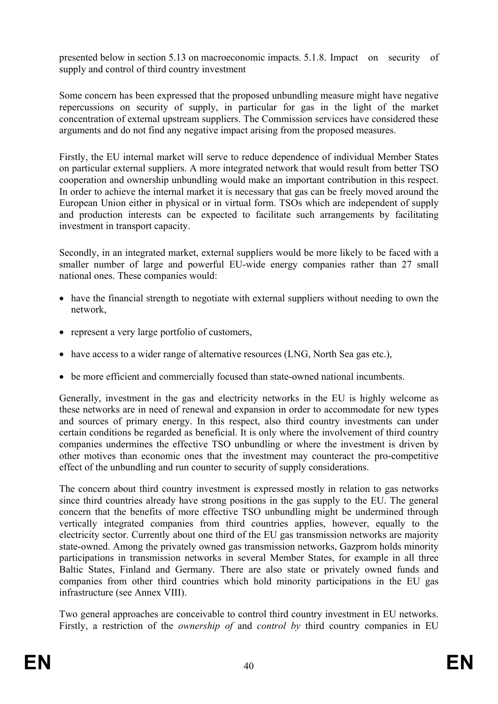presented below in section 5.13 on macroeconomic impacts. 5.1.8. Impact on security of supply and control of third country investment

Some concern has been expressed that the proposed unbundling measure might have negative repercussions on security of supply, in particular for gas in the light of the market concentration of external upstream suppliers. The Commission services have considered these arguments and do not find any negative impact arising from the proposed measures.

Firstly, the EU internal market will serve to reduce dependence of individual Member States on particular external suppliers. A more integrated network that would result from better TSO cooperation and ownership unbundling would make an important contribution in this respect. In order to achieve the internal market it is necessary that gas can be freely moved around the European Union either in physical or in virtual form. TSOs which are independent of supply and production interests can be expected to facilitate such arrangements by facilitating investment in transport capacity.

Secondly, in an integrated market, external suppliers would be more likely to be faced with a smaller number of large and powerful EU-wide energy companies rather than 27 small national ones. These companies would:

- have the financial strength to negotiate with external suppliers without needing to own the network,
- represent a very large portfolio of customers,
- have access to a wider range of alternative resources (LNG, North Sea gas etc.).
- be more efficient and commercially focused than state-owned national incumbents.

Generally, investment in the gas and electricity networks in the EU is highly welcome as these networks are in need of renewal and expansion in order to accommodate for new types and sources of primary energy. In this respect, also third country investments can under certain conditions be regarded as beneficial. It is only where the involvement of third country companies undermines the effective TSO unbundling or where the investment is driven by other motives than economic ones that the investment may counteract the pro-competitive effect of the unbundling and run counter to security of supply considerations.

The concern about third country investment is expressed mostly in relation to gas networks since third countries already have strong positions in the gas supply to the EU. The general concern that the benefits of more effective TSO unbundling might be undermined through vertically integrated companies from third countries applies, however, equally to the electricity sector. Currently about one third of the EU gas transmission networks are majority state-owned. Among the privately owned gas transmission networks, Gazprom holds minority participations in transmission networks in several Member States, for example in all three Baltic States, Finland and Germany. There are also state or privately owned funds and companies from other third countries which hold minority participations in the EU gas infrastructure (see Annex VIII).

Two general approaches are conceivable to control third country investment in EU networks. Firstly, a restriction of the *ownership of* and *control by* third country companies in EU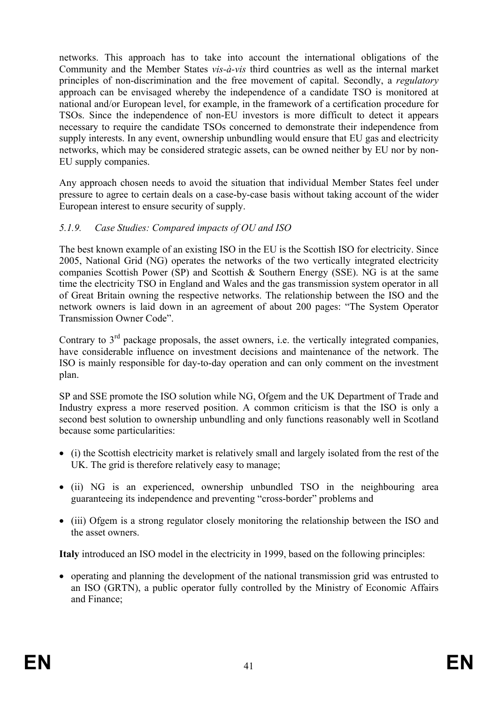networks. This approach has to take into account the international obligations of the Community and the Member States *vis-à-vis* third countries as well as the internal market principles of non-discrimination and the free movement of capital. Secondly, a *regulatory* approach can be envisaged whereby the independence of a candidate TSO is monitored at national and/or European level, for example, in the framework of a certification procedure for TSOs. Since the independence of non-EU investors is more difficult to detect it appears necessary to require the candidate TSOs concerned to demonstrate their independence from supply interests. In any event, ownership unbundling would ensure that EU gas and electricity networks, which may be considered strategic assets, can be owned neither by EU nor by non-EU supply companies.

Any approach chosen needs to avoid the situation that individual Member States feel under pressure to agree to certain deals on a case-by-case basis without taking account of the wider European interest to ensure security of supply.

## *5.1.9. Case Studies: Compared impacts of OU and ISO*

The best known example of an existing ISO in the EU is the Scottish ISO for electricity. Since 2005, National Grid (NG) operates the networks of the two vertically integrated electricity companies Scottish Power (SP) and Scottish & Southern Energy (SSE). NG is at the same time the electricity TSO in England and Wales and the gas transmission system operator in all of Great Britain owning the respective networks. The relationship between the ISO and the network owners is laid down in an agreement of about 200 pages: "The System Operator Transmission Owner Code".

Contrary to  $3<sup>rd</sup>$  package proposals, the asset owners, i.e. the vertically integrated companies, have considerable influence on investment decisions and maintenance of the network. The ISO is mainly responsible for day-to-day operation and can only comment on the investment plan.

SP and SSE promote the ISO solution while NG, Ofgem and the UK Department of Trade and Industry express a more reserved position. A common criticism is that the ISO is only a second best solution to ownership unbundling and only functions reasonably well in Scotland because some particularities:

- (i) the Scottish electricity market is relatively small and largely isolated from the rest of the UK. The grid is therefore relatively easy to manage;
- (ii) NG is an experienced, ownership unbundled TSO in the neighbouring area guaranteeing its independence and preventing "cross-border" problems and
- (iii) Ofgem is a strong regulator closely monitoring the relationship between the ISO and the asset owners.

**Italy** introduced an ISO model in the electricity in 1999, based on the following principles:

• operating and planning the development of the national transmission grid was entrusted to an ISO (GRTN), a public operator fully controlled by the Ministry of Economic Affairs and Finance;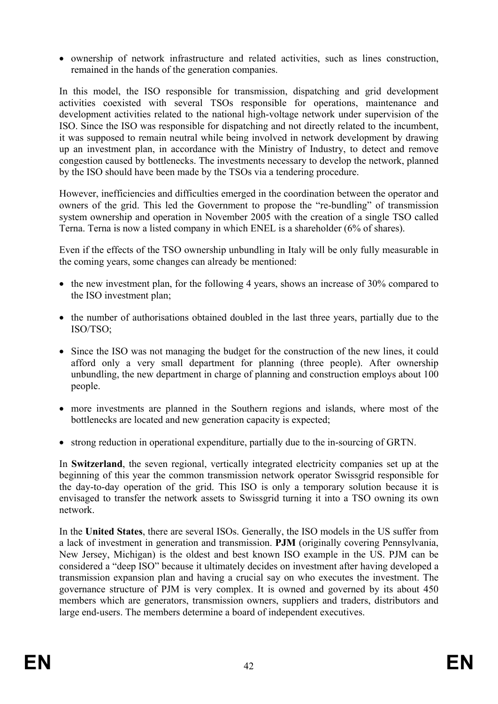• ownership of network infrastructure and related activities, such as lines construction, remained in the hands of the generation companies.

In this model, the ISO responsible for transmission, dispatching and grid development activities coexisted with several TSOs responsible for operations, maintenance and development activities related to the national high-voltage network under supervision of the ISO. Since the ISO was responsible for dispatching and not directly related to the incumbent, it was supposed to remain neutral while being involved in network development by drawing up an investment plan, in accordance with the Ministry of Industry, to detect and remove congestion caused by bottlenecks. The investments necessary to develop the network, planned by the ISO should have been made by the TSOs via a tendering procedure.

However, inefficiencies and difficulties emerged in the coordination between the operator and owners of the grid. This led the Government to propose the "re-bundling" of transmission system ownership and operation in November 2005 with the creation of a single TSO called Terna. Terna is now a listed company in which ENEL is a shareholder (6% of shares).

Even if the effects of the TSO ownership unbundling in Italy will be only fully measurable in the coming years, some changes can already be mentioned:

- the new investment plan, for the following 4 years, shows an increase of 30% compared to the ISO investment plan;
- the number of authorisations obtained doubled in the last three years, partially due to the ISO/TSO;
- Since the ISO was not managing the budget for the construction of the new lines, it could afford only a very small department for planning (three people). After ownership unbundling, the new department in charge of planning and construction employs about 100 people.
- more investments are planned in the Southern regions and islands, where most of the bottlenecks are located and new generation capacity is expected;
- strong reduction in operational expenditure, partially due to the in-sourcing of GRTN.

In **Switzerland**, the seven regional, vertically integrated electricity companies set up at the beginning of this year the common transmission network operator Swissgrid responsible for the day-to-day operation of the grid. This ISO is only a temporary solution because it is envisaged to transfer the network assets to Swissgrid turning it into a TSO owning its own network.

In the **United States**, there are several ISOs. Generally, the ISO models in the US suffer from a lack of investment in generation and transmission. **PJM** (originally covering Pennsylvania, New Jersey, Michigan) is the oldest and best known ISO example in the US. PJM can be considered a "deep ISO" because it ultimately decides on investment after having developed a transmission expansion plan and having a crucial say on who executes the investment. The governance structure of PJM is very complex. It is owned and governed by its about 450 members which are generators, transmission owners, suppliers and traders, distributors and large end-users. The members determine a board of independent executives.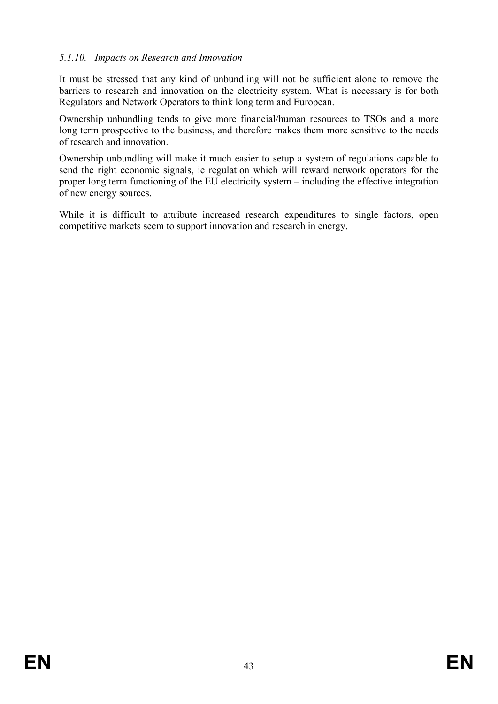## *5.1.10. Impacts on Research and Innovation*

It must be stressed that any kind of unbundling will not be sufficient alone to remove the barriers to research and innovation on the electricity system. What is necessary is for both Regulators and Network Operators to think long term and European.

Ownership unbundling tends to give more financial/human resources to TSOs and a more long term prospective to the business, and therefore makes them more sensitive to the needs of research and innovation.

Ownership unbundling will make it much easier to setup a system of regulations capable to send the right economic signals, ie regulation which will reward network operators for the proper long term functioning of the EU electricity system – including the effective integration of new energy sources.

While it is difficult to attribute increased research expenditures to single factors, open competitive markets seem to support innovation and research in energy.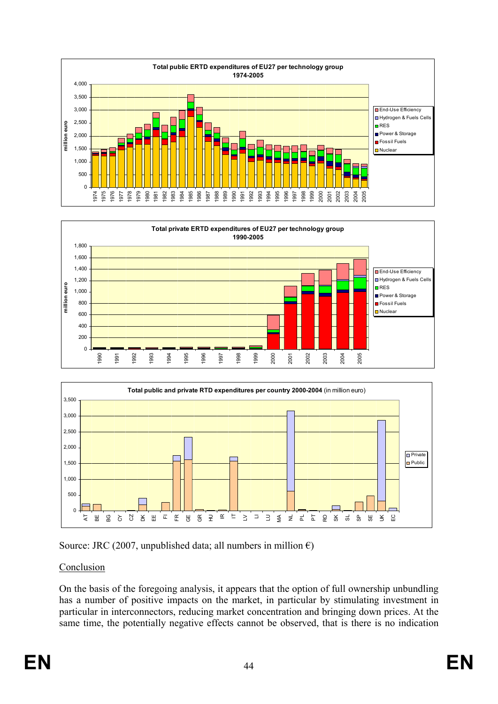







## Conclusion

On the basis of the foregoing analysis, it appears that the option of full ownership unbundling has a number of positive impacts on the market, in particular by stimulating investment in particular in interconnectors, reducing market concentration and bringing down prices. At the same time, the potentially negative effects cannot be observed, that is there is no indication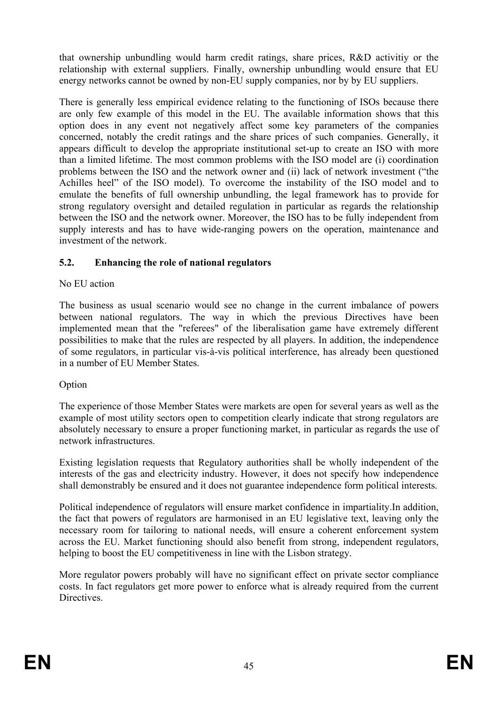that ownership unbundling would harm credit ratings, share prices, R&D activitiy or the relationship with external suppliers. Finally, ownership unbundling would ensure that EU energy networks cannot be owned by non-EU supply companies, nor by by EU suppliers.

There is generally less empirical evidence relating to the functioning of ISOs because there are only few example of this model in the EU. The available information shows that this option does in any event not negatively affect some key parameters of the companies concerned, notably the credit ratings and the share prices of such companies. Generally, it appears difficult to develop the appropriate institutional set-up to create an ISO with more than a limited lifetime. The most common problems with the ISO model are (i) coordination problems between the ISO and the network owner and (ii) lack of network investment ("the Achilles heel" of the ISO model). To overcome the instability of the ISO model and to emulate the benefits of full ownership unbundling, the legal framework has to provide for strong regulatory oversight and detailed regulation in particular as regards the relationship between the ISO and the network owner. Moreover, the ISO has to be fully independent from supply interests and has to have wide-ranging powers on the operation, maintenance and investment of the network.

## **5.2. Enhancing the role of national regulators**

## No EU action

The business as usual scenario would see no change in the current imbalance of powers between national regulators. The way in which the previous Directives have been implemented mean that the "referees" of the liberalisation game have extremely different possibilities to make that the rules are respected by all players. In addition, the independence of some regulators, in particular vis-à-vis political interference, has already been questioned in a number of EU Member States.

## Option

The experience of those Member States were markets are open for several years as well as the example of most utility sectors open to competition clearly indicate that strong regulators are absolutely necessary to ensure a proper functioning market, in particular as regards the use of network infrastructures.

Existing legislation requests that Regulatory authorities shall be wholly independent of the interests of the gas and electricity industry. However, it does not specify how independence shall demonstrably be ensured and it does not guarantee independence form political interests.

Political independence of regulators will ensure market confidence in impartiality.In addition, the fact that powers of regulators are harmonised in an EU legislative text, leaving only the necessary room for tailoring to national needs, will ensure a coherent enforcement system across the EU. Market functioning should also benefit from strong, independent regulators, helping to boost the EU competitiveness in line with the Lisbon strategy.

More regulator powers probably will have no significant effect on private sector compliance costs. In fact regulators get more power to enforce what is already required from the current Directives.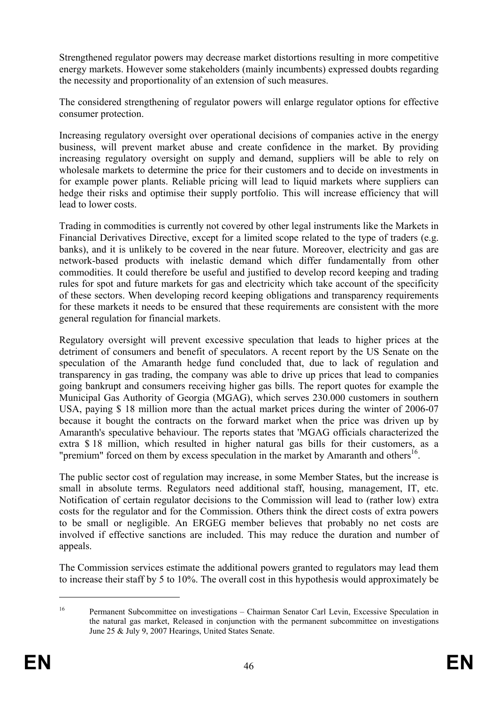Strengthened regulator powers may decrease market distortions resulting in more competitive energy markets. However some stakeholders (mainly incumbents) expressed doubts regarding the necessity and proportionality of an extension of such measures.

The considered strengthening of regulator powers will enlarge regulator options for effective consumer protection.

Increasing regulatory oversight over operational decisions of companies active in the energy business, will prevent market abuse and create confidence in the market. By providing increasing regulatory oversight on supply and demand, suppliers will be able to rely on wholesale markets to determine the price for their customers and to decide on investments in for example power plants. Reliable pricing will lead to liquid markets where suppliers can hedge their risks and optimise their supply portfolio. This will increase efficiency that will lead to lower costs.

Trading in commodities is currently not covered by other legal instruments like the Markets in Financial Derivatives Directive, except for a limited scope related to the type of traders (e.g. banks), and it is unlikely to be covered in the near future. Moreover, electricity and gas are network-based products with inelastic demand which differ fundamentally from other commodities. It could therefore be useful and justified to develop record keeping and trading rules for spot and future markets for gas and electricity which take account of the specificity of these sectors. When developing record keeping obligations and transparency requirements for these markets it needs to be ensured that these requirements are consistent with the more general regulation for financial markets.

Regulatory oversight will prevent excessive speculation that leads to higher prices at the detriment of consumers and benefit of speculators. A recent report by the US Senate on the speculation of the Amaranth hedge fund concluded that, due to lack of regulation and transparency in gas trading, the company was able to drive up prices that lead to companies going bankrupt and consumers receiving higher gas bills. The report quotes for example the Municipal Gas Authority of Georgia (MGAG), which serves 230.000 customers in southern USA, paying \$ 18 million more than the actual market prices during the winter of 2006-07 because it bought the contracts on the forward market when the price was driven up by Amaranth's speculative behaviour. The reports states that 'MGAG officials characterized the extra \$ 18 million, which resulted in higher natural gas bills for their customers, as a "premium" forced on them by excess speculation in the market by Amaranth and others<sup>16</sup>.

The public sector cost of regulation may increase, in some Member States, but the increase is small in absolute terms. Regulators need additional staff, housing, management, IT, etc. Notification of certain regulator decisions to the Commission will lead to (rather low) extra costs for the regulator and for the Commission. Others think the direct costs of extra powers to be small or negligible. An ERGEG member believes that probably no net costs are involved if effective sanctions are included. This may reduce the duration and number of appeals.

The Commission services estimate the additional powers granted to regulators may lead them to increase their staff by 5 to 10%. The overall cost in this hypothesis would approximately be

<u>.</u>

<sup>&</sup>lt;sup>16</sup> Permanent Subcommittee on investigations – Chairman Senator Carl Levin, Excessive Speculation in the natural gas market, Released in conjunction with the permanent subcommittee on investigations June 25 & July 9, 2007 Hearings, United States Senate.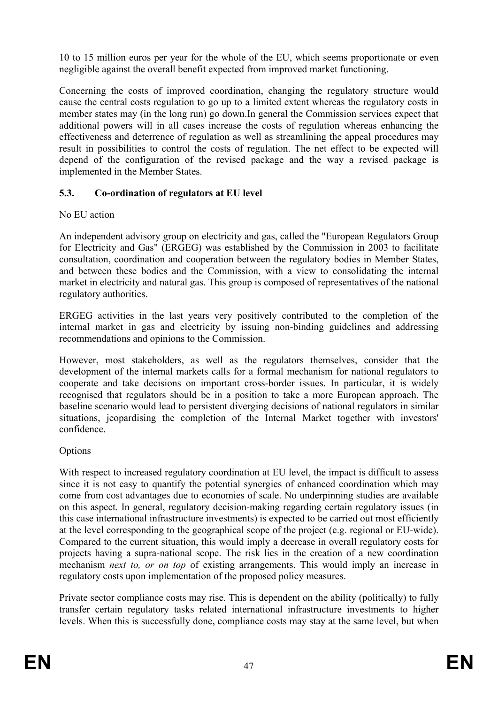10 to 15 million euros per year for the whole of the EU, which seems proportionate or even negligible against the overall benefit expected from improved market functioning.

Concerning the costs of improved coordination, changing the regulatory structure would cause the central costs regulation to go up to a limited extent whereas the regulatory costs in member states may (in the long run) go down.In general the Commission services expect that additional powers will in all cases increase the costs of regulation whereas enhancing the effectiveness and deterrence of regulation as well as streamlining the appeal procedures may result in possibilities to control the costs of regulation. The net effect to be expected will depend of the configuration of the revised package and the way a revised package is implemented in the Member States.

## **5.3. Co-ordination of regulators at EU level**

## No EU action

An independent advisory group on electricity and gas, called the "European Regulators Group for Electricity and Gas" (ERGEG) was established by the Commission in 2003 to facilitate consultation, coordination and cooperation between the regulatory bodies in Member States, and between these bodies and the Commission, with a view to consolidating the internal market in electricity and natural gas. This group is composed of representatives of the national regulatory authorities.

ERGEG activities in the last years very positively contributed to the completion of the internal market in gas and electricity by issuing non-binding guidelines and addressing recommendations and opinions to the Commission.

However, most stakeholders, as well as the regulators themselves, consider that the development of the internal markets calls for a formal mechanism for national regulators to cooperate and take decisions on important cross-border issues. In particular, it is widely recognised that regulators should be in a position to take a more European approach. The baseline scenario would lead to persistent diverging decisions of national regulators in similar situations, jeopardising the completion of the Internal Market together with investors' confidence.

## Options

With respect to increased regulatory coordination at EU level, the impact is difficult to assess since it is not easy to quantify the potential synergies of enhanced coordination which may come from cost advantages due to economies of scale. No underpinning studies are available on this aspect. In general, regulatory decision-making regarding certain regulatory issues (in this case international infrastructure investments) is expected to be carried out most efficiently at the level corresponding to the geographical scope of the project (e.g. regional or EU-wide). Compared to the current situation, this would imply a decrease in overall regulatory costs for projects having a supra-national scope. The risk lies in the creation of a new coordination mechanism *next to, or on top* of existing arrangements. This would imply an increase in regulatory costs upon implementation of the proposed policy measures.

Private sector compliance costs may rise. This is dependent on the ability (politically) to fully transfer certain regulatory tasks related international infrastructure investments to higher levels. When this is successfully done, compliance costs may stay at the same level, but when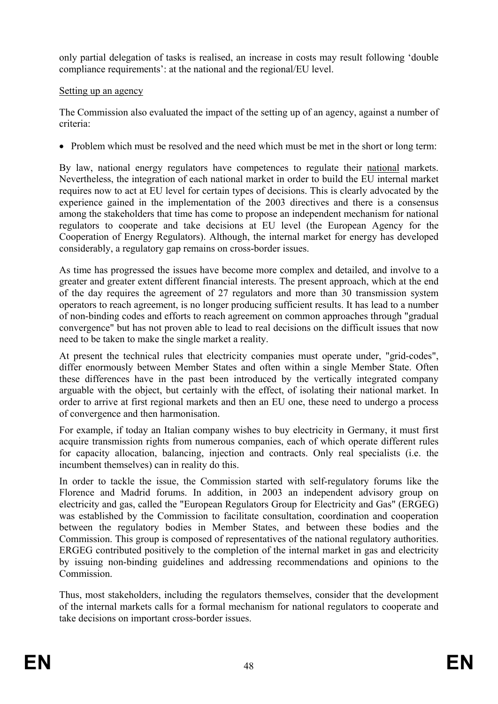only partial delegation of tasks is realised, an increase in costs may result following 'double compliance requirements': at the national and the regional/EU level.

## Setting up an agency

The Commission also evaluated the impact of the setting up of an agency, against a number of criteria:

• Problem which must be resolved and the need which must be met in the short or long term:

By law, national energy regulators have competences to regulate their national markets. Nevertheless, the integration of each national market in order to build the EU internal market requires now to act at EU level for certain types of decisions. This is clearly advocated by the experience gained in the implementation of the 2003 directives and there is a consensus among the stakeholders that time has come to propose an independent mechanism for national regulators to cooperate and take decisions at EU level (the European Agency for the Cooperation of Energy Regulators). Although, the internal market for energy has developed considerably, a regulatory gap remains on cross-border issues.

As time has progressed the issues have become more complex and detailed, and involve to a greater and greater extent different financial interests. The present approach, which at the end of the day requires the agreement of 27 regulators and more than 30 transmission system operators to reach agreement, is no longer producing sufficient results. It has lead to a number of non-binding codes and efforts to reach agreement on common approaches through "gradual convergence" but has not proven able to lead to real decisions on the difficult issues that now need to be taken to make the single market a reality.

At present the technical rules that electricity companies must operate under, "grid-codes", differ enormously between Member States and often within a single Member State. Often these differences have in the past been introduced by the vertically integrated company arguable with the object, but certainly with the effect, of isolating their national market. In order to arrive at first regional markets and then an EU one, these need to undergo a process of convergence and then harmonisation.

For example, if today an Italian company wishes to buy electricity in Germany, it must first acquire transmission rights from numerous companies, each of which operate different rules for capacity allocation, balancing, injection and contracts. Only real specialists (i.e. the incumbent themselves) can in reality do this.

In order to tackle the issue, the Commission started with self-regulatory forums like the Florence and Madrid forums. In addition, in 2003 an independent advisory group on electricity and gas, called the "European Regulators Group for Electricity and Gas" (ERGEG) was established by the Commission to facilitate consultation, coordination and cooperation between the regulatory bodies in Member States, and between these bodies and the Commission. This group is composed of representatives of the national regulatory authorities. ERGEG contributed positively to the completion of the internal market in gas and electricity by issuing non-binding guidelines and addressing recommendations and opinions to the **Commission** 

Thus, most stakeholders, including the regulators themselves, consider that the development of the internal markets calls for a formal mechanism for national regulators to cooperate and take decisions on important cross-border issues.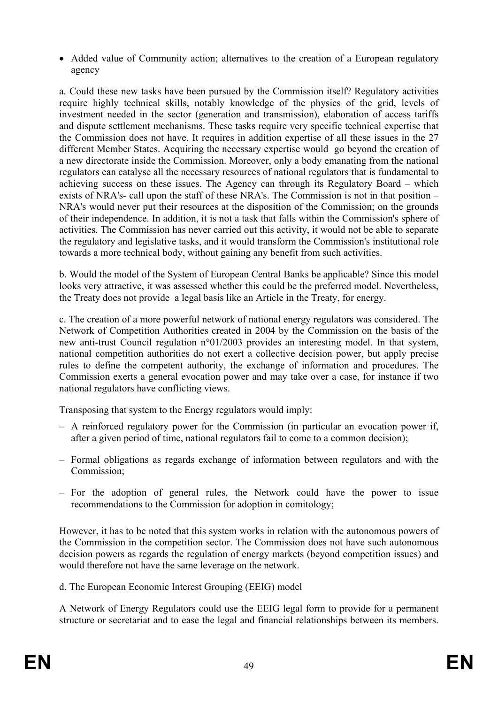• Added value of Community action; alternatives to the creation of a European regulatory agency

a. Could these new tasks have been pursued by the Commission itself? Regulatory activities require highly technical skills, notably knowledge of the physics of the grid, levels of investment needed in the sector (generation and transmission), elaboration of access tariffs and dispute settlement mechanisms. These tasks require very specific technical expertise that the Commission does not have. It requires in addition expertise of all these issues in the 27 different Member States. Acquiring the necessary expertise would go beyond the creation of a new directorate inside the Commission. Moreover, only a body emanating from the national regulators can catalyse all the necessary resources of national regulators that is fundamental to achieving success on these issues. The Agency can through its Regulatory Board – which exists of NRA's- call upon the staff of these NRA's. The Commission is not in that position – NRA's would never put their resources at the disposition of the Commission; on the grounds of their independence. In addition, it is not a task that falls within the Commission's sphere of activities. The Commission has never carried out this activity, it would not be able to separate the regulatory and legislative tasks, and it would transform the Commission's institutional role towards a more technical body, without gaining any benefit from such activities.

b. Would the model of the System of European Central Banks be applicable? Since this model looks very attractive, it was assessed whether this could be the preferred model. Nevertheless, the Treaty does not provide a legal basis like an Article in the Treaty, for energy.

c. The creation of a more powerful network of national energy regulators was considered. The Network of Competition Authorities created in 2004 by the Commission on the basis of the new anti-trust Council regulation n°01/2003 provides an interesting model. In that system, national competition authorities do not exert a collective decision power, but apply precise rules to define the competent authority, the exchange of information and procedures. The Commission exerts a general evocation power and may take over a case, for instance if two national regulators have conflicting views.

Transposing that system to the Energy regulators would imply:

- A reinforced regulatory power for the Commission (in particular an evocation power if, after a given period of time, national regulators fail to come to a common decision);
- Formal obligations as regards exchange of information between regulators and with the Commission;
- For the adoption of general rules, the Network could have the power to issue recommendations to the Commission for adoption in comitology;

However, it has to be noted that this system works in relation with the autonomous powers of the Commission in the competition sector. The Commission does not have such autonomous decision powers as regards the regulation of energy markets (beyond competition issues) and would therefore not have the same leverage on the network.

d. The European Economic Interest Grouping (EEIG) model

A Network of Energy Regulators could use the EEIG legal form to provide for a permanent structure or secretariat and to ease the legal and financial relationships between its members.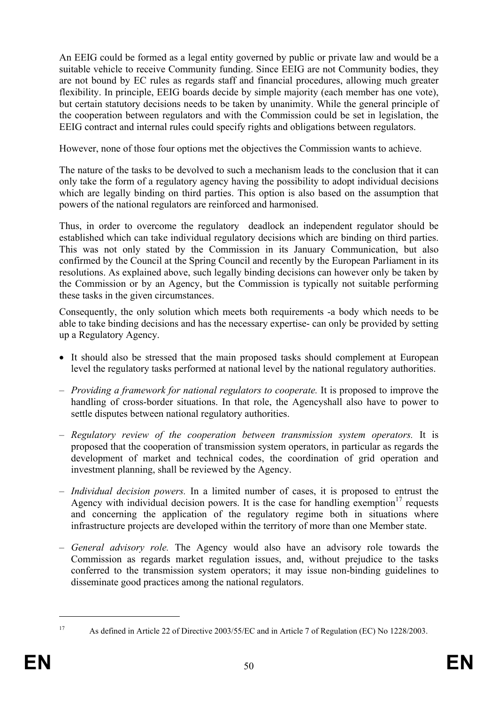An EEIG could be formed as a legal entity governed by public or private law and would be a suitable vehicle to receive Community funding. Since EEIG are not Community bodies, they are not bound by EC rules as regards staff and financial procedures, allowing much greater flexibility. In principle, EEIG boards decide by simple majority (each member has one vote), but certain statutory decisions needs to be taken by unanimity. While the general principle of the cooperation between regulators and with the Commission could be set in legislation, the EEIG contract and internal rules could specify rights and obligations between regulators.

However, none of those four options met the objectives the Commission wants to achieve.

The nature of the tasks to be devolved to such a mechanism leads to the conclusion that it can only take the form of a regulatory agency having the possibility to adopt individual decisions which are legally binding on third parties. This option is also based on the assumption that powers of the national regulators are reinforced and harmonised.

Thus, in order to overcome the regulatory deadlock an independent regulator should be established which can take individual regulatory decisions which are binding on third parties. This was not only stated by the Commission in its January Communication, but also confirmed by the Council at the Spring Council and recently by the European Parliament in its resolutions. As explained above, such legally binding decisions can however only be taken by the Commission or by an Agency, but the Commission is typically not suitable performing these tasks in the given circumstances.

Consequently, the only solution which meets both requirements -a body which needs to be able to take binding decisions and has the necessary expertise- can only be provided by setting up a Regulatory Agency.

- It should also be stressed that the main proposed tasks should complement at European level the regulatory tasks performed at national level by the national regulatory authorities.
- *Providing a framework for national regulators to cooperate.* It is proposed to improve the handling of cross-border situations. In that role, the Agencyshall also have to power to settle disputes between national regulatory authorities.
- *Regulatory review of the cooperation between transmission system operators.* It is proposed that the cooperation of transmission system operators, in particular as regards the development of market and technical codes, the coordination of grid operation and investment planning, shall be reviewed by the Agency.
- *Individual decision powers.* In a limited number of cases, it is proposed to entrust the Agency with individual decision powers. It is the case for handling exemption<sup>17</sup> requests and concerning the application of the regulatory regime both in situations where infrastructure projects are developed within the territory of more than one Member state.
- *General advisory role.* The Agency would also have an advisory role towards the Commission as regards market regulation issues, and, without prejudice to the tasks conferred to the transmission system operators; it may issue non-binding guidelines to disseminate good practices among the national regulators.

<sup>1</sup> 

<sup>17</sup> As defined in Article 22 of Directive 2003/55/EC and in Article 7 of Regulation (EC) No 1228/2003.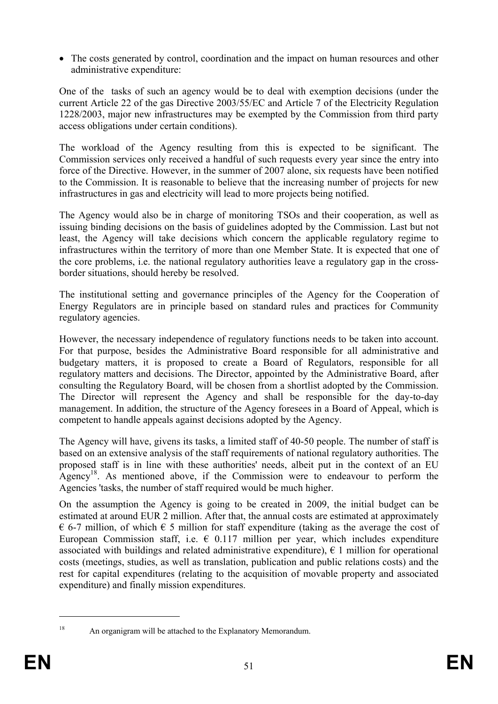• The costs generated by control, coordination and the impact on human resources and other administrative expenditure:

One of the tasks of such an agency would be to deal with exemption decisions (under the current Article 22 of the gas Directive 2003/55/EC and Article 7 of the Electricity Regulation 1228/2003, major new infrastructures may be exempted by the Commission from third party access obligations under certain conditions).

The workload of the Agency resulting from this is expected to be significant. The Commission services only received a handful of such requests every year since the entry into force of the Directive. However, in the summer of 2007 alone, six requests have been notified to the Commission. It is reasonable to believe that the increasing number of projects for new infrastructures in gas and electricity will lead to more projects being notified.

The Agency would also be in charge of monitoring TSOs and their cooperation, as well as issuing binding decisions on the basis of guidelines adopted by the Commission. Last but not least, the Agency will take decisions which concern the applicable regulatory regime to infrastructures within the territory of more than one Member State. It is expected that one of the core problems, i.e. the national regulatory authorities leave a regulatory gap in the crossborder situations, should hereby be resolved.

The institutional setting and governance principles of the Agency for the Cooperation of Energy Regulators are in principle based on standard rules and practices for Community regulatory agencies.

However, the necessary independence of regulatory functions needs to be taken into account. For that purpose, besides the Administrative Board responsible for all administrative and budgetary matters, it is proposed to create a Board of Regulators, responsible for all regulatory matters and decisions. The Director, appointed by the Administrative Board, after consulting the Regulatory Board, will be chosen from a shortlist adopted by the Commission. The Director will represent the Agency and shall be responsible for the day-to-day management. In addition, the structure of the Agency foresees in a Board of Appeal, which is competent to handle appeals against decisions adopted by the Agency.

The Agency will have, givens its tasks, a limited staff of 40-50 people. The number of staff is based on an extensive analysis of the staff requirements of national regulatory authorities. The proposed staff is in line with these authorities' needs, albeit put in the context of an EU Agency<sup>18</sup>. As mentioned above, if the Commission were to endeavour to perform the Agencies 'tasks, the number of staff required would be much higher.

On the assumption the Agency is going to be created in 2009, the initial budget can be estimated at around EUR 2 million. After that, the annual costs are estimated at approximately  $\epsilon$  6-7 million, of which  $\epsilon$  5 million for staff expenditure (taking as the average the cost of European Commission staff, i.e.  $\epsilon$  0.117 million per year, which includes expenditure associated with buildings and related administrative expenditure),  $\epsilon$  1 million for operational costs (meetings, studies, as well as translation, publication and public relations costs) and the rest for capital expenditures (relating to the acquisition of movable property and associated expenditure) and finally mission expenditures.

<sup>1</sup> 

<sup>18</sup> An organigram will be attached to the Explanatory Memorandum.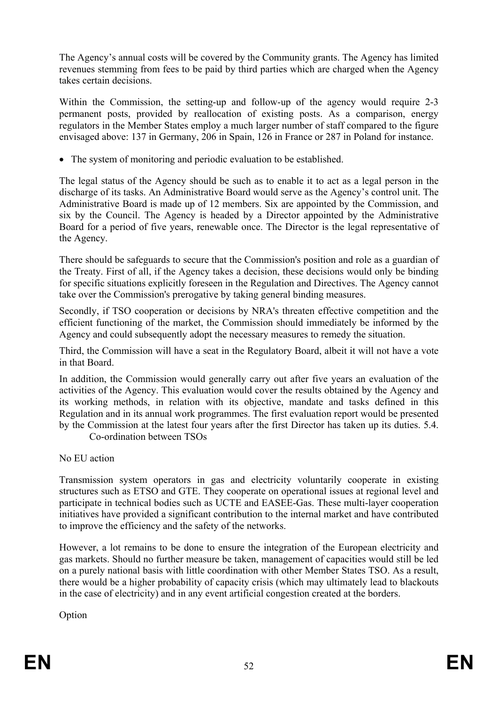The Agency's annual costs will be covered by the Community grants. The Agency has limited revenues stemming from fees to be paid by third parties which are charged when the Agency takes certain decisions.

Within the Commission, the setting-up and follow-up of the agency would require 2-3 permanent posts, provided by reallocation of existing posts. As a comparison, energy regulators in the Member States employ a much larger number of staff compared to the figure envisaged above: 137 in Germany, 206 in Spain, 126 in France or 287 in Poland for instance.

• The system of monitoring and periodic evaluation to be established.

The legal status of the Agency should be such as to enable it to act as a legal person in the discharge of its tasks. An Administrative Board would serve as the Agency's control unit. The Administrative Board is made up of 12 members. Six are appointed by the Commission, and six by the Council. The Agency is headed by a Director appointed by the Administrative Board for a period of five years, renewable once. The Director is the legal representative of the Agency.

There should be safeguards to secure that the Commission's position and role as a guardian of the Treaty. First of all, if the Agency takes a decision, these decisions would only be binding for specific situations explicitly foreseen in the Regulation and Directives. The Agency cannot take over the Commission's prerogative by taking general binding measures.

Secondly, if TSO cooperation or decisions by NRA's threaten effective competition and the efficient functioning of the market, the Commission should immediately be informed by the Agency and could subsequently adopt the necessary measures to remedy the situation.

Third, the Commission will have a seat in the Regulatory Board, albeit it will not have a vote in that Board.

In addition, the Commission would generally carry out after five years an evaluation of the activities of the Agency. This evaluation would cover the results obtained by the Agency and its working methods, in relation with its objective, mandate and tasks defined in this Regulation and in its annual work programmes. The first evaluation report would be presented by the Commission at the latest four years after the first Director has taken up its duties. 5.4.

Co-ordination between TSOs

No EU action

Transmission system operators in gas and electricity voluntarily cooperate in existing structures such as ETSO and GTE. They cooperate on operational issues at regional level and participate in technical bodies such as UCTE and EASEE-Gas. These multi-layer cooperation initiatives have provided a significant contribution to the internal market and have contributed to improve the efficiency and the safety of the networks.

However, a lot remains to be done to ensure the integration of the European electricity and gas markets. Should no further measure be taken, management of capacities would still be led on a purely national basis with little coordination with other Member States TSO. As a result, there would be a higher probability of capacity crisis (which may ultimately lead to blackouts in the case of electricity) and in any event artificial congestion created at the borders.

Option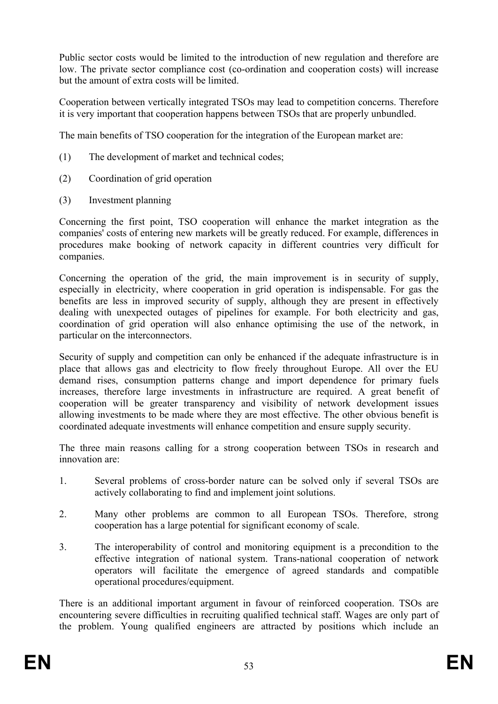Public sector costs would be limited to the introduction of new regulation and therefore are low. The private sector compliance cost (co-ordination and cooperation costs) will increase but the amount of extra costs will be limited.

Cooperation between vertically integrated TSOs may lead to competition concerns. Therefore it is very important that cooperation happens between TSOs that are properly unbundled.

The main benefits of TSO cooperation for the integration of the European market are:

- (1) The development of market and technical codes;
- (2) Coordination of grid operation
- (3) Investment planning

Concerning the first point, TSO cooperation will enhance the market integration as the companies' costs of entering new markets will be greatly reduced. For example, differences in procedures make booking of network capacity in different countries very difficult for companies.

Concerning the operation of the grid, the main improvement is in security of supply, especially in electricity, where cooperation in grid operation is indispensable. For gas the benefits are less in improved security of supply, although they are present in effectively dealing with unexpected outages of pipelines for example. For both electricity and gas, coordination of grid operation will also enhance optimising the use of the network, in particular on the interconnectors.

Security of supply and competition can only be enhanced if the adequate infrastructure is in place that allows gas and electricity to flow freely throughout Europe. All over the EU demand rises, consumption patterns change and import dependence for primary fuels increases, therefore large investments in infrastructure are required. A great benefit of cooperation will be greater transparency and visibility of network development issues allowing investments to be made where they are most effective. The other obvious benefit is coordinated adequate investments will enhance competition and ensure supply security.

The three main reasons calling for a strong cooperation between TSOs in research and innovation are:

- 1. Several problems of cross-border nature can be solved only if several TSOs are actively collaborating to find and implement joint solutions.
- 2. Many other problems are common to all European TSOs. Therefore, strong cooperation has a large potential for significant economy of scale.
- 3. The interoperability of control and monitoring equipment is a precondition to the effective integration of national system. Trans-national cooperation of network operators will facilitate the emergence of agreed standards and compatible operational procedures/equipment.

There is an additional important argument in favour of reinforced cooperation. TSOs are encountering severe difficulties in recruiting qualified technical staff. Wages are only part of the problem. Young qualified engineers are attracted by positions which include an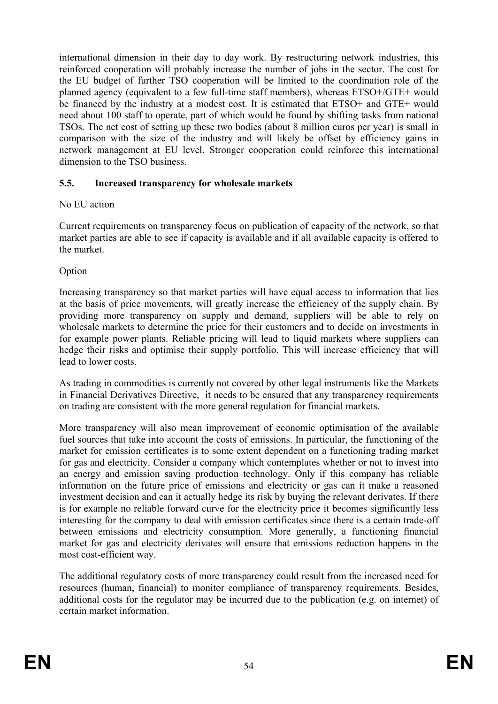international dimension in their day to day work. By restructuring network industries, this reinforced cooperation will probably increase the number of jobs in the sector. The cost for the EU budget of further TSO cooperation will be limited to the coordination role of the planned agency (equivalent to a few full-time staff members), whereas ETSO+/GTE+ would be financed by the industry at a modest cost. It is estimated that ETSO+ and GTE+ would need about 100 staff to operate, part of which would be found by shifting tasks from national TSOs. The net cost of setting up these two bodies (about 8 million euros per year) is small in comparison with the size of the industry and will likely be offset by efficiency gains in network management at EU level. Stronger cooperation could reinforce this international dimension to the TSO business.

## **5.5. Increased transparency for wholesale markets**

## No EU action

Current requirements on transparency focus on publication of capacity of the network, so that market parties are able to see if capacity is available and if all available capacity is offered to the market.

Option

Increasing transparency so that market parties will have equal access to information that lies at the basis of price movements, will greatly increase the efficiency of the supply chain. By providing more transparency on supply and demand, suppliers will be able to rely on wholesale markets to determine the price for their customers and to decide on investments in for example power plants. Reliable pricing will lead to liquid markets where suppliers can hedge their risks and optimise their supply portfolio. This will increase efficiency that will lead to lower costs.

As trading in commodities is currently not covered by other legal instruments like the Markets in Financial Derivatives Directive, it needs to be ensured that any transparency requirements on trading are consistent with the more general regulation for financial markets.

More transparency will also mean improvement of economic optimisation of the available fuel sources that take into account the costs of emissions. In particular, the functioning of the market for emission certificates is to some extent dependent on a functioning trading market for gas and electricity. Consider a company which contemplates whether or not to invest into an energy and emission saving production technology. Only if this company has reliable information on the future price of emissions and electricity or gas can it make a reasoned investment decision and can it actually hedge its risk by buying the relevant derivates. If there is for example no reliable forward curve for the electricity price it becomes significantly less interesting for the company to deal with emission certificates since there is a certain trade-off between emissions and electricity consumption. More generally, a functioning financial market for gas and electricity derivates will ensure that emissions reduction happens in the most cost-efficient way.

The additional regulatory costs of more transparency could result from the increased need for resources (human, financial) to monitor compliance of transparency requirements. Besides, additional costs for the regulator may be incurred due to the publication (e.g. on internet) of certain market information.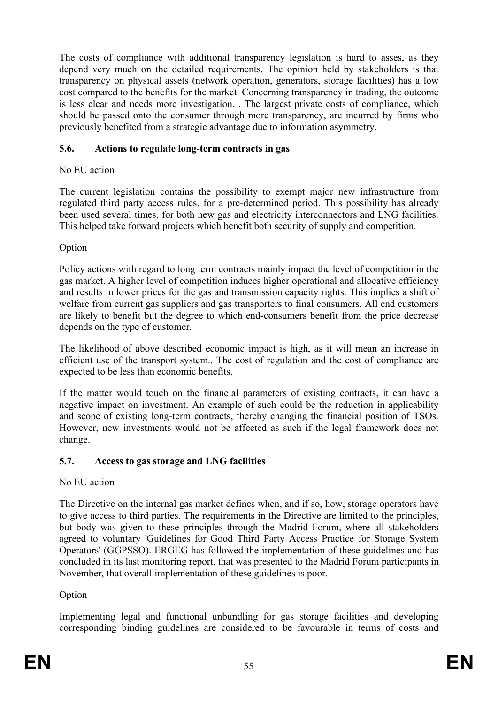The costs of compliance with additional transparency legislation is hard to asses, as they depend very much on the detailed requirements. The opinion held by stakeholders is that transparency on physical assets (network operation, generators, storage facilities) has a low cost compared to the benefits for the market. Concerning transparency in trading, the outcome is less clear and needs more investigation. . The largest private costs of compliance, which should be passed onto the consumer through more transparency, are incurred by firms who previously benefited from a strategic advantage due to information asymmetry.

## **5.6. Actions to regulate long-term contracts in gas**

## No EU action

The current legislation contains the possibility to exempt major new infrastructure from regulated third party access rules, for a pre-determined period. This possibility has already been used several times, for both new gas and electricity interconnectors and LNG facilities. This helped take forward projects which benefit both security of supply and competition.

Option

Policy actions with regard to long term contracts mainly impact the level of competition in the gas market. A higher level of competition induces higher operational and allocative efficiency and results in lower prices for the gas and transmission capacity rights. This implies a shift of welfare from current gas suppliers and gas transporters to final consumers. All end customers are likely to benefit but the degree to which end-consumers benefit from the price decrease depends on the type of customer.

The likelihood of above described economic impact is high, as it will mean an increase in efficient use of the transport system.. The cost of regulation and the cost of compliance are expected to be less than economic benefits.

If the matter would touch on the financial parameters of existing contracts, it can have a negative impact on investment. An example of such could be the reduction in applicability and scope of existing long-term contracts, thereby changing the financial position of TSOs. However, new investments would not be affected as such if the legal framework does not change.

## **5.7. Access to gas storage and LNG facilities**

## No EU action

The Directive on the internal gas market defines when, and if so, how, storage operators have to give access to third parties. The requirements in the Directive are limited to the principles, but body was given to these principles through the Madrid Forum, where all stakeholders agreed to voluntary 'Guidelines for Good Third Party Access Practice for Storage System Operators' (GGPSSO). ERGEG has followed the implementation of these guidelines and has concluded in its last monitoring report, that was presented to the Madrid Forum participants in November, that overall implementation of these guidelines is poor.

## Option

Implementing legal and functional unbundling for gas storage facilities and developing corresponding binding guidelines are considered to be favourable in terms of costs and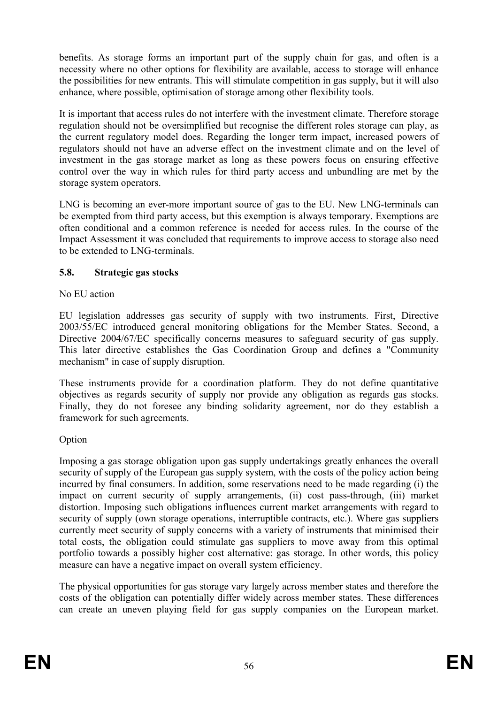benefits. As storage forms an important part of the supply chain for gas, and often is a necessity where no other options for flexibility are available, access to storage will enhance the possibilities for new entrants. This will stimulate competition in gas supply, but it will also enhance, where possible, optimisation of storage among other flexibility tools.

It is important that access rules do not interfere with the investment climate. Therefore storage regulation should not be oversimplified but recognise the different roles storage can play, as the current regulatory model does. Regarding the longer term impact, increased powers of regulators should not have an adverse effect on the investment climate and on the level of investment in the gas storage market as long as these powers focus on ensuring effective control over the way in which rules for third party access and unbundling are met by the storage system operators.

LNG is becoming an ever-more important source of gas to the EU. New LNG-terminals can be exempted from third party access, but this exemption is always temporary. Exemptions are often conditional and a common reference is needed for access rules. In the course of the Impact Assessment it was concluded that requirements to improve access to storage also need to be extended to LNG-terminals.

## **5.8. Strategic gas stocks**

## No EU action

EU legislation addresses gas security of supply with two instruments. First, Directive 2003/55/EC introduced general monitoring obligations for the Member States. Second, a Directive 2004/67/EC specifically concerns measures to safeguard security of gas supply. This later directive establishes the Gas Coordination Group and defines a "Community mechanism" in case of supply disruption.

These instruments provide for a coordination platform. They do not define quantitative objectives as regards security of supply nor provide any obligation as regards gas stocks. Finally, they do not foresee any binding solidarity agreement, nor do they establish a framework for such agreements.

## Option

Imposing a gas storage obligation upon gas supply undertakings greatly enhances the overall security of supply of the European gas supply system, with the costs of the policy action being incurred by final consumers. In addition, some reservations need to be made regarding (i) the impact on current security of supply arrangements, (ii) cost pass-through, (iii) market distortion. Imposing such obligations influences current market arrangements with regard to security of supply (own storage operations, interruptible contracts, etc.). Where gas suppliers currently meet security of supply concerns with a variety of instruments that minimised their total costs, the obligation could stimulate gas suppliers to move away from this optimal portfolio towards a possibly higher cost alternative: gas storage. In other words, this policy measure can have a negative impact on overall system efficiency.

The physical opportunities for gas storage vary largely across member states and therefore the costs of the obligation can potentially differ widely across member states. These differences can create an uneven playing field for gas supply companies on the European market.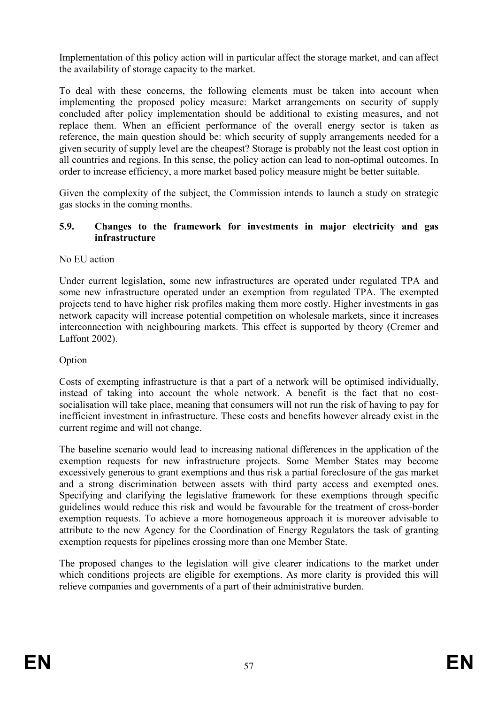Implementation of this policy action will in particular affect the storage market, and can affect the availability of storage capacity to the market.

To deal with these concerns, the following elements must be taken into account when implementing the proposed policy measure: Market arrangements on security of supply concluded after policy implementation should be additional to existing measures, and not replace them. When an efficient performance of the overall energy sector is taken as reference, the main question should be: which security of supply arrangements needed for a given security of supply level are the cheapest? Storage is probably not the least cost option in all countries and regions. In this sense, the policy action can lead to non-optimal outcomes. In order to increase efficiency, a more market based policy measure might be better suitable.

Given the complexity of the subject, the Commission intends to launch a study on strategic gas stocks in the coming months.

#### **5.9. Changes to the framework for investments in major electricity and gas infrastructure**

#### No EU action

Under current legislation, some new infrastructures are operated under regulated TPA and some new infrastructure operated under an exemption from regulated TPA. The exempted projects tend to have higher risk profiles making them more costly. Higher investments in gas network capacity will increase potential competition on wholesale markets, since it increases interconnection with neighbouring markets. This effect is supported by theory (Cremer and Laffont 2002).

#### Option

Costs of exempting infrastructure is that a part of a network will be optimised individually, instead of taking into account the whole network. A benefit is the fact that no costsocialisation will take place, meaning that consumers will not run the risk of having to pay for inefficient investment in infrastructure. These costs and benefits however already exist in the current regime and will not change.

The baseline scenario would lead to increasing national differences in the application of the exemption requests for new infrastructure projects. Some Member States may become excessively generous to grant exemptions and thus risk a partial foreclosure of the gas market and a strong discrimination between assets with third party access and exempted ones. Specifying and clarifying the legislative framework for these exemptions through specific guidelines would reduce this risk and would be favourable for the treatment of cross-border exemption requests. To achieve a more homogeneous approach it is moreover advisable to attribute to the new Agency for the Coordination of Energy Regulators the task of granting exemption requests for pipelines crossing more than one Member State.

The proposed changes to the legislation will give clearer indications to the market under which conditions projects are eligible for exemptions. As more clarity is provided this will relieve companies and governments of a part of their administrative burden.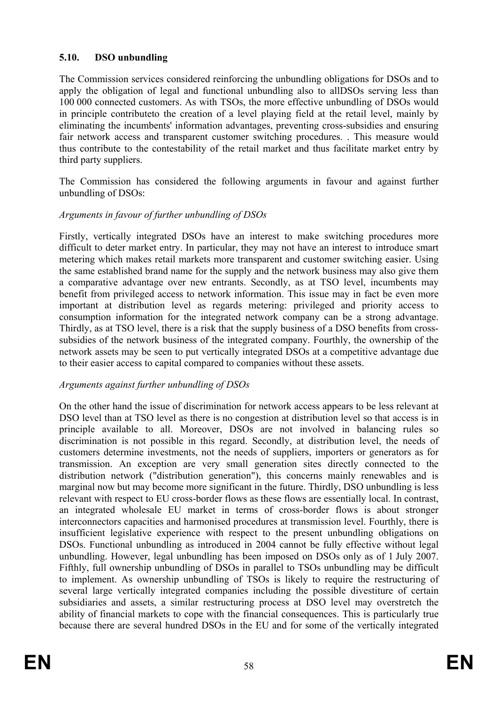## **5.10. DSO unbundling**

The Commission services considered reinforcing the unbundling obligations for DSOs and to apply the obligation of legal and functional unbundling also to allDSOs serving less than 100 000 connected customers. As with TSOs, the more effective unbundling of DSOs would in principle contributeto the creation of a level playing field at the retail level, mainly by eliminating the incumbents' information advantages, preventing cross-subsidies and ensuring fair network access and transparent customer switching procedures. . This measure would thus contribute to the contestability of the retail market and thus facilitate market entry by third party suppliers.

The Commission has considered the following arguments in favour and against further unbundling of DSOs:

## *Arguments in favour of further unbundling of DSOs*

Firstly, vertically integrated DSOs have an interest to make switching procedures more difficult to deter market entry. In particular, they may not have an interest to introduce smart metering which makes retail markets more transparent and customer switching easier. Using the same established brand name for the supply and the network business may also give them a comparative advantage over new entrants. Secondly, as at TSO level, incumbents may benefit from privileged access to network information. This issue may in fact be even more important at distribution level as regards metering: privileged and priority access to consumption information for the integrated network company can be a strong advantage. Thirdly, as at TSO level, there is a risk that the supply business of a DSO benefits from crosssubsidies of the network business of the integrated company. Fourthly, the ownership of the network assets may be seen to put vertically integrated DSOs at a competitive advantage due to their easier access to capital compared to companies without these assets.

## *Arguments against further unbundling of DSOs*

On the other hand the issue of discrimination for network access appears to be less relevant at DSO level than at TSO level as there is no congestion at distribution level so that access is in principle available to all. Moreover, DSOs are not involved in balancing rules so discrimination is not possible in this regard. Secondly, at distribution level, the needs of customers determine investments, not the needs of suppliers, importers or generators as for transmission. An exception are very small generation sites directly connected to the distribution network ("distribution generation"), this concerns mainly renewables and is marginal now but may become more significant in the future. Thirdly, DSO unbundling is less relevant with respect to EU cross-border flows as these flows are essentially local. In contrast, an integrated wholesale EU market in terms of cross-border flows is about stronger interconnectors capacities and harmonised procedures at transmission level. Fourthly, there is insufficient legislative experience with respect to the present unbundling obligations on DSOs. Functional unbundling as introduced in 2004 cannot be fully effective without legal unbundling. However, legal unbundling has been imposed on DSOs only as of 1 July 2007. Fifthly, full ownership unbundling of DSOs in parallel to TSOs unbundling may be difficult to implement. As ownership unbundling of TSOs is likely to require the restructuring of several large vertically integrated companies including the possible divestiture of certain subsidiaries and assets, a similar restructuring process at DSO level may overstretch the ability of financial markets to cope with the financial consequences. This is particularly true because there are several hundred DSOs in the EU and for some of the vertically integrated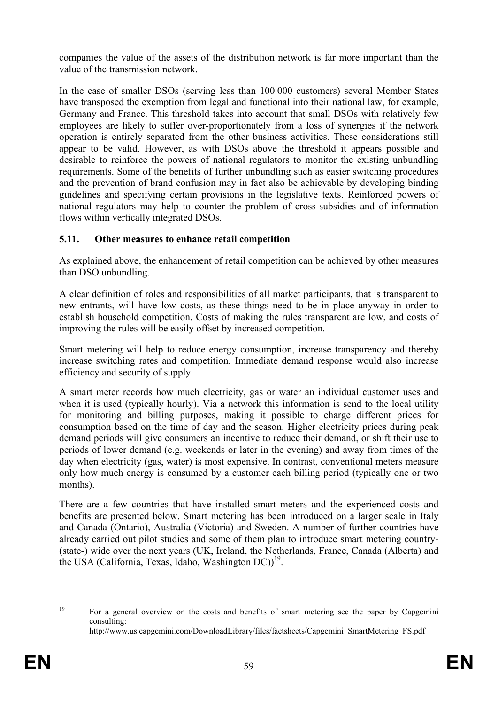companies the value of the assets of the distribution network is far more important than the value of the transmission network.

In the case of smaller DSOs (serving less than 100 000 customers) several Member States have transposed the exemption from legal and functional into their national law, for example, Germany and France. This threshold takes into account that small DSOs with relatively few employees are likely to suffer over-proportionately from a loss of synergies if the network operation is entirely separated from the other business activities. These considerations still appear to be valid. However, as with DSOs above the threshold it appears possible and desirable to reinforce the powers of national regulators to monitor the existing unbundling requirements. Some of the benefits of further unbundling such as easier switching procedures and the prevention of brand confusion may in fact also be achievable by developing binding guidelines and specifying certain provisions in the legislative texts. Reinforced powers of national regulators may help to counter the problem of cross-subsidies and of information flows within vertically integrated DSOs.

## **5.11. Other measures to enhance retail competition**

As explained above, the enhancement of retail competition can be achieved by other measures than DSO unbundling.

A clear definition of roles and responsibilities of all market participants, that is transparent to new entrants, will have low costs, as these things need to be in place anyway in order to establish household competition. Costs of making the rules transparent are low, and costs of improving the rules will be easily offset by increased competition.

Smart metering will help to reduce energy consumption, increase transparency and thereby increase switching rates and competition. Immediate demand response would also increase efficiency and security of supply.

A smart meter records how much electricity, gas or water an individual customer uses and when it is used (typically hourly). Via a network this information is send to the local utility for monitoring and billing purposes, making it possible to charge different prices for consumption based on the time of day and the season. Higher electricity prices during peak demand periods will give consumers an incentive to reduce their demand, or shift their use to periods of lower demand (e.g. weekends or later in the evening) and away from times of the day when electricity (gas, water) is most expensive. In contrast, conventional meters measure only how much energy is consumed by a customer each billing period (typically one or two months).

There are a few countries that have installed smart meters and the experienced costs and benefits are presented below. Smart metering has been introduced on a larger scale in Italy and Canada (Ontario), Australia (Victoria) and Sweden. A number of further countries have already carried out pilot studies and some of them plan to introduce smart metering country- (state-) wide over the next years (UK, Ireland, the Netherlands, France, Canada (Alberta) and the USA (California, Texas, Idaho, Washington DC))<sup>19</sup>.

<u>.</u>

<sup>&</sup>lt;sup>19</sup> For a general overview on the costs and benefits of smart metering see the paper by Capgemini consulting:

http://www.us.capgemini.com/DownloadLibrary/files/factsheets/Capgemini\_SmartMetering\_FS.pdf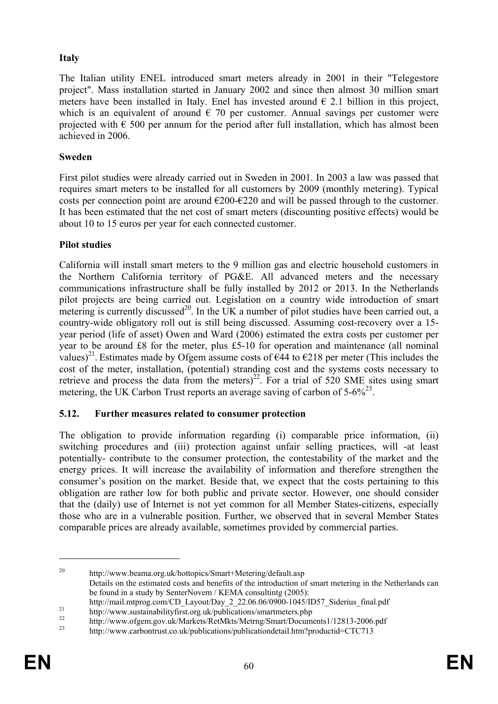## **Italy**

The Italian utility ENEL introduced smart meters already in 2001 in their "Telegestore project". Mass installation started in January 2002 and since then almost 30 million smart meters have been installed in Italy. Enel has invested around  $\epsilon$  2.1 billion in this project, which is an equivalent of around  $\epsilon$  70 per customer. Annual savings per customer were projected with  $\epsilon$  500 per annum for the period after full installation, which has almost been achieved in 2006.

#### **Sweden**

First pilot studies were already carried out in Sweden in 2001. In 2003 a law was passed that requires smart meters to be installed for all customers by 2009 (monthly metering). Typical costs per connection point are around  $\epsilon$ 200- $\epsilon$ 220 and will be passed through to the customer. It has been estimated that the net cost of smart meters (discounting positive effects) would be about 10 to 15 euros per year for each connected customer.

## **Pilot studies**

California will install smart meters to the 9 million gas and electric household customers in the Northern California territory of PG&E. All advanced meters and the necessary communications infrastructure shall be fully installed by 2012 or 2013. In the Netherlands pilot projects are being carried out. Legislation on a country wide introduction of smart metering is currently discussed<sup>20</sup>. In the UK a number of pilot studies have been carried out, a country-wide obligatory roll out is still being discussed. Assuming cost-recovery over a 15 year period (life of asset) Owen and Ward (2006) estimated the extra costs per customer per year to be around £8 for the meter, plus £5-10 for operation and maintenance (all nominal values)<sup>21</sup>. Estimates made by Ofgem assume costs of  $\epsilon$ 44 to  $\epsilon$ 218 per meter (This includes the cost of the meter, installation, (potential) stranding cost and the systems costs necessary to retrieve and process the data from the meters)<sup>22</sup>. For a trial of  $520$  SME sites using smart metering, the UK Carbon Trust reports an average saving of carbon of  $5-6\frac{9}{2}$ .

## **5.12. Further measures related to consumer protection**

The obligation to provide information regarding (i) comparable price information, (ii) switching procedures and (iii) protection against unfair selling practices, will -at least potentially- contribute to the consumer protection, the contestability of the market and the energy prices. It will increase the availability of information and therefore strengthen the consumer's position on the market. Beside that, we expect that the costs pertaining to this obligation are rather low for both public and private sector. However, one should consider that the (daily) use of Internet is not yet common for all Member States-citizens, especially those who are in a vulnerable position. Further, we observed that in several Member States comparable prices are already available, sometimes provided by commercial parties.

1

<sup>20</sup> http://www.beama.org.uk/hottopics/Smart+Metering/default.asp Details on the estimated costs and benefits of the introduction of smart metering in the Netherlands can be found in a study by SenterNovem / KEMA consultintg (2005):

http://mail.mtprog.com/CD\_Layout/Day\_2\_22.06.06/0900-1045/ID57\_Siderius\_final.pdf<br>
21 http://www.sustainabilityfirst.org.uk/publications/smartmeters.php

<sup>&</sup>lt;sup>22</sup> http://www.ofgem.gov.uk/Markets/RetMkts/Metrng/Smart/Documents1/12813-2006.pdf http://www.carbontrust.co.uk/publications/publicationdetail.htm?productid=CTC713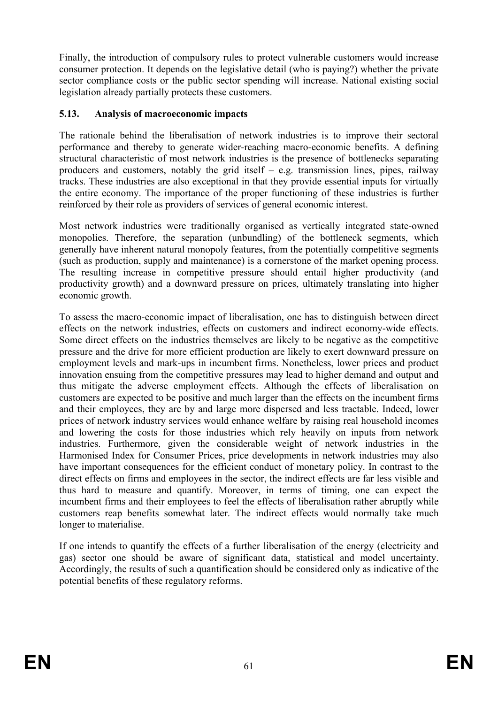Finally, the introduction of compulsory rules to protect vulnerable customers would increase consumer protection. It depends on the legislative detail (who is paying?) whether the private sector compliance costs or the public sector spending will increase. National existing social legislation already partially protects these customers.

## **5.13. Analysis of macroeconomic impacts**

The rationale behind the liberalisation of network industries is to improve their sectoral performance and thereby to generate wider-reaching macro-economic benefits. A defining structural characteristic of most network industries is the presence of bottlenecks separating producers and customers, notably the grid itself – e.g. transmission lines, pipes, railway tracks. These industries are also exceptional in that they provide essential inputs for virtually the entire economy. The importance of the proper functioning of these industries is further reinforced by their role as providers of services of general economic interest.

Most network industries were traditionally organised as vertically integrated state-owned monopolies. Therefore, the separation (unbundling) of the bottleneck segments, which generally have inherent natural monopoly features, from the potentially competitive segments (such as production, supply and maintenance) is a cornerstone of the market opening process. The resulting increase in competitive pressure should entail higher productivity (and productivity growth) and a downward pressure on prices, ultimately translating into higher economic growth.

To assess the macro-economic impact of liberalisation, one has to distinguish between direct effects on the network industries, effects on customers and indirect economy-wide effects. Some direct effects on the industries themselves are likely to be negative as the competitive pressure and the drive for more efficient production are likely to exert downward pressure on employment levels and mark-ups in incumbent firms. Nonetheless, lower prices and product innovation ensuing from the competitive pressures may lead to higher demand and output and thus mitigate the adverse employment effects. Although the effects of liberalisation on customers are expected to be positive and much larger than the effects on the incumbent firms and their employees, they are by and large more dispersed and less tractable. Indeed, lower prices of network industry services would enhance welfare by raising real household incomes and lowering the costs for those industries which rely heavily on inputs from network industries. Furthermore, given the considerable weight of network industries in the Harmonised Index for Consumer Prices, price developments in network industries may also have important consequences for the efficient conduct of monetary policy. In contrast to the direct effects on firms and employees in the sector, the indirect effects are far less visible and thus hard to measure and quantify. Moreover, in terms of timing, one can expect the incumbent firms and their employees to feel the effects of liberalisation rather abruptly while customers reap benefits somewhat later. The indirect effects would normally take much longer to materialise.

If one intends to quantify the effects of a further liberalisation of the energy (electricity and gas) sector one should be aware of significant data, statistical and model uncertainty. Accordingly, the results of such a quantification should be considered only as indicative of the potential benefits of these regulatory reforms.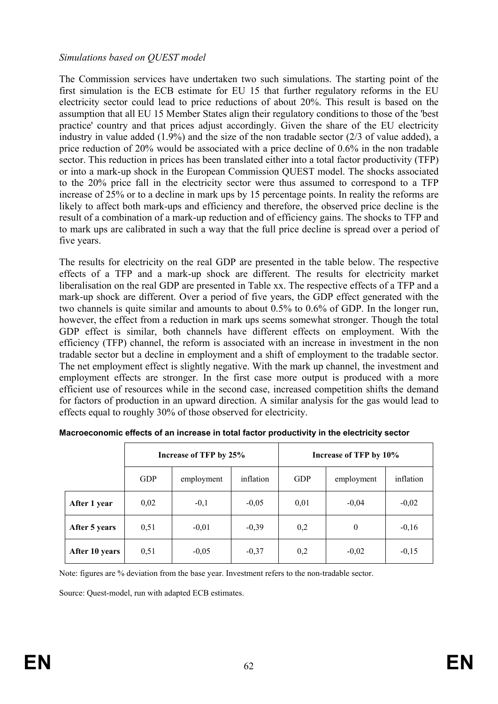#### *Simulations based on QUEST model*

The Commission services have undertaken two such simulations. The starting point of the first simulation is the ECB estimate for EU 15 that further regulatory reforms in the EU electricity sector could lead to price reductions of about 20%. This result is based on the assumption that all EU 15 Member States align their regulatory conditions to those of the 'best practice' country and that prices adjust accordingly. Given the share of the EU electricity industry in value added (1.9%) and the size of the non tradable sector (2/3 of value added), a price reduction of 20% would be associated with a price decline of 0.6% in the non tradable sector. This reduction in prices has been translated either into a total factor productivity (TFP) or into a mark-up shock in the European Commission QUEST model. The shocks associated to the 20% price fall in the electricity sector were thus assumed to correspond to a TFP increase of 25% or to a decline in mark ups by 15 percentage points. In reality the reforms are likely to affect both mark-ups and efficiency and therefore, the observed price decline is the result of a combination of a mark-up reduction and of efficiency gains. The shocks to TFP and to mark ups are calibrated in such a way that the full price decline is spread over a period of five years.

The results for electricity on the real GDP are presented in the table below. The respective effects of a TFP and a mark-up shock are different. The results for electricity market liberalisation on the real GDP are presented in Table xx. The respective effects of a TFP and a mark-up shock are different. Over a period of five years, the GDP effect generated with the two channels is quite similar and amounts to about 0.5% to 0.6% of GDP. In the longer run, however, the effect from a reduction in mark ups seems somewhat stronger. Though the total GDP effect is similar, both channels have different effects on employment. With the efficiency (TFP) channel, the reform is associated with an increase in investment in the non tradable sector but a decline in employment and a shift of employment to the tradable sector. The net employment effect is slightly negative. With the mark up channel, the investment and employment effects are stronger. In the first case more output is produced with a more efficient use of resources while in the second case, increased competition shifts the demand for factors of production in an upward direction. A similar analysis for the gas would lead to effects equal to roughly 30% of those observed for electricity.

|                | Increase of TFP by 25% |            |           | Increase of TFP by 10% |            |           |
|----------------|------------------------|------------|-----------|------------------------|------------|-----------|
|                | <b>GDP</b>             | employment | inflation | <b>GDP</b>             | employment | inflation |
| After 1 year   | 0,02                   | $-0,1$     | $-0,05$   | 0,01                   | $-0,04$    | $-0,02$   |
| After 5 years  | 0,51                   | $-0,01$    | $-0,39$   | 0,2                    | $\theta$   | $-0,16$   |
| After 10 years | 0,51                   | $-0,05$    | $-0,37$   | 0,2                    | $-0,02$    | $-0,15$   |

**Macroeconomic effects of an increase in total factor productivity in the electricity sector**

Note: figures are % deviation from the base year. Investment refers to the non-tradable sector.

Source: Quest-model, run with adapted ECB estimates.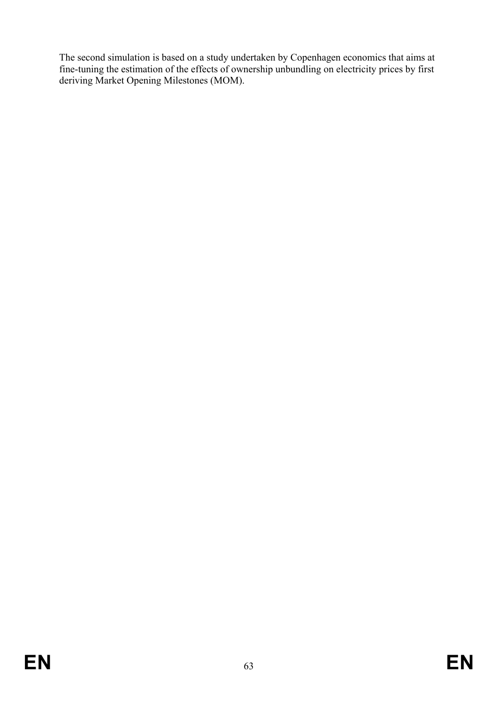The second simulation is based on a study undertaken by Copenhagen economics that aims at fine-tuning the estimation of the effects of ownership unbundling on electricity prices by first deriving Market Opening Milestones (MOM).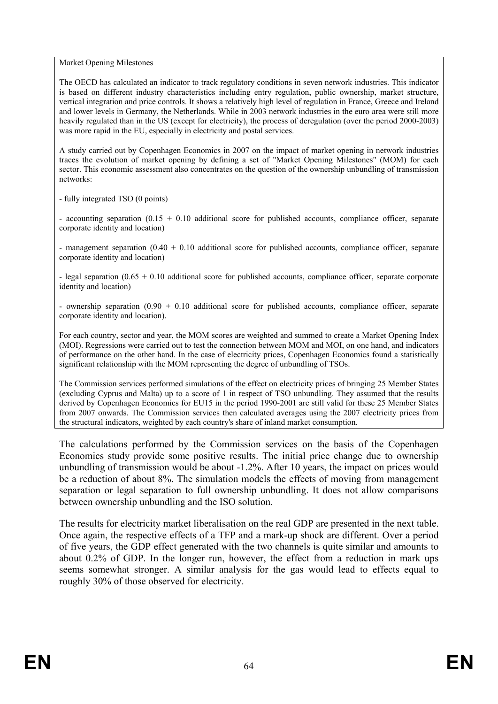Market Opening Milestones

The OECD has calculated an indicator to track regulatory conditions in seven network industries. This indicator is based on different industry characteristics including entry regulation, public ownership, market structure, vertical integration and price controls. It shows a relatively high level of regulation in France, Greece and Ireland and lower levels in Germany, the Netherlands. While in 2003 network industries in the euro area were still more heavily regulated than in the US (except for electricity), the process of deregulation (over the period 2000-2003) was more rapid in the EU, especially in electricity and postal services.

A study carried out by Copenhagen Economics in 2007 on the impact of market opening in network industries traces the evolution of market opening by defining a set of "Market Opening Milestones" (MOM) for each sector. This economic assessment also concentrates on the question of the ownership unbundling of transmission networks:

- fully integrated TSO (0 points)

- accounting separation (0.15 + 0.10 additional score for published accounts, compliance officer, separate corporate identity and location)

- management separation  $(0.40 + 0.10)$  additional score for published accounts, compliance officer, separate corporate identity and location)

- legal separation (0.65 + 0.10 additional score for published accounts, compliance officer, separate corporate identity and location)

- ownership separation  $(0.90 + 0.10)$  additional score for published accounts, compliance officer, separate corporate identity and location).

For each country, sector and year, the MOM scores are weighted and summed to create a Market Opening Index (MOI). Regressions were carried out to test the connection between MOM and MOI, on one hand, and indicators of performance on the other hand. In the case of electricity prices, Copenhagen Economics found a statistically significant relationship with the MOM representing the degree of unbundling of TSOs.

The Commission services performed simulations of the effect on electricity prices of bringing 25 Member States (excluding Cyprus and Malta) up to a score of 1 in respect of TSO unbundling. They assumed that the results derived by Copenhagen Economics for EU15 in the period 1990-2001 are still valid for these 25 Member States from 2007 onwards. The Commission services then calculated averages using the 2007 electricity prices from the structural indicators, weighted by each country's share of inland market consumption.

The calculations performed by the Commission services on the basis of the Copenhagen Economics study provide some positive results. The initial price change due to ownership unbundling of transmission would be about -1.2%. After 10 years, the impact on prices would be a reduction of about 8%. The simulation models the effects of moving from management separation or legal separation to full ownership unbundling. It does not allow comparisons between ownership unbundling and the ISO solution.

The results for electricity market liberalisation on the real GDP are presented in the next table. Once again, the respective effects of a TFP and a mark-up shock are different. Over a period of five years, the GDP effect generated with the two channels is quite similar and amounts to about 0.2% of GDP. In the longer run, however, the effect from a reduction in mark ups seems somewhat stronger. A similar analysis for the gas would lead to effects equal to roughly 30% of those observed for electricity.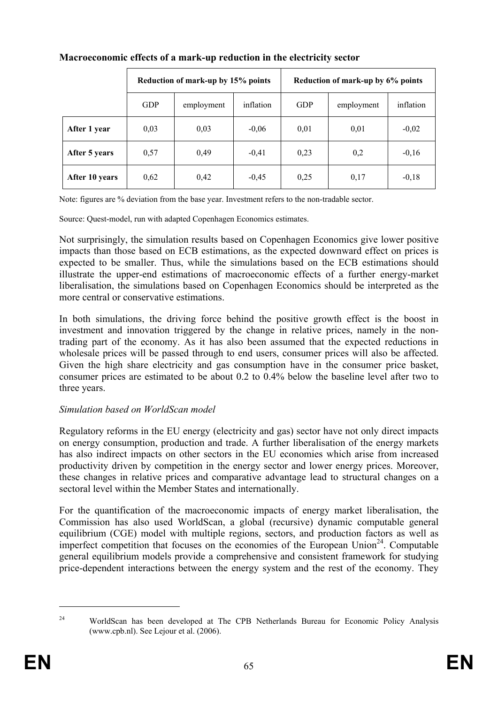|                | Reduction of mark-up by 15% points |            | Reduction of mark-up by 6% points |            |            |           |
|----------------|------------------------------------|------------|-----------------------------------|------------|------------|-----------|
|                | <b>GDP</b>                         | employment | inflation                         | <b>GDP</b> | employment | inflation |
| After 1 year   | 0,03                               | 0,03       | $-0.06$                           | 0,01       | 0,01       | $-0,02$   |
| After 5 years  | 0,57                               | 0,49       | $-0,41$                           | 0,23       | 0,2        | $-0,16$   |
| After 10 years | 0,62                               | 0,42       | $-0,45$                           | 0,25       | 0,17       | $-0,18$   |

#### **Macroeconomic effects of a mark-up reduction in the electricity sector**

Note: figures are % deviation from the base year. Investment refers to the non-tradable sector.

Source: Quest-model, run with adapted Copenhagen Economics estimates.

Not surprisingly, the simulation results based on Copenhagen Economics give lower positive impacts than those based on ECB estimations, as the expected downward effect on prices is expected to be smaller. Thus, while the simulations based on the ECB estimations should illustrate the upper-end estimations of macroeconomic effects of a further energy-market liberalisation, the simulations based on Copenhagen Economics should be interpreted as the more central or conservative estimations.

In both simulations, the driving force behind the positive growth effect is the boost in investment and innovation triggered by the change in relative prices, namely in the nontrading part of the economy. As it has also been assumed that the expected reductions in wholesale prices will be passed through to end users, consumer prices will also be affected. Given the high share electricity and gas consumption have in the consumer price basket, consumer prices are estimated to be about 0.2 to 0.4% below the baseline level after two to three years.

#### *Simulation based on WorldScan model*

Regulatory reforms in the EU energy (electricity and gas) sector have not only direct impacts on energy consumption, production and trade. A further liberalisation of the energy markets has also indirect impacts on other sectors in the EU economies which arise from increased productivity driven by competition in the energy sector and lower energy prices. Moreover, these changes in relative prices and comparative advantage lead to structural changes on a sectoral level within the Member States and internationally.

For the quantification of the macroeconomic impacts of energy market liberalisation, the Commission has also used WorldScan, a global (recursive) dynamic computable general equilibrium (CGE) model with multiple regions, sectors, and production factors as well as imperfect competition that focuses on the economies of the European Union<sup>24</sup>. Computable general equilibrium models provide a comprehensive and consistent framework for studying price-dependent interactions between the energy system and the rest of the economy. They

1

<sup>&</sup>lt;sup>24</sup> WorldScan has been developed at The CPB Netherlands Bureau for Economic Policy Analysis (www.cpb.nl). See Lejour et al. (2006).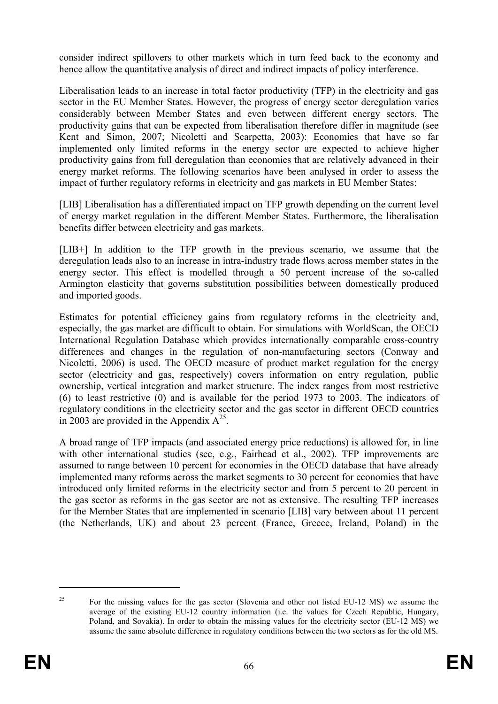consider indirect spillovers to other markets which in turn feed back to the economy and hence allow the quantitative analysis of direct and indirect impacts of policy interference.

Liberalisation leads to an increase in total factor productivity (TFP) in the electricity and gas sector in the EU Member States. However, the progress of energy sector deregulation varies considerably between Member States and even between different energy sectors. The productivity gains that can be expected from liberalisation therefore differ in magnitude (see Kent and Simon, 2007; Nicoletti and Scarpetta, 2003): Economies that have so far implemented only limited reforms in the energy sector are expected to achieve higher productivity gains from full deregulation than economies that are relatively advanced in their energy market reforms. The following scenarios have been analysed in order to assess the impact of further regulatory reforms in electricity and gas markets in EU Member States:

[LIB] Liberalisation has a differentiated impact on TFP growth depending on the current level of energy market regulation in the different Member States. Furthermore, the liberalisation benefits differ between electricity and gas markets.

[LIB+] In addition to the TFP growth in the previous scenario, we assume that the deregulation leads also to an increase in intra-industry trade flows across member states in the energy sector. This effect is modelled through a 50 percent increase of the so-called Armington elasticity that governs substitution possibilities between domestically produced and imported goods.

Estimates for potential efficiency gains from regulatory reforms in the electricity and, especially, the gas market are difficult to obtain. For simulations with WorldScan, the OECD International Regulation Database which provides internationally comparable cross-country differences and changes in the regulation of non-manufacturing sectors (Conway and Nicoletti, 2006) is used. The OECD measure of product market regulation for the energy sector (electricity and gas, respectively) covers information on entry regulation, public ownership, vertical integration and market structure. The index ranges from most restrictive (6) to least restrictive (0) and is available for the period 1973 to 2003. The indicators of regulatory conditions in the electricity sector and the gas sector in different OECD countries in 2003 are provided in the Appendix  $A^{25}$ .

A broad range of TFP impacts (and associated energy price reductions) is allowed for, in line with other international studies (see, e.g., Fairhead et al., 2002). TFP improvements are assumed to range between 10 percent for economies in the OECD database that have already implemented many reforms across the market segments to 30 percent for economies that have introduced only limited reforms in the electricity sector and from 5 percent to 20 percent in the gas sector as reforms in the gas sector are not as extensive. The resulting TFP increases for the Member States that are implemented in scenario [LIB] vary between about 11 percent (the Netherlands, UK) and about 23 percent (France, Greece, Ireland, Poland) in the

1

<sup>&</sup>lt;sup>25</sup> For the missing values for the gas sector (Slovenia and other not listed EU-12 MS) we assume the average of the existing EU-12 country information (i.e. the values for Czech Republic, Hungary, Poland, and Sovakia). In order to obtain the missing values for the electricity sector (EU-12 MS) we assume the same absolute difference in regulatory conditions between the two sectors as for the old MS.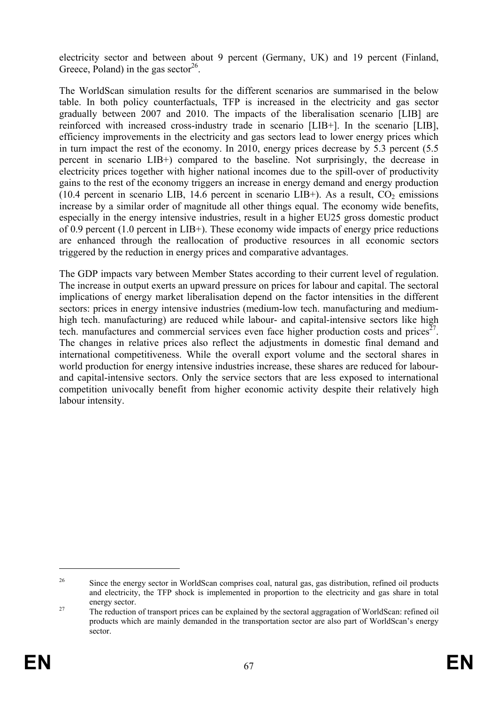electricity sector and between about 9 percent (Germany, UK) and 19 percent (Finland, Greece, Poland) in the gas sector<sup>26</sup>.

The WorldScan simulation results for the different scenarios are summarised in the below table. In both policy counterfactuals, TFP is increased in the electricity and gas sector gradually between 2007 and 2010. The impacts of the liberalisation scenario [LIB] are reinforced with increased cross-industry trade in scenario [LIB+]. In the scenario [LIB], efficiency improvements in the electricity and gas sectors lead to lower energy prices which in turn impact the rest of the economy. In 2010, energy prices decrease by 5.3 percent (5.5 percent in scenario LIB+) compared to the baseline. Not surprisingly, the decrease in electricity prices together with higher national incomes due to the spill-over of productivity gains to the rest of the economy triggers an increase in energy demand and energy production (10.4 percent in scenario LIB, 14.6 percent in scenario LIB+). As a result,  $CO<sub>2</sub>$  emissions increase by a similar order of magnitude all other things equal. The economy wide benefits, especially in the energy intensive industries, result in a higher EU25 gross domestic product of 0.9 percent (1.0 percent in LIB+). These economy wide impacts of energy price reductions are enhanced through the reallocation of productive resources in all economic sectors triggered by the reduction in energy prices and comparative advantages.

The GDP impacts vary between Member States according to their current level of regulation. The increase in output exerts an upward pressure on prices for labour and capital. The sectoral implications of energy market liberalisation depend on the factor intensities in the different sectors: prices in energy intensive industries (medium-low tech. manufacturing and mediumhigh tech. manufacturing) are reduced while labour- and capital-intensive sectors like high tech. manufactures and commercial services even face higher production costs and prices<sup>27</sup>. The changes in relative prices also reflect the adjustments in domestic final demand and international competitiveness. While the overall export volume and the sectoral shares in world production for energy intensive industries increase, these shares are reduced for labourand capital-intensive sectors. Only the service sectors that are less exposed to international competition univocally benefit from higher economic activity despite their relatively high labour intensity.

<u>.</u>

<sup>&</sup>lt;sup>26</sup> Since the energy sector in WorldScan comprises coal, natural gas, gas distribution, refined oil products and electricity, the TFP shock is implemented in proportion to the electricity and gas share in total

energy sector.<br><sup>27</sup> The reduction of transport prices can be explained by the sectoral aggragation of WorldScan: refined oil products which are mainly demanded in the transportation sector are also part of WorldScan's energy sector.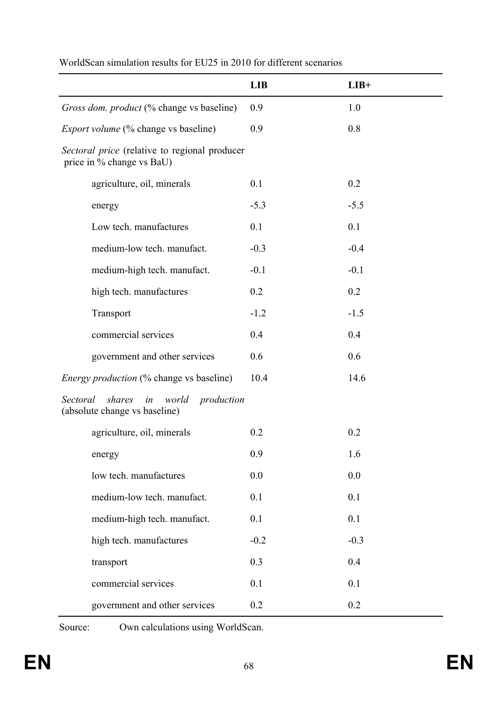|                                                                                  | <b>LIB</b> | $LIB+$ |
|----------------------------------------------------------------------------------|------------|--------|
| Gross dom. product (% change vs baseline)                                        | 0.9        | 1.0    |
| <i>Export volume</i> (% change vs baseline)                                      | 0.9        | 0.8    |
| Sectoral price (relative to regional producer<br>price in % change vs BaU)       |            |        |
| agriculture, oil, minerals                                                       | 0.1        | 0.2    |
| energy                                                                           | $-5.3$     | $-5.5$ |
| Low tech. manufactures                                                           | 0.1        | 0.1    |
| medium-low tech. manufact.                                                       | $-0.3$     | $-0.4$ |
| medium-high tech. manufact.                                                      | $-0.1$     | $-0.1$ |
| high tech. manufactures                                                          | 0.2        | 0.2    |
| Transport                                                                        | $-1.2$     | $-1.5$ |
| commercial services                                                              | 0.4        | 0.4    |
| government and other services                                                    | 0.6        | 0.6    |
| Energy production (% change vs baseline)                                         | 10.4       | 14.6   |
| Sectoral<br>shares<br>in<br>production<br>world<br>(absolute change vs baseline) |            |        |
| agriculture, oil, minerals                                                       | 0.2        | 0.2    |
| energy                                                                           | 0.9        | 1.6    |
| low tech. manufactures                                                           | 0.0        | 0.0    |
| medium-low tech. manufact.                                                       | 0.1        | 0.1    |
| medium-high tech. manufact.                                                      | 0.1        | 0.1    |
| high tech. manufactures                                                          | $-0.2$     | $-0.3$ |
| transport                                                                        | 0.3        | 0.4    |
| commercial services                                                              | 0.1        | 0.1    |
| government and other services                                                    | 0.2        | 0.2    |

# WorldScan simulation results for EU25 in 2010 for different scenarios

Source: Own calculations using WorldScan.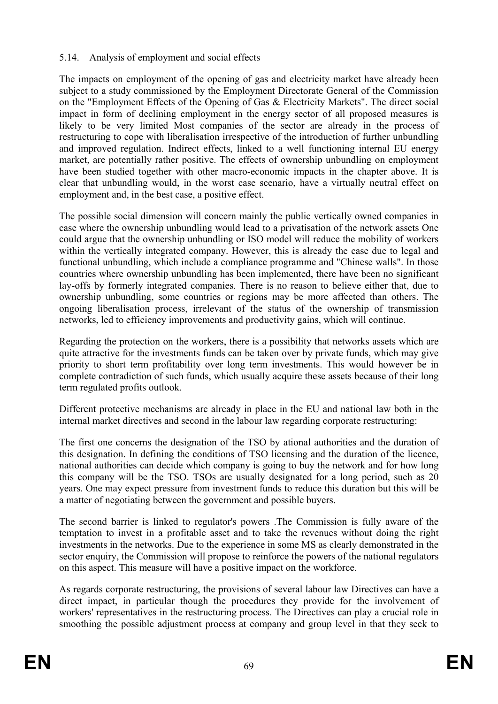#### 5.14. Analysis of employment and social effects

The impacts on employment of the opening of gas and electricity market have already been subject to a study commissioned by the Employment Directorate General of the Commission on the "Employment Effects of the Opening of Gas & Electricity Markets". The direct social impact in form of declining employment in the energy sector of all proposed measures is likely to be very limited Most companies of the sector are already in the process of restructuring to cope with liberalisation irrespective of the introduction of further unbundling and improved regulation. Indirect effects, linked to a well functioning internal EU energy market, are potentially rather positive. The effects of ownership unbundling on employment have been studied together with other macro-economic impacts in the chapter above. It is clear that unbundling would, in the worst case scenario, have a virtually neutral effect on employment and, in the best case, a positive effect.

The possible social dimension will concern mainly the public vertically owned companies in case where the ownership unbundling would lead to a privatisation of the network assets One could argue that the ownership unbundling or ISO model will reduce the mobility of workers within the vertically integrated company. However, this is already the case due to legal and functional unbundling, which include a compliance programme and "Chinese walls". In those countries where ownership unbundling has been implemented, there have been no significant lay-offs by formerly integrated companies. There is no reason to believe either that, due to ownership unbundling, some countries or regions may be more affected than others. The ongoing liberalisation process, irrelevant of the status of the ownership of transmission networks, led to efficiency improvements and productivity gains, which will continue.

Regarding the protection on the workers, there is a possibility that networks assets which are quite attractive for the investments funds can be taken over by private funds, which may give priority to short term profitability over long term investments. This would however be in complete contradiction of such funds, which usually acquire these assets because of their long term regulated profits outlook.

Different protective mechanisms are already in place in the EU and national law both in the internal market directives and second in the labour law regarding corporate restructuring:

The first one concerns the designation of the TSO by ational authorities and the duration of this designation. In defining the conditions of TSO licensing and the duration of the licence, national authorities can decide which company is going to buy the network and for how long this company will be the TSO. TSOs are usually designated for a long period, such as 20 years. One may expect pressure from investment funds to reduce this duration but this will be a matter of negotiating between the government and possible buyers.

The second barrier is linked to regulator's powers .The Commission is fully aware of the temptation to invest in a profitable asset and to take the revenues without doing the right investments in the networks. Due to the experience in some MS as clearly demonstrated in the sector enquiry, the Commission will propose to reinforce the powers of the national regulators on this aspect. This measure will have a positive impact on the workforce.

As regards corporate restructuring, the provisions of several labour law Directives can have a direct impact, in particular though the procedures they provide for the involvement of workers' representatives in the restructuring process. The Directives can play a crucial role in smoothing the possible adjustment process at company and group level in that they seek to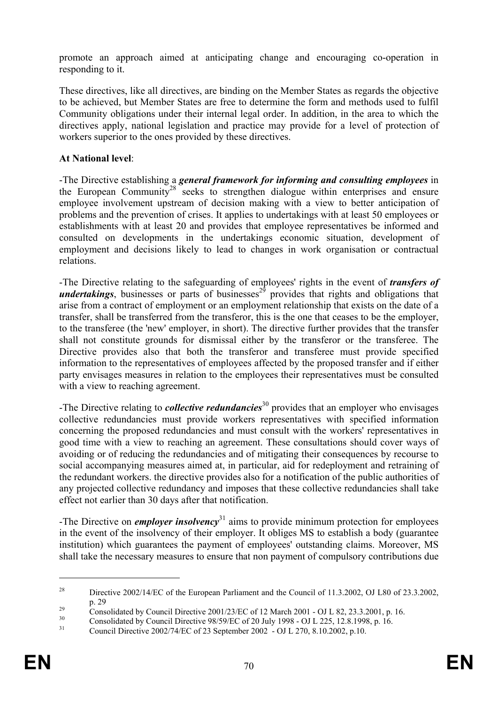promote an approach aimed at anticipating change and encouraging co-operation in responding to it.

These directives, like all directives, are binding on the Member States as regards the objective to be achieved, but Member States are free to determine the form and methods used to fulfil Community obligations under their internal legal order. In addition, in the area to which the directives apply, national legislation and practice may provide for a level of protection of workers superior to the ones provided by these directives.

## **At National level**:

-The Directive establishing a *general framework for informing and consulting employees* in the European Community<sup>28</sup> seeks to strengthen dialogue within enterprises and ensure employee involvement upstream of decision making with a view to better anticipation of problems and the prevention of crises. It applies to undertakings with at least 50 employees or establishments with at least 20 and provides that employee representatives be informed and consulted on developments in the undertakings economic situation, development of employment and decisions likely to lead to changes in work organisation or contractual relations.

-The Directive relating to the safeguarding of employees' rights in the event of *transfers of undertakings*, businesses or parts of businesses<sup>29</sup> provides that rights and obligations that arise from a contract of employment or an employment relationship that exists on the date of a transfer, shall be transferred from the transferor, this is the one that ceases to be the employer, to the transferee (the 'new' employer, in short). The directive further provides that the transfer shall not constitute grounds for dismissal either by the transferor or the transferee. The Directive provides also that both the transferor and transferee must provide specified information to the representatives of employees affected by the proposed transfer and if either party envisages measures in relation to the employees their representatives must be consulted with a view to reaching agreement.

-The Directive relating to *collective redundancies*<sup>30</sup> provides that an employer who envisages collective redundancies must provide workers representatives with specified information concerning the proposed redundancies and must consult with the workers' representatives in good time with a view to reaching an agreement. These consultations should cover ways of avoiding or of reducing the redundancies and of mitigating their consequences by recourse to social accompanying measures aimed at, in particular, aid for redeployment and retraining of the redundant workers. the directive provides also for a notification of the public authorities of any projected collective redundancy and imposes that these collective redundancies shall take effect not earlier than 30 days after that notification.

-The Directive on *employer insolvency*31 aims to provide minimum protection for employees in the event of the insolvency of their employer. It obliges MS to establish a body (guarantee institution) which guarantees the payment of employees' outstanding claims. Moreover, MS shall take the necessary measures to ensure that non payment of compulsory contributions due

1

<sup>&</sup>lt;sup>28</sup> Directive 2002/14/EC of the European Parliament and the Council of 11.3.2002, OJ L80 of 23.3.2002,

p. 29<br>
Consolidated by Council Directive 2001/23/EC of 12 March 2001 - OJ L 82, 23.3.2001, p. 16.<br>
Consolidated by Council Directive 2001/23/EC of 12 March 2001 - OJ L 82, 23.3.2001, p. 16.

<sup>&</sup>lt;sup>30</sup> Consolidated by Council Directive 98/59/EC of 20 July 1998 - OJ L 225, 12.8.1998, p. 16.<br>
Council Directive 2002/74/EC of 23 September 2002, QJJ 270, 8.10.2002, p. 10.

<sup>31</sup> Council Directive 2002/74/EC of 23 September 2002 - OJ L 270, 8.10.2002, p.10.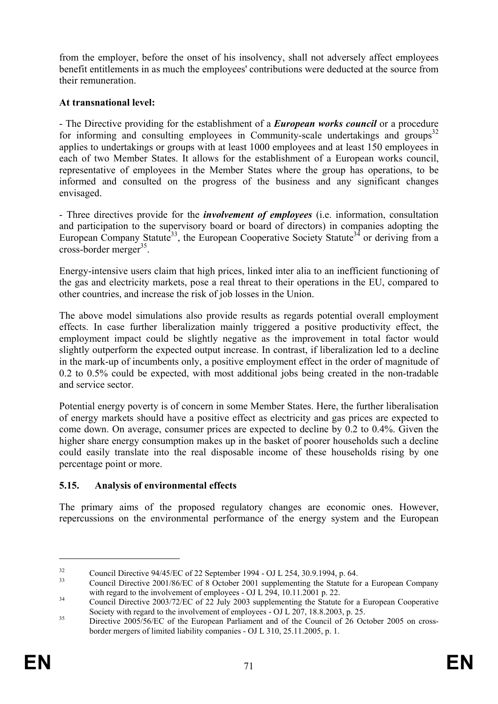from the employer, before the onset of his insolvency, shall not adversely affect employees benefit entitlements in as much the employees' contributions were deducted at the source from their remuneration.

## **At transnational level:**

- The Directive providing for the establishment of a *European works council* or a procedure for informing and consulting employees in Community-scale undertakings and groups<sup>32</sup> applies to undertakings or groups with at least 1000 employees and at least 150 employees in each of two Member States. It allows for the establishment of a European works council, representative of employees in the Member States where the group has operations, to be informed and consulted on the progress of the business and any significant changes envisaged.

- Three directives provide for the *involvement of employees* (i.e. information, consultation and participation to the supervisory board or board of directors) in companies adopting the European Company Statute<sup>33</sup>, the European Cooperative Society Statute<sup>34</sup> or deriving from a cross-border merger<sup>35</sup>.

Energy-intensive users claim that high prices, linked inter alia to an inefficient functioning of the gas and electricity markets, pose a real threat to their operations in the EU, compared to other countries, and increase the risk of job losses in the Union.

The above model simulations also provide results as regards potential overall employment effects. In case further liberalization mainly triggered a positive productivity effect, the employment impact could be slightly negative as the improvement in total factor would slightly outperform the expected output increase. In contrast, if liberalization led to a decline in the mark-up of incumbents only, a positive employment effect in the order of magnitude of 0.2 to 0.5% could be expected, with most additional jobs being created in the non-tradable and service sector.

Potential energy poverty is of concern in some Member States. Here, the further liberalisation of energy markets should have a positive effect as electricity and gas prices are expected to come down. On average, consumer prices are expected to decline by 0.2 to 0.4%. Given the higher share energy consumption makes up in the basket of poorer households such a decline could easily translate into the real disposable income of these households rising by one percentage point or more.

## **5.15. Analysis of environmental effects**

The primary aims of the proposed regulatory changes are economic ones. However, repercussions on the environmental performance of the energy system and the European

1

<sup>&</sup>lt;sup>32</sup> Council Directive 94/45/EC of 22 September 1994 - OJ L 254, 30.9.1994, p. 64.

<sup>33</sup> Council Directive 2001/86/EC of 8 October 2001 supplementing the Statute for a European Company

with regard to the involvement of employees - OJ L 294, 10.11.2001 p. 22.<br>Council Directive 2003/72/EC of 22 July 2003 supplementing the Statute for a European Cooperative<br>Society with regard to the involvement of employee

 $S<sup>35</sup>$  Directive 2005/56/EC of the European Parliament and of the Council of 26 October 2005 on crossborder mergers of limited liability companies - OJ L 310, 25.11.2005, p. 1.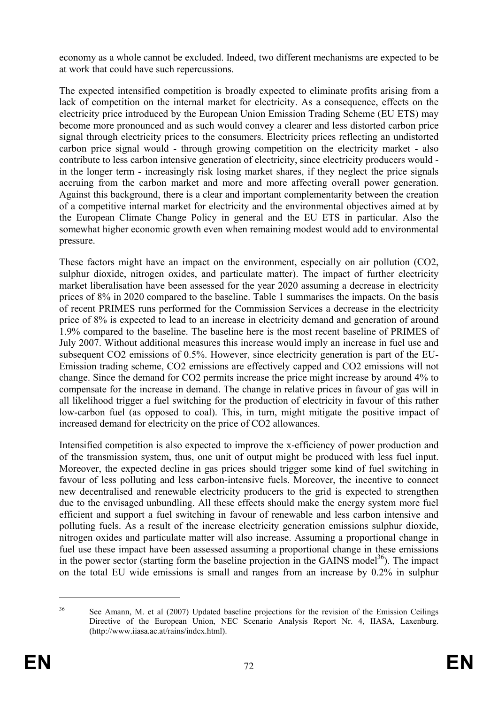economy as a whole cannot be excluded. Indeed, two different mechanisms are expected to be at work that could have such repercussions.

The expected intensified competition is broadly expected to eliminate profits arising from a lack of competition on the internal market for electricity. As a consequence, effects on the electricity price introduced by the European Union Emission Trading Scheme (EU ETS) may become more pronounced and as such would convey a clearer and less distorted carbon price signal through electricity prices to the consumers. Electricity prices reflecting an undistorted carbon price signal would - through growing competition on the electricity market - also contribute to less carbon intensive generation of electricity, since electricity producers would in the longer term - increasingly risk losing market shares, if they neglect the price signals accruing from the carbon market and more and more affecting overall power generation. Against this background, there is a clear and important complementarity between the creation of a competitive internal market for electricity and the environmental objectives aimed at by the European Climate Change Policy in general and the EU ETS in particular. Also the somewhat higher economic growth even when remaining modest would add to environmental pressure.

These factors might have an impact on the environment, especially on air pollution (CO2, sulphur dioxide, nitrogen oxides, and particulate matter). The impact of further electricity market liberalisation have been assessed for the year 2020 assuming a decrease in electricity prices of 8% in 2020 compared to the baseline. Table 1 summarises the impacts. On the basis of recent PRIMES runs performed for the Commission Services a decrease in the electricity price of 8% is expected to lead to an increase in electricity demand and generation of around 1.9% compared to the baseline. The baseline here is the most recent baseline of PRIMES of July 2007. Without additional measures this increase would imply an increase in fuel use and subsequent CO2 emissions of 0.5%. However, since electricity generation is part of the EU-Emission trading scheme, CO2 emissions are effectively capped and CO2 emissions will not change. Since the demand for CO2 permits increase the price might increase by around 4% to compensate for the increase in demand. The change in relative prices in favour of gas will in all likelihood trigger a fuel switching for the production of electricity in favour of this rather low-carbon fuel (as opposed to coal). This, in turn, might mitigate the positive impact of increased demand for electricity on the price of CO2 allowances.

Intensified competition is also expected to improve the x-efficiency of power production and of the transmission system, thus, one unit of output might be produced with less fuel input. Moreover, the expected decline in gas prices should trigger some kind of fuel switching in favour of less polluting and less carbon-intensive fuels. Moreover, the incentive to connect new decentralised and renewable electricity producers to the grid is expected to strengthen due to the envisaged unbundling. All these effects should make the energy system more fuel efficient and support a fuel switching in favour of renewable and less carbon intensive and polluting fuels. As a result of the increase electricity generation emissions sulphur dioxide, nitrogen oxides and particulate matter will also increase. Assuming a proportional change in fuel use these impact have been assessed assuming a proportional change in these emissions in the power sector (starting form the baseline projection in the GAINS model<sup>36</sup>). The impact on the total EU wide emissions is small and ranges from an increase by 0.2% in sulphur

<u>.</u>

<sup>&</sup>lt;sup>36</sup> See Amann, M. et al (2007) Updated baseline projections for the revision of the Emission Ceilings Directive of the European Union, NEC Scenario Analysis Report Nr. 4, IIASA, Laxenburg. (http://www.iiasa.ac.at/rains/index.html).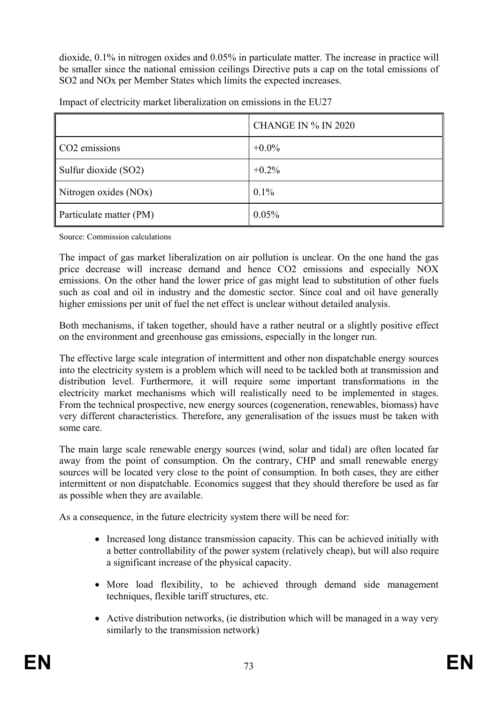dioxide, 0.1% in nitrogen oxides and 0.05% in particulate matter. The increase in practice will be smaller since the national emission ceilings Directive puts a cap on the total emissions of SO2 and NOx per Member States which limits the expected increases.

|                           | <b>CHANGE IN % IN 2020</b> |
|---------------------------|----------------------------|
| CO <sub>2</sub> emissions | $+0.0\%$                   |
| Sulfur dioxide (SO2)      | $+0.2\%$                   |
| Nitrogen oxides (NOx)     | $0.1\%$                    |
| Particulate matter (PM)   | 0.05%                      |

Impact of electricity market liberalization on emissions in the EU27

Source: Commission calculations

The impact of gas market liberalization on air pollution is unclear. On the one hand the gas price decrease will increase demand and hence CO2 emissions and especially NOX emissions. On the other hand the lower price of gas might lead to substitution of other fuels such as coal and oil in industry and the domestic sector. Since coal and oil have generally higher emissions per unit of fuel the net effect is unclear without detailed analysis.

Both mechanisms, if taken together, should have a rather neutral or a slightly positive effect on the environment and greenhouse gas emissions, especially in the longer run.

The effective large scale integration of intermittent and other non dispatchable energy sources into the electricity system is a problem which will need to be tackled both at transmission and distribution level. Furthermore, it will require some important transformations in the electricity market mechanisms which will realistically need to be implemented in stages. From the technical prospective, new energy sources (cogeneration, renewables, biomass) have very different characteristics. Therefore, any generalisation of the issues must be taken with some care.

The main large scale renewable energy sources (wind, solar and tidal) are often located far away from the point of consumption. On the contrary, CHP and small renewable energy sources will be located very close to the point of consumption. In both cases, they are either intermittent or non dispatchable. Economics suggest that they should therefore be used as far as possible when they are available.

As a consequence, in the future electricity system there will be need for:

- Increased long distance transmission capacity. This can be achieved initially with a better controllability of the power system (relatively cheap), but will also require a significant increase of the physical capacity.
- More load flexibility, to be achieved through demand side management techniques, flexible tariff structures, etc.
- Active distribution networks, (ie distribution which will be managed in a way very similarly to the transmission network)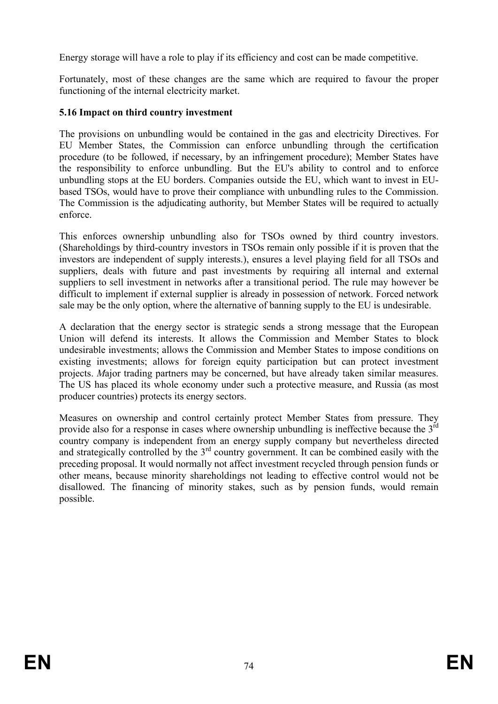Energy storage will have a role to play if its efficiency and cost can be made competitive.

Fortunately, most of these changes are the same which are required to favour the proper functioning of the internal electricity market.

#### **5.16 Impact on third country investment**

The provisions on unbundling would be contained in the gas and electricity Directives. For EU Member States, the Commission can enforce unbundling through the certification procedure (to be followed, if necessary, by an infringement procedure); Member States have the responsibility to enforce unbundling. But the EU's ability to control and to enforce unbundling stops at the EU borders. Companies outside the EU, which want to invest in EUbased TSOs, would have to prove their compliance with unbundling rules to the Commission. The Commission is the adjudicating authority, but Member States will be required to actually enforce.

This enforces ownership unbundling also for TSOs owned by third country investors. (Shareholdings by third-country investors in TSOs remain only possible if it is proven that the investors are independent of supply interests.), ensures a level playing field for all TSOs and suppliers, deals with future and past investments by requiring all internal and external suppliers to sell investment in networks after a transitional period. The rule may however be difficult to implement if external supplier is already in possession of network. Forced network sale may be the only option, where the alternative of banning supply to the EU is undesirable.

A declaration that the energy sector is strategic sends a strong message that the European Union will defend its interests. It allows the Commission and Member States to block undesirable investments; allows the Commission and Member States to impose conditions on existing investments; allows for foreign equity participation but can protect investment projects. *M*ajor trading partners may be concerned, but have already taken similar measures. The US has placed its whole economy under such a protective measure, and Russia (as most producer countries) protects its energy sectors.

Measures on ownership and control certainly protect Member States from pressure. They provide also for a response in cases where ownership unbundling is ineffective because the  $3<sup>rd</sup>$ country company is independent from an energy supply company but nevertheless directed and strategically controlled by the  $3<sup>rd</sup>$  country government. It can be combined easily with the preceding proposal. It would normally not affect investment recycled through pension funds or other means, because minority shareholdings not leading to effective control would not be disallowed. The financing of minority stakes, such as by pension funds, would remain possible.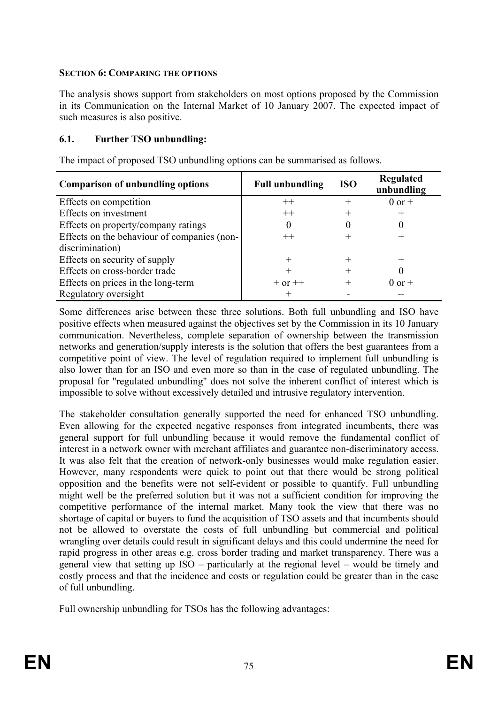#### **SECTION 6: COMPARING THE OPTIONS**

The analysis shows support from stakeholders on most options proposed by the Commission in its Communication on the Internal Market of 10 January 2007. The expected impact of such measures is also positive.

#### **6.1. Further TSO unbundling:**

The impact of proposed TSO unbundling options can be summarised as follows.

| <b>Comparison of unbundling options</b>     | <b>Full unbundling</b> | <b>ISO</b> | Regulated<br>unbundling |
|---------------------------------------------|------------------------|------------|-------------------------|
| Effects on competition                      | $^{++}$                | $^{+}$     | $0$ or $+$              |
| Effects on investment                       | $^{++}$                |            | $^{+}$                  |
| Effects on property/company ratings         |                        |            |                         |
| Effects on the behaviour of companies (non- |                        | ┿          |                         |
| discrimination)                             |                        |            |                         |
| Effects on security of supply               |                        | ┿          | $^{+}$                  |
| Effects on cross-border trade               |                        | ┿          |                         |
| Effects on prices in the long-term          | $+$ or $++$            | ┿          | $0$ or $+$              |
| Regulatory oversight                        |                        |            |                         |

Some differences arise between these three solutions. Both full unbundling and ISO have positive effects when measured against the objectives set by the Commission in its 10 January communication. Nevertheless, complete separation of ownership between the transmission networks and generation/supply interests is the solution that offers the best guarantees from a competitive point of view. The level of regulation required to implement full unbundling is also lower than for an ISO and even more so than in the case of regulated unbundling. The proposal for "regulated unbundling" does not solve the inherent conflict of interest which is impossible to solve without excessively detailed and intrusive regulatory intervention.

The stakeholder consultation generally supported the need for enhanced TSO unbundling. Even allowing for the expected negative responses from integrated incumbents, there was general support for full unbundling because it would remove the fundamental conflict of interest in a network owner with merchant affiliates and guarantee non-discriminatory access. It was also felt that the creation of network-only businesses would make regulation easier. However, many respondents were quick to point out that there would be strong political opposition and the benefits were not self-evident or possible to quantify. Full unbundling might well be the preferred solution but it was not a sufficient condition for improving the competitive performance of the internal market. Many took the view that there was no shortage of capital or buyers to fund the acquisition of TSO assets and that incumbents should not be allowed to overstate the costs of full unbundling but commercial and political wrangling over details could result in significant delays and this could undermine the need for rapid progress in other areas e.g. cross border trading and market transparency. There was a general view that setting up ISO – particularly at the regional level – would be timely and costly process and that the incidence and costs or regulation could be greater than in the case of full unbundling.

Full ownership unbundling for TSOs has the following advantages: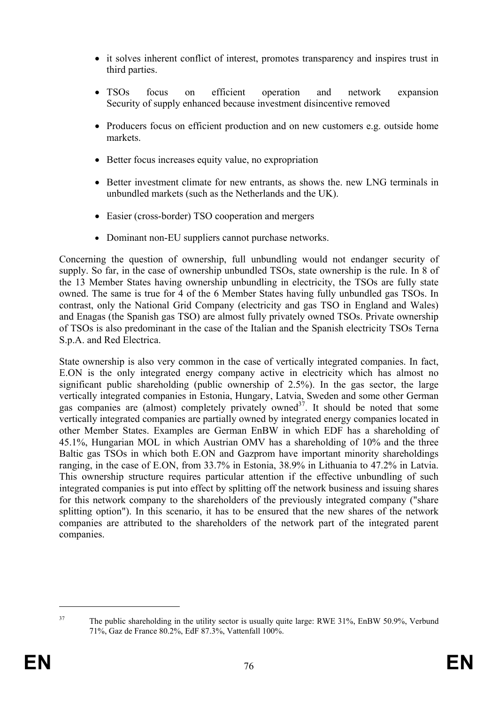- it solves inherent conflict of interest, promotes transparency and inspires trust in third parties.
- TSOs focus on efficient operation and network expansion Security of supply enhanced because investment disincentive removed
- Producers focus on efficient production and on new customers e.g. outside home markets.
- Better focus increases equity value, no expropriation
- Better investment climate for new entrants, as shows the. new LNG terminals in unbundled markets (such as the Netherlands and the UK).
- Easier (cross-border) TSO cooperation and mergers
- Dominant non-EU suppliers cannot purchase networks.

Concerning the question of ownership, full unbundling would not endanger security of supply. So far, in the case of ownership unbundled TSOs, state ownership is the rule. In 8 of the 13 Member States having ownership unbundling in electricity, the TSOs are fully state owned. The same is true for 4 of the 6 Member States having fully unbundled gas TSOs. In contrast, only the National Grid Company (electricity and gas TSO in England and Wales) and Enagas (the Spanish gas TSO) are almost fully privately owned TSOs. Private ownership of TSOs is also predominant in the case of the Italian and the Spanish electricity TSOs Terna S.p.A. and Red Electrica.

State ownership is also very common in the case of vertically integrated companies. In fact, E.ON is the only integrated energy company active in electricity which has almost no significant public shareholding (public ownership of 2.5%). In the gas sector, the large vertically integrated companies in Estonia, Hungary, Latvia, Sweden and some other German gas companies are (almost) completely privately owned<sup>37</sup>. It should be noted that some vertically integrated companies are partially owned by integrated energy companies located in other Member States. Examples are German EnBW in which EDF has a shareholding of 45.1%, Hungarian MOL in which Austrian OMV has a shareholding of 10% and the three Baltic gas TSOs in which both E.ON and Gazprom have important minority shareholdings ranging, in the case of E.ON, from 33.7% in Estonia, 38.9% in Lithuania to 47.2% in Latvia. This ownership structure requires particular attention if the effective unbundling of such integrated companies is put into effect by splitting off the network business and issuing shares for this network company to the shareholders of the previously integrated company ("share splitting option"). In this scenario, it has to be ensured that the new shares of the network companies are attributed to the shareholders of the network part of the integrated parent companies.

1

<sup>&</sup>lt;sup>37</sup> The public shareholding in the utility sector is usually quite large: RWE 31%, EnBW 50.9%, Verbund 71%, Gaz de France 80.2%, EdF 87.3%, Vattenfall 100%.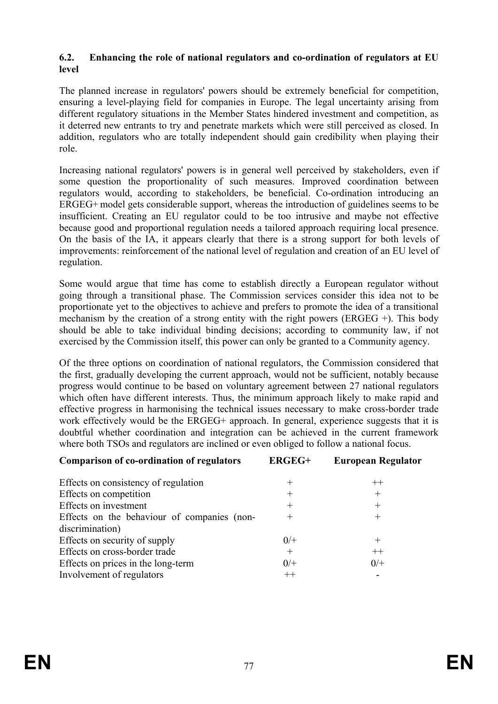#### **6.2. Enhancing the role of national regulators and co-ordination of regulators at EU level**

The planned increase in regulators' powers should be extremely beneficial for competition, ensuring a level-playing field for companies in Europe. The legal uncertainty arising from different regulatory situations in the Member States hindered investment and competition, as it deterred new entrants to try and penetrate markets which were still perceived as closed. In addition, regulators who are totally independent should gain credibility when playing their role.

Increasing national regulators' powers is in general well perceived by stakeholders, even if some question the proportionality of such measures. Improved coordination between regulators would, according to stakeholders, be beneficial. Co-ordination introducing an ERGEG+ model gets considerable support, whereas the introduction of guidelines seems to be insufficient. Creating an EU regulator could to be too intrusive and maybe not effective because good and proportional regulation needs a tailored approach requiring local presence. On the basis of the IA, it appears clearly that there is a strong support for both levels of improvements: reinforcement of the national level of regulation and creation of an EU level of regulation.

Some would argue that time has come to establish directly a European regulator without going through a transitional phase. The Commission services consider this idea not to be proportionate yet to the objectives to achieve and prefers to promote the idea of a transitional mechanism by the creation of a strong entity with the right powers (ERGEG  $+$ ). This body should be able to take individual binding decisions; according to community law, if not exercised by the Commission itself, this power can only be granted to a Community agency.

Of the three options on coordination of national regulators, the Commission considered that the first, gradually developing the current approach, would not be sufficient, notably because progress would continue to be based on voluntary agreement between 27 national regulators which often have different interests. Thus, the minimum approach likely to make rapid and effective progress in harmonising the technical issues necessary to make cross-border trade work effectively would be the ERGEG+ approach. In general, experience suggests that it is doubtful whether coordination and integration can be achieved in the current framework where both TSOs and regulators are inclined or even obliged to follow a national focus.

| <b>Comparison of co-ordination of regulators</b> | <b>ERGEG+</b> | <b>European Regulator</b> |
|--------------------------------------------------|---------------|---------------------------|
| Effects on consistency of regulation             | $^+$          | $++$                      |
| Effects on competition                           | $^+$          | $^{+}$                    |
| Effects on investment                            | $\pm$         | $^{+}$                    |
| Effects on the behaviour of companies (non-      | $^{+}$        | $^{+}$                    |
| discrimination)                                  |               |                           |
| Effects on security of supply                    | $0/+$         | $^{+}$                    |
| Effects on cross-border trade                    | $^{+}$        | $++$                      |
| Effects on prices in the long-term               | $0/+$         | $0/+$                     |
| Involvement of regulators                        | $++$          |                           |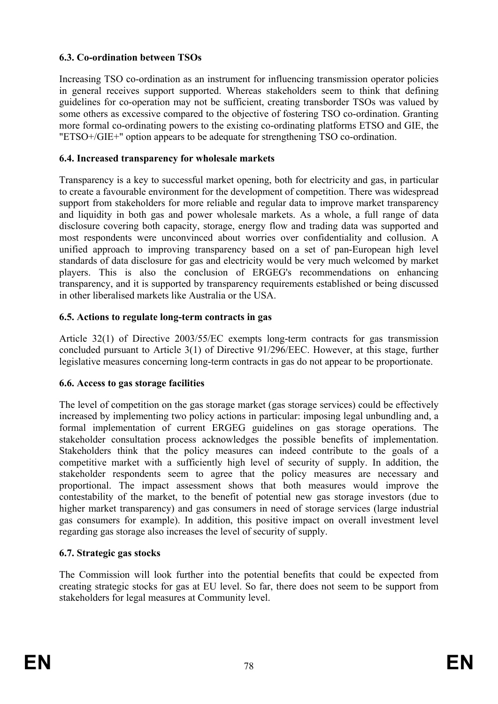#### **6.3. Co-ordination between TSOs**

Increasing TSO co-ordination as an instrument for influencing transmission operator policies in general receives support supported. Whereas stakeholders seem to think that defining guidelines for co-operation may not be sufficient, creating transborder TSOs was valued by some others as excessive compared to the objective of fostering TSO co-ordination. Granting more formal co-ordinating powers to the existing co-ordinating platforms ETSO and GIE, the "ETSO+/GIE+" option appears to be adequate for strengthening TSO co-ordination.

#### **6.4. Increased transparency for wholesale markets**

Transparency is a key to successful market opening, both for electricity and gas, in particular to create a favourable environment for the development of competition. There was widespread support from stakeholders for more reliable and regular data to improve market transparency and liquidity in both gas and power wholesale markets. As a whole, a full range of data disclosure covering both capacity, storage, energy flow and trading data was supported and most respondents were unconvinced about worries over confidentiality and collusion. A unified approach to improving transparency based on a set of pan-European high level standards of data disclosure for gas and electricity would be very much welcomed by market players. This is also the conclusion of ERGEG's recommendations on enhancing transparency, and it is supported by transparency requirements established or being discussed in other liberalised markets like Australia or the USA.

#### **6.5. Actions to regulate long-term contracts in gas**

Article 32(1) of Directive 2003/55/EC exempts long-term contracts for gas transmission concluded pursuant to Article 3(1) of Directive 91/296/EEC. However, at this stage, further legislative measures concerning long-term contracts in gas do not appear to be proportionate.

#### **6.6. Access to gas storage facilities**

The level of competition on the gas storage market (gas storage services) could be effectively increased by implementing two policy actions in particular: imposing legal unbundling and, a formal implementation of current ERGEG guidelines on gas storage operations. The stakeholder consultation process acknowledges the possible benefits of implementation. Stakeholders think that the policy measures can indeed contribute to the goals of a competitive market with a sufficiently high level of security of supply. In addition, the stakeholder respondents seem to agree that the policy measures are necessary and proportional. The impact assessment shows that both measures would improve the contestability of the market, to the benefit of potential new gas storage investors (due to higher market transparency) and gas consumers in need of storage services (large industrial gas consumers for example). In addition, this positive impact on overall investment level regarding gas storage also increases the level of security of supply.

#### **6.7. Strategic gas stocks**

The Commission will look further into the potential benefits that could be expected from creating strategic stocks for gas at EU level. So far, there does not seem to be support from stakeholders for legal measures at Community level.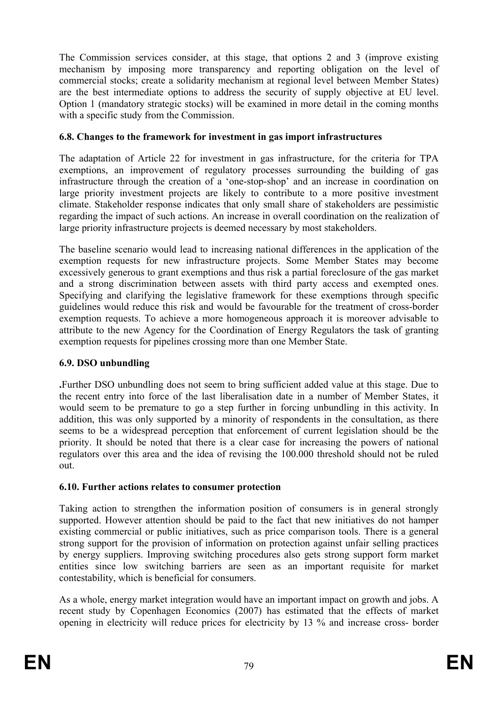The Commission services consider, at this stage, that options 2 and 3 (improve existing mechanism by imposing more transparency and reporting obligation on the level of commercial stocks; create a solidarity mechanism at regional level between Member States) are the best intermediate options to address the security of supply objective at EU level. Option 1 (mandatory strategic stocks) will be examined in more detail in the coming months with a specific study from the Commission.

#### **6.8. Changes to the framework for investment in gas import infrastructures**

The adaptation of Article 22 for investment in gas infrastructure, for the criteria for TPA exemptions, an improvement of regulatory processes surrounding the building of gas infrastructure through the creation of a 'one-stop-shop' and an increase in coordination on large priority investment projects are likely to contribute to a more positive investment climate. Stakeholder response indicates that only small share of stakeholders are pessimistic regarding the impact of such actions. An increase in overall coordination on the realization of large priority infrastructure projects is deemed necessary by most stakeholders.

The baseline scenario would lead to increasing national differences in the application of the exemption requests for new infrastructure projects. Some Member States may become excessively generous to grant exemptions and thus risk a partial foreclosure of the gas market and a strong discrimination between assets with third party access and exempted ones. Specifying and clarifying the legislative framework for these exemptions through specific guidelines would reduce this risk and would be favourable for the treatment of cross-border exemption requests. To achieve a more homogeneous approach it is moreover advisable to attribute to the new Agency for the Coordination of Energy Regulators the task of granting exemption requests for pipelines crossing more than one Member State.

### **6.9. DSO unbundling**

**.**Further DSO unbundling does not seem to bring sufficient added value at this stage. Due to the recent entry into force of the last liberalisation date in a number of Member States, it would seem to be premature to go a step further in forcing unbundling in this activity. In addition, this was only supported by a minority of respondents in the consultation, as there seems to be a widespread perception that enforcement of current legislation should be the priority. It should be noted that there is a clear case for increasing the powers of national regulators over this area and the idea of revising the 100.000 threshold should not be ruled out.

### **6.10. Further actions relates to consumer protection**

Taking action to strengthen the information position of consumers is in general strongly supported. However attention should be paid to the fact that new initiatives do not hamper existing commercial or public initiatives, such as price comparison tools. There is a general strong support for the provision of information on protection against unfair selling practices by energy suppliers. Improving switching procedures also gets strong support form market entities since low switching barriers are seen as an important requisite for market contestability, which is beneficial for consumers.

As a whole, energy market integration would have an important impact on growth and jobs. A recent study by Copenhagen Economics (2007) has estimated that the effects of market opening in electricity will reduce prices for electricity by 13 % and increase cross- border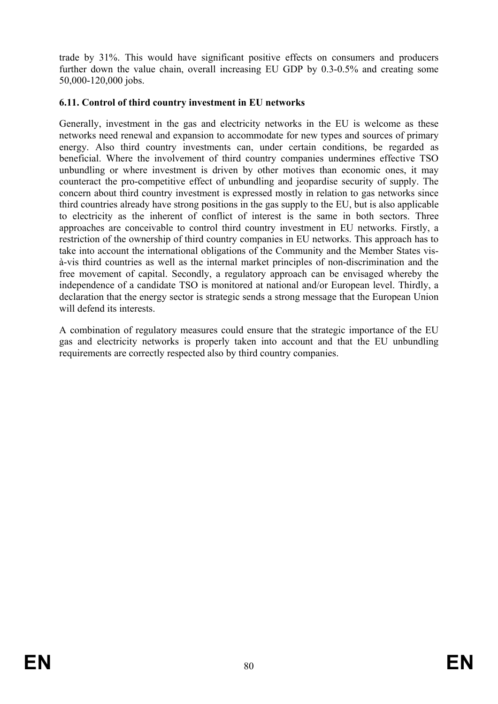trade by 31%. This would have significant positive effects on consumers and producers further down the value chain, overall increasing EU GDP by 0.3-0.5% and creating some 50,000-120,000 jobs.

#### **6.11. Control of third country investment in EU networks**

Generally, investment in the gas and electricity networks in the EU is welcome as these networks need renewal and expansion to accommodate for new types and sources of primary energy. Also third country investments can, under certain conditions, be regarded as beneficial. Where the involvement of third country companies undermines effective TSO unbundling or where investment is driven by other motives than economic ones, it may counteract the pro-competitive effect of unbundling and jeopardise security of supply. The concern about third country investment is expressed mostly in relation to gas networks since third countries already have strong positions in the gas supply to the EU, but is also applicable to electricity as the inherent of conflict of interest is the same in both sectors. Three approaches are conceivable to control third country investment in EU networks. Firstly, a restriction of the ownership of third country companies in EU networks. This approach has to take into account the international obligations of the Community and the Member States visà-vis third countries as well as the internal market principles of non-discrimination and the free movement of capital. Secondly, a regulatory approach can be envisaged whereby the independence of a candidate TSO is monitored at national and/or European level. Thirdly, a declaration that the energy sector is strategic sends a strong message that the European Union will defend its interests.

A combination of regulatory measures could ensure that the strategic importance of the EU gas and electricity networks is properly taken into account and that the EU unbundling requirements are correctly respected also by third country companies.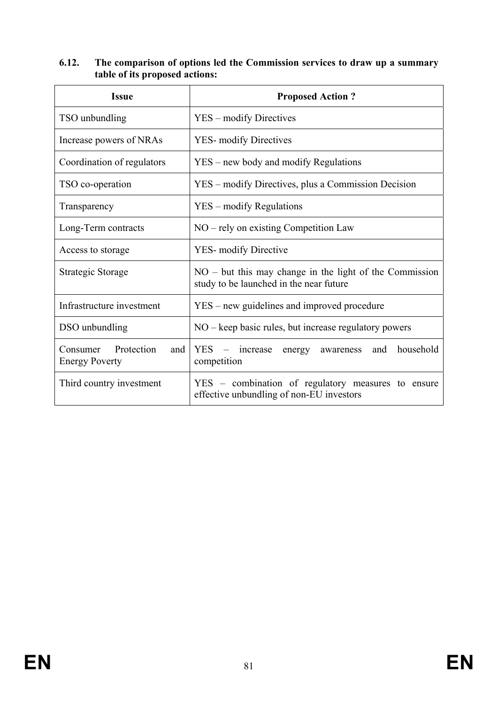| <b>Issue</b>                                           | <b>Proposed Action?</b>                                                                              |  |  |
|--------------------------------------------------------|------------------------------------------------------------------------------------------------------|--|--|
| TSO unbundling                                         | YES – modify Directives                                                                              |  |  |
| Increase powers of NRAs                                | <b>YES-</b> modify Directives                                                                        |  |  |
| Coordination of regulators                             | YES – new body and modify Regulations                                                                |  |  |
| TSO co-operation                                       | YES – modify Directives, plus a Commission Decision                                                  |  |  |
| Transparency                                           | YES – modify Regulations                                                                             |  |  |
| Long-Term contracts                                    | $NO$ – rely on existing Competition Law                                                              |  |  |
| Access to storage                                      | <b>YES-</b> modify Directive                                                                         |  |  |
| Strategic Storage                                      | $NO - but this may change in the light of the Commission$<br>study to be launched in the near future |  |  |
| Infrastructure investment                              | YES – new guidelines and improved procedure                                                          |  |  |
| DSO unbundling                                         | $NO - keep$ basic rules, but increase regulatory powers                                              |  |  |
| Protection<br>Consumer<br>and<br><b>Energy Poverty</b> | <b>YES</b><br>household<br>increase<br>and<br>energy<br>awareness<br>competition                     |  |  |
| Third country investment                               | YES – combination of regulatory measures to<br>ensure<br>effective unbundling of non-EU investors    |  |  |

#### **6.12. The comparison of options led the Commission services to draw up a summary table of its proposed actions:**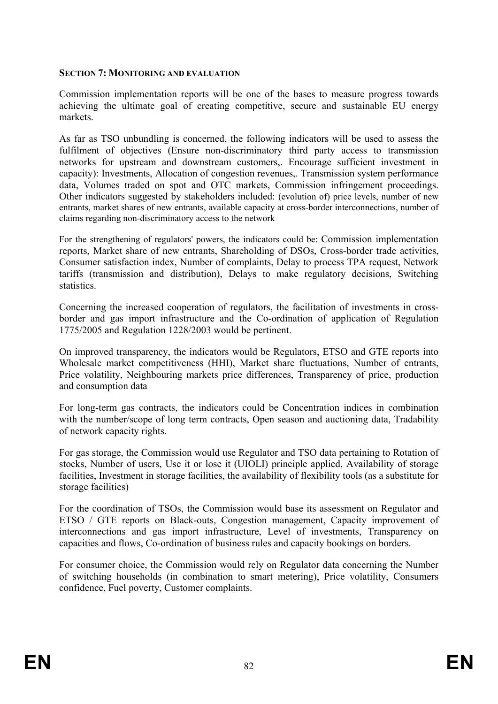#### **SECTION 7: MONITORING AND EVALUATION**

Commission implementation reports will be one of the bases to measure progress towards achieving the ultimate goal of creating competitive, secure and sustainable EU energy markets.

As far as TSO unbundling is concerned, the following indicators will be used to assess the fulfilment of objectives (Ensure non-discriminatory third party access to transmission networks for upstream and downstream customers,. Encourage sufficient investment in capacity): Investments, Allocation of congestion revenues,. Transmission system performance data, Volumes traded on spot and OTC markets, Commission infringement proceedings. Other indicators suggested by stakeholders included: (evolution of) price levels, number of new entrants, market shares of new entrants, available capacity at cross-border interconnections, number of claims regarding non-discriminatory access to the network

For the strengthening of regulators' powers, the indicators could be: Commission implementation reports, Market share of new entrants, Shareholding of DSOs, Cross-border trade activities, Consumer satisfaction index, Number of complaints, Delay to process TPA request, Network tariffs (transmission and distribution), Delays to make regulatory decisions, Switching statistics.

Concerning the increased cooperation of regulators, the facilitation of investments in crossborder and gas import infrastructure and the Co-ordination of application of Regulation 1775/2005 and Regulation 1228/2003 would be pertinent.

On improved transparency, the indicators would be Regulators, ETSO and GTE reports into Wholesale market competitiveness (HHI), Market share fluctuations, Number of entrants, Price volatility, Neighbouring markets price differences, Transparency of price, production and consumption data

For long-term gas contracts, the indicators could be Concentration indices in combination with the number/scope of long term contracts, Open season and auctioning data, Tradability of network capacity rights.

For gas storage, the Commission would use Regulator and TSO data pertaining to Rotation of stocks, Number of users, Use it or lose it (UIOLI) principle applied, Availability of storage facilities, Investment in storage facilities, the availability of flexibility tools (as a substitute for storage facilities)

For the coordination of TSOs, the Commission would base its assessment on Regulator and ETSO / GTE reports on Black-outs, Congestion management, Capacity improvement of interconnections and gas import infrastructure, Level of investments, Transparency on capacities and flows, Co-ordination of business rules and capacity bookings on borders.

For consumer choice, the Commission would rely on Regulator data concerning the Number of switching households (in combination to smart metering), Price volatility, Consumers confidence, Fuel poverty, Customer complaints.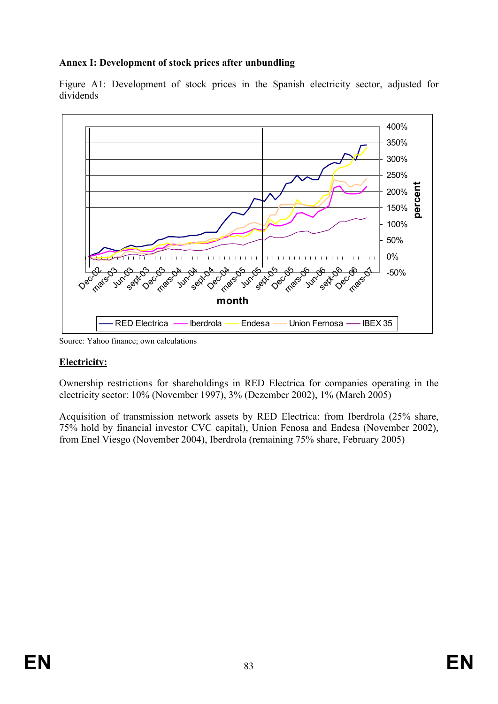### **Annex I: Development of stock prices after unbundling**





Source: Yahoo finance; own calculations

#### **Electricity:**

Ownership restrictions for shareholdings in RED Electrica for companies operating in the electricity sector: 10% (November 1997), 3% (Dezember 2002), 1% (March 2005)

Acquisition of transmission network assets by RED Electrica: from Iberdrola (25% share, 75% hold by financial investor CVC capital), Union Fenosa and Endesa (November 2002), from Enel Viesgo (November 2004), Iberdrola (remaining 75% share, February 2005)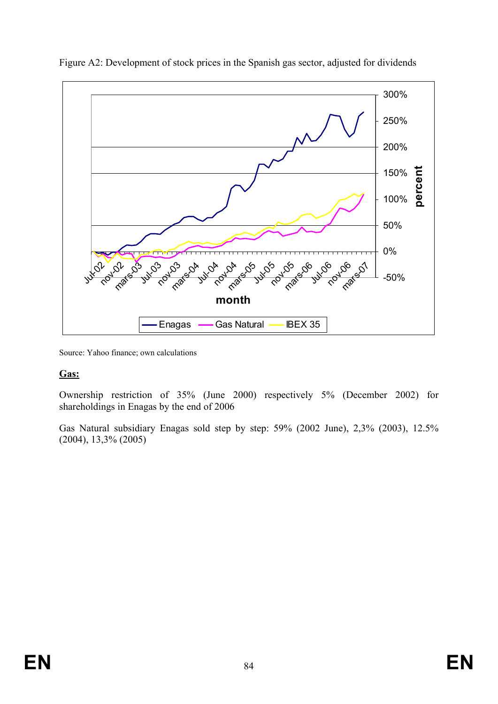

Figure A2: Development of stock prices in the Spanish gas sector, adjusted for dividends

Source: Yahoo finance; own calculations

#### **Gas:**

Ownership restriction of 35% (June 2000) respectively 5% (December 2002) for shareholdings in Enagas by the end of 2006

Gas Natural subsidiary Enagas sold step by step: 59% (2002 June), 2,3% (2003), 12.5% (2004), 13,3% (2005)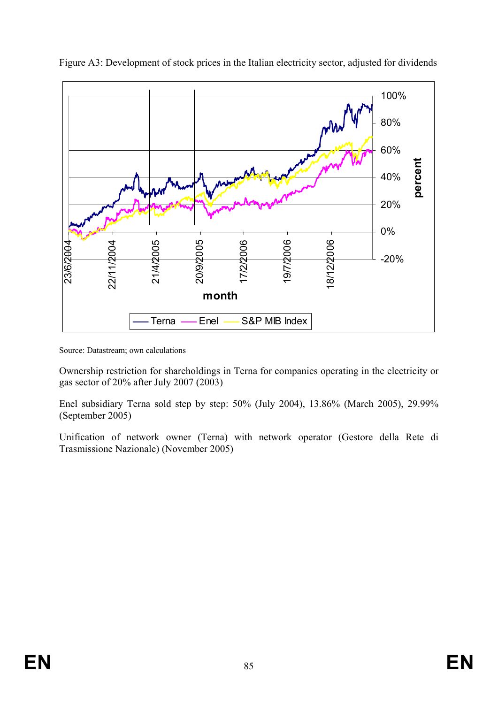

Figure A3: Development of stock prices in the Italian electricity sector, adjusted for dividends

Source: Datastream; own calculations

Ownership restriction for shareholdings in Terna for companies operating in the electricity or gas sector of 20% after July 2007 (2003)

Enel subsidiary Terna sold step by step: 50% (July 2004), 13.86% (March 2005), 29.99% (September 2005)

Unification of network owner (Terna) with network operator (Gestore della Rete di Trasmissione Nazionale) (November 2005)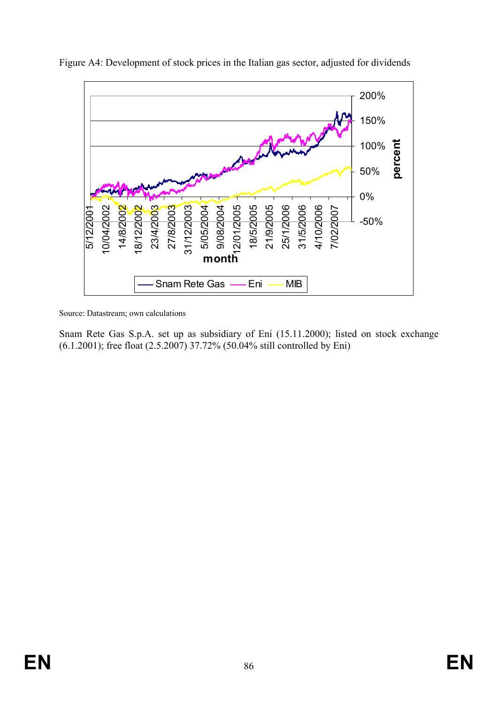

Figure A4: Development of stock prices in the Italian gas sector, adjusted for dividends

Source: Datastream; own calculations

Snam Rete Gas S.p.A. set up as subsidiary of Eni (15.11.2000); listed on stock exchange (6.1.2001); free float (2.5.2007) 37.72% (50.04% still controlled by Eni)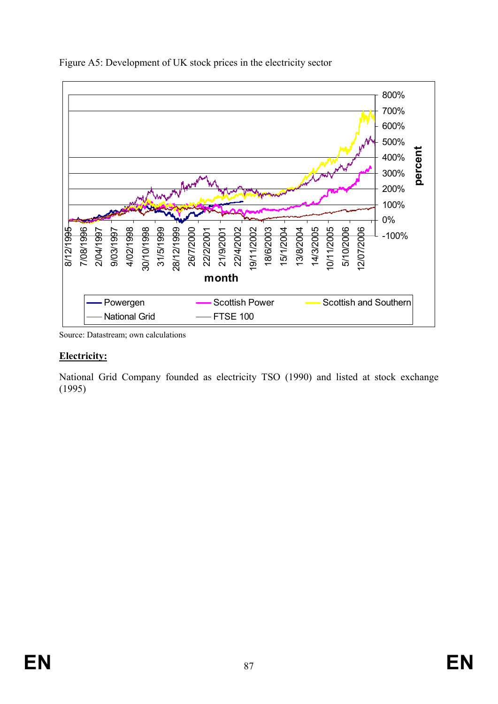

Figure A5: Development of UK stock prices in the electricity sector

Source: Datastream; own calculations

#### **Electricity:**

National Grid Company founded as electricity TSO (1990) and listed at stock exchange (1995)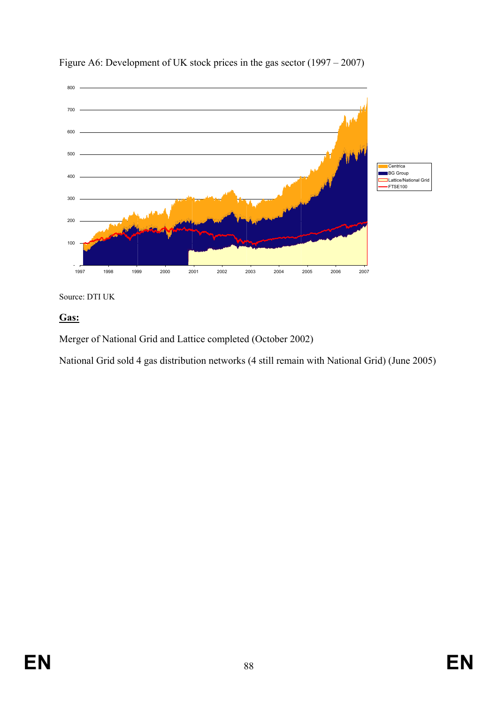

Figure A6: Development of UK stock prices in the gas sector (1997 – 2007)

Source: DTI UK

### **Gas:**

Merger of National Grid and Lattice completed (October 2002)

National Grid sold 4 gas distribution networks (4 still remain with National Grid) (June 2005)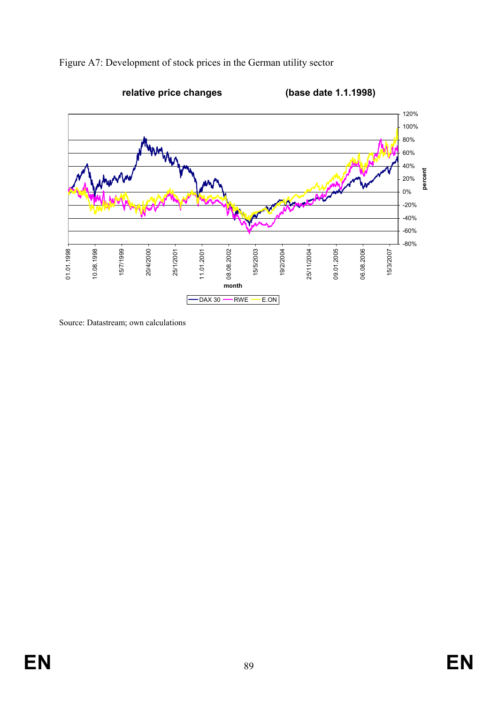



Source: Datastream; own calculations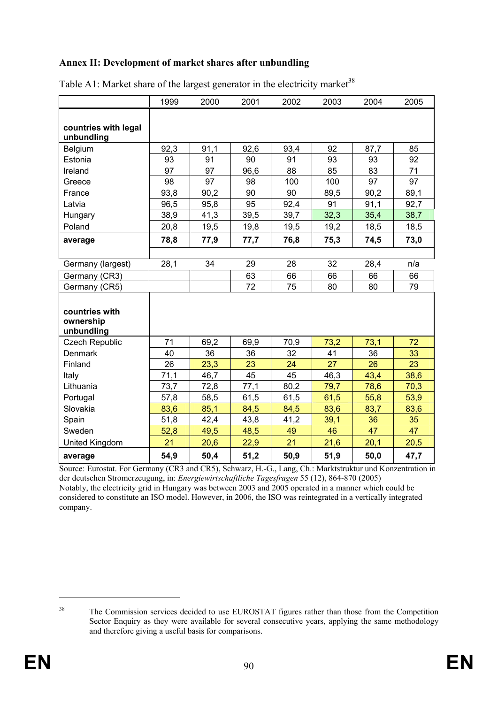#### **Annex II: Development of market shares after unbundling**

|                                    | 1999 | 2000 | 2001 | 2002 | 2003 | 2004 | 2005 |
|------------------------------------|------|------|------|------|------|------|------|
|                                    |      |      |      |      |      |      |      |
| countries with legal<br>unbundling |      |      |      |      |      |      |      |
| Belgium                            | 92,3 | 91,1 | 92,6 | 93,4 | 92   | 87,7 | 85   |
| Estonia                            | 93   | 91   | 90   | 91   | 93   | 93   | 92   |
| Ireland                            | 97   | 97   | 96,6 | 88   | 85   | 83   | 71   |
| Greece                             | 98   | 97   | 98   | 100  | 100  | 97   | 97   |
| France                             | 93,8 | 90,2 | 90   | 90   | 89,5 | 90,2 | 89,1 |
| Latvia                             | 96,5 | 95,8 | 95   | 92,4 | 91   | 91,1 | 92,7 |
| Hungary                            | 38,9 | 41,3 | 39,5 | 39,7 | 32,3 | 35,4 | 38,7 |
| Poland                             | 20,8 | 19,5 | 19,8 | 19,5 | 19,2 | 18,5 | 18,5 |
| average                            | 78,8 | 77,9 | 77,7 | 76,8 | 75,3 | 74,5 | 73,0 |
|                                    |      |      |      |      |      |      |      |
| Germany (largest)                  | 28,1 | 34   | 29   | 28   | 32   | 28,4 | n/a  |
| Germany (CR3)                      |      |      | 63   | 66   | 66   | 66   | 66   |
| Germany (CR5)                      |      |      | 72   | 75   | 80   | 80   | 79   |
|                                    |      |      |      |      |      |      |      |
| countries with                     |      |      |      |      |      |      |      |
| ownership                          |      |      |      |      |      |      |      |
| unbundling                         |      |      |      |      |      |      |      |
| <b>Czech Republic</b>              | 71   | 69,2 | 69,9 | 70,9 | 73,2 | 73,1 | 72   |
| <b>Denmark</b>                     | 40   | 36   | 36   | 32   | 41   | 36   | 33   |
| Finland                            | 26   | 23,3 | 23   | 24   | 27   | 26   | 23   |
| Italy                              | 71,1 | 46,7 | 45   | 45   | 46,3 | 43,4 | 38,6 |
| Lithuania                          | 73,7 | 72,8 | 77,1 | 80,2 | 79,7 | 78,6 | 70,3 |
| Portugal                           | 57,8 | 58,5 | 61,5 | 61,5 | 61,5 | 55,8 | 53,9 |
| Slovakia                           | 83,6 | 85,1 | 84,5 | 84,5 | 83,6 | 83,7 | 83,6 |
| Spain                              | 51,8 | 42,4 | 43,8 | 41,2 | 39,1 | 36   | 35   |
| Sweden                             | 52,8 | 49,5 | 48,5 | 49   | 46   | 47   | 47   |
| United Kingdom                     | 21   | 20,6 | 22,9 | 21   | 21,6 | 20,1 | 20,5 |
| average                            | 54,9 | 50,4 | 51,2 | 50,9 | 51,9 | 50,0 | 47,7 |

Table A1: Market share of the largest generator in the electricity market<sup>38</sup>

Source: Eurostat. For Germany (CR3 and CR5), Schwarz, H.-G., Lang, Ch.: Marktstruktur und Konzentration in der deutschen Stromerzeugung, in: *Energiewirtschaftliche Tagesfragen* 55 (12), 864-870 (2005) Notably, the electricity grid in Hungary was between 2003 and 2005 operated in a manner which could be considered to constitute an ISO model. However, in 2006, the ISO was reintegrated in a vertically integrated company.

<u>.</u>

<sup>&</sup>lt;sup>38</sup> The Commission services decided to use EUROSTAT figures rather than those from the Competition Sector Enquiry as they were available for several consecutive years, applying the same methodology and therefore giving a useful basis for comparisons.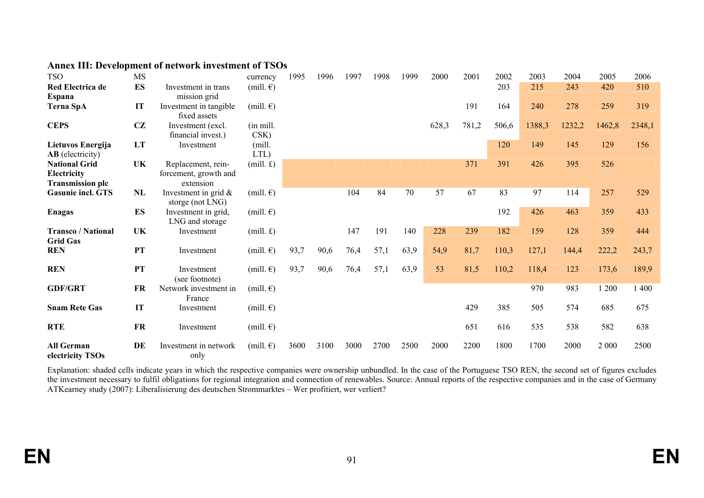| <b>TSO</b>                                                     | <b>MS</b> |                                                          | currency                   | 1995 | 1996 | 1997 | 1998 | 1999 | 2000  | 2001  | 2002  | 2003   | 2004   | 2005   | 2006   |
|----------------------------------------------------------------|-----------|----------------------------------------------------------|----------------------------|------|------|------|------|------|-------|-------|-------|--------|--------|--------|--------|
| <b>Red Electrica de</b><br><b>Espana</b>                       | <b>ES</b> | Investment in trans<br>mission grid                      | (mill. $\epsilon$ )        |      |      |      |      |      |       |       | 203   | 215    | 243    | 420    | 510    |
| <b>Terna SpA</b>                                               | IT        | Investment in tangible<br>fixed assets                   | (mill. $\epsilon$ )        |      |      |      |      |      |       | 191   | 164   | 240    | 278    | 259    | 319    |
| <b>CEPS</b>                                                    | CZ        | Investment (excl.)<br>financial invest.)                 | (in mill.<br>CSK)          |      |      |      |      |      | 628,3 | 781,2 | 506,6 | 1388,3 | 1232,2 | 1462,8 | 2348,1 |
| Lietuvos Energija<br><b>AB</b> (electricity)                   | LT        | Investment                                               | (mill.<br>LTL)             |      |      |      |      |      |       |       | 120   | 149    | 145    | 129    | 156    |
| <b>National Grid</b><br>Electricity<br><b>Transmission plc</b> | UK        | Replacement, rein-<br>forcement, growth and<br>extension | $(mill. \mathbf{\pounds})$ |      |      |      |      |      |       | 371   | 391   | 426    | 395    | 526    |        |
| <b>Gasunie incl. GTS</b>                                       | NL        | Investment in grid $\&$<br>storge (not LNG)              | (mill. $\epsilon$ )        |      |      | 104  | 84   | 70   | 57    | 67    | 83    | 97     | 114    | 257    | 529    |
| <b>Enagas</b>                                                  | <b>ES</b> | Investment in grid,<br>LNG and storage                   | (mill. $\epsilon$ )        |      |      |      |      |      |       |       | 192   | 426    | 463    | 359    | 433    |
| <b>Transco / National</b><br><b>Grid Gas</b>                   | UK        | Investment                                               | (mill. f)                  |      |      | 147  | 191  | 140  | 228   | 239   | 182   | 159    | 128    | 359    | 444    |
| <b>REN</b>                                                     | <b>PT</b> | Investment                                               | (mill. $\epsilon$ )        | 93,7 | 90,6 | 76,4 | 57,1 | 63,9 | 54,9  | 81,7  | 110,3 | 127,1  | 144,4  | 222,2  | 243,7  |
| <b>REN</b>                                                     | <b>PT</b> | Investment<br>(see footnote)                             | (mill. $\epsilon$ )        | 93,7 | 90,6 | 76,4 | 57,1 | 63,9 | 53    | 81,5  | 110,2 | 118,4  | 123    | 173,6  | 189,9  |
| <b>GDF/GRT</b>                                                 | FR        | Network investment in<br>France                          | (mill. $\epsilon$ )        |      |      |      |      |      |       |       |       | 970    | 983    | 1 200  | 1 400  |
| <b>Snam Rete Gas</b>                                           | IT        | Investment                                               | (mill. $\epsilon$ )        |      |      |      |      |      |       | 429   | 385   | 505    | 574    | 685    | 675    |
| <b>RTE</b>                                                     | FR        | Investment                                               | $(mill. \epsilon)$         |      |      |      |      |      |       | 651   | 616   | 535    | 538    | 582    | 638    |
| <b>All German</b><br>electricity TSOs                          | DE        | Investment in network<br>only                            | (mill. $\epsilon$ )        | 3600 | 3100 | 3000 | 2700 | 2500 | 2000  | 2200  | 1800  | 1700   | 2000   | 2 000  | 2500   |

#### **Annex III: Development of network investment of TSOs**

Explanation: shaded cells indicate years in which the respective companies were ownership unbundled. In the case of the Portuguese TSO REN, the second set of figures excludes the investment necessary to fulfil obligations for regional integration and connection of renewables. Source: Annual reports of the respective companies and in the case of Germany ATKearney study (2007): Liberalisierung des deutschen Strommarktes – Wer profitiert, wer verliert?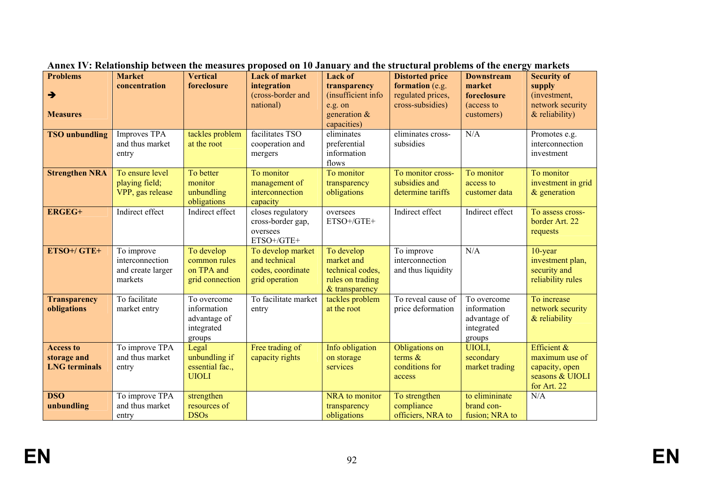| <b>Problems</b><br>$\rightarrow$<br><b>Measures</b>     | <b>Market</b><br>concentration                                | <b>Vertical</b><br>foreclosure                                     | <b>Lack of market</b><br>integration<br>(cross-border and<br>national)    | <b>Lack of</b><br>transparency<br>(insufficient info<br>e.g. on<br>generation $\&$<br>capacities) | <b>Distorted price</b><br>formation (e.g.<br>regulated prices,<br>cross-subsidies) | <b>Downstream</b><br>market<br>foreclosure<br>(access to<br>customers) | <b>Security of</b><br>supply<br>(investment,<br>network security<br>$&$ reliability) |
|---------------------------------------------------------|---------------------------------------------------------------|--------------------------------------------------------------------|---------------------------------------------------------------------------|---------------------------------------------------------------------------------------------------|------------------------------------------------------------------------------------|------------------------------------------------------------------------|--------------------------------------------------------------------------------------|
| <b>TSO</b> unbundling                                   | Improves $TP\overline{A}$<br>and thus market<br>entry         | tackles problem<br>at the root                                     | facilitates TSO<br>cooperation and<br>mergers                             | eliminates<br>preferential<br>information<br>flows                                                | eliminates cross-<br>subsidies                                                     | N/A                                                                    | Promotes e.g.<br>interconnection<br>investment                                       |
| <b>Strengthen NRA</b>                                   | To ensure level<br>playing field;<br>VPP, gas release         | To better<br>monitor<br>unbundling<br>obligations                  | To monitor<br>management of<br>interconnection<br>capacity                | To monitor<br>transparency<br>obligations                                                         | To monitor cross-<br>subsidies and<br>determine tariffs                            | To monitor<br>access to<br>customer data                               | To monitor<br>investment in grid<br>$&$ generation                                   |
| <b>ERGEG+</b>                                           | Indirect effect                                               | Indirect effect                                                    | closes regulatory<br>cross-border gap,<br>oversees<br>ETSO+/GTE+          | oversees<br>ETSO+/GTE+                                                                            | Indirect effect                                                                    | Indirect effect                                                        | To assess cross-<br>border Art. 22<br>requests                                       |
| ETSO+/GTE+                                              | To improve<br>interconnection<br>and create larger<br>markets | To develop<br>common rules<br>on TPA and<br>grid connection        | To develop market<br>and technical<br>codes, coordinate<br>grid operation | To develop<br>market and<br>technical codes,<br>rules on trading<br>& transparency                | To improve<br>interconnection<br>and thus liquidity                                | N/A                                                                    | $10$ -year<br>investment plan,<br>security and<br>reliability rules                  |
| <b>Transparency</b><br>obligations                      | To facilitate<br>market entry                                 | To overcome<br>information<br>advantage of<br>integrated<br>groups | To facilitate market<br>entry                                             | tackles problem<br>at the root                                                                    | To reveal cause of<br>price deformation                                            | To overcome<br>information<br>advantage of<br>integrated<br>groups     | To increase<br>network security<br>$&$ reliability                                   |
| <b>Access to</b><br>storage and<br><b>LNG</b> terminals | To improve TPA<br>and thus market<br>entry                    | Legal<br>unbundling if<br>essential fac.,<br><b>UIOLI</b>          | Free trading of<br>capacity rights                                        | Info obligation<br>on storage<br>services                                                         | Obligations on<br>terms $\&$<br>conditions for<br>access                           | UIOLI,<br>secondary<br>market trading                                  | Efficient $\&$<br>maximum use of<br>capacity, open<br>seasons & UIOLI<br>for Art. 22 |
| <b>DSO</b><br>unbundling                                | To improve TPA<br>and thus market<br>entry                    | strengthen<br>resources of<br><b>DSOs</b>                          |                                                                           | NRA to monitor<br>transparency<br>obligations                                                     | To strengthen<br>compliance<br>officiers, NRA to                                   | to elimininate<br>brand con-<br>fusion; NRA to                         | N/A                                                                                  |

**Annex IV: Relationship between the measures proposed on 10 January and the structural problems of the energy markets**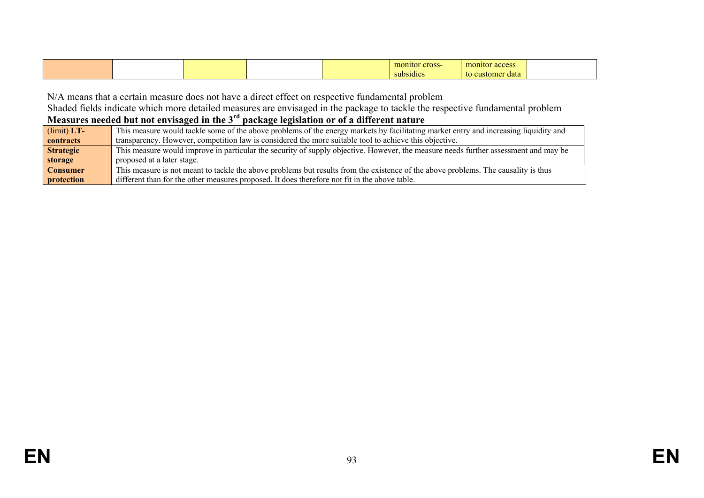|  |  | m<br>cross-<br>mitoi          | monitor<br>00000<br>access.<br><b>Contract Contract Contract Contract Contract Contract Contract Contract Contract Contract Contract Contract Co</b> |  |
|--|--|-------------------------------|------------------------------------------------------------------------------------------------------------------------------------------------------|--|
|  |  | . .<br>$\frac{1}{2}$ hsidical | to customer<br>data                                                                                                                                  |  |

N/A means that a certain measure does not have a direct effect on respective fundamental problem

Shaded fields indicate which more detailed measures are envisaged in the package to tackle the respective fundamental problem

#### **Measures needed but not envisaged in the 3rd package legislation or of a different nature**

| $(limit) LT-$    | This measure would tackle some of the above problems of the energy markets by facilitating market entry and increasing liquidity and |
|------------------|--------------------------------------------------------------------------------------------------------------------------------------|
| contracts        | transparency. However, competition law is considered the more suitable tool to achieve this objective.                               |
| <b>Strategic</b> | This measure would improve in particular the security of supply objective. However, the measure needs further assessment and may be  |
| storage          | proposed at a later stage.                                                                                                           |
| <b>Consumer</b>  | This measure is not meant to tackle the above problems but results from the existence of the above problems. The causality is thus   |
| protection       | different than for the other measures proposed. It does therefore not fit in the above table.                                        |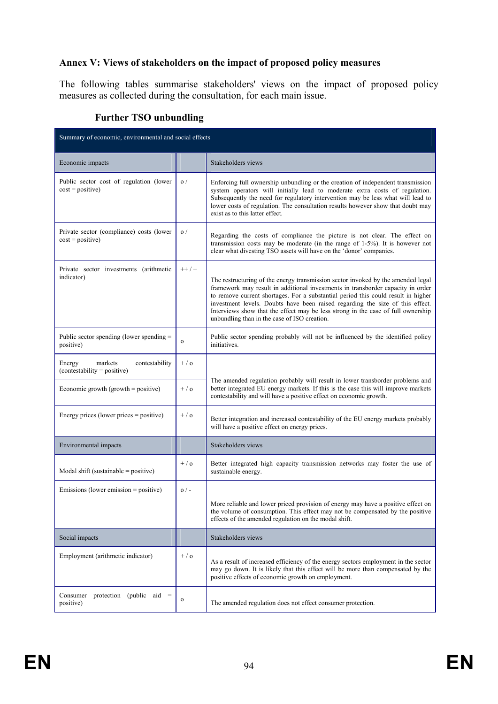#### **Annex V: Views of stakeholders on the impact of proposed policy measures**

The following tables summarise stakeholders' views on the impact of proposed policy measures as collected during the consultation, for each main issue.

| Summary of economic, environmental and social effects              |                |                                                                                                                                                                                                                                                                                                                                                                                                                                                                               |  |  |  |
|--------------------------------------------------------------------|----------------|-------------------------------------------------------------------------------------------------------------------------------------------------------------------------------------------------------------------------------------------------------------------------------------------------------------------------------------------------------------------------------------------------------------------------------------------------------------------------------|--|--|--|
| Economic impacts                                                   |                | Stakeholders views                                                                                                                                                                                                                                                                                                                                                                                                                                                            |  |  |  |
| Public sector cost of regulation (lower<br>$cost = positive)$      | $\sigma/$      | Enforcing full ownership unbundling or the creation of independent transmission<br>system operators will initially lead to moderate extra costs of regulation.<br>Subsequently the need for regulatory intervention may be less what will lead to<br>lower costs of regulation. The consultation results however show that doubt may<br>exist as to this latter effect.                                                                                                       |  |  |  |
| Private sector (compliance) costs (lower<br>$cost = positive)$     | $\sigma/$      | Regarding the costs of compliance the picture is not clear. The effect on<br>transmission costs may be moderate (in the range of 1-5%). It is however not<br>clear what divesting TSO assets will have on the 'donor' companies.                                                                                                                                                                                                                                              |  |  |  |
| Private sector investments (arithmetic<br>indicator)               | $++$ / $+$     | The restructuring of the energy transmission sector invoked by the amended legal<br>framework may result in additional investments in transborder capacity in order<br>to remove current shortages. For a substantial period this could result in higher<br>investment levels. Doubts have been raised regarding the size of this effect.<br>Interviews show that the effect may be less strong in the case of full ownership<br>unbundling than in the case of ISO creation. |  |  |  |
| Public sector spending (lower spending =<br>positive)              | $\mathbf{o}$   | Public sector spending probably will not be influenced by the identified policy<br>initiatives.                                                                                                                                                                                                                                                                                                                                                                               |  |  |  |
| markets<br>contestability<br>Energy<br>(contestability = positive) | $+$ / $\alpha$ |                                                                                                                                                                                                                                                                                                                                                                                                                                                                               |  |  |  |
| Economic growth $(growth = positive)$                              | $+/-$          | The amended regulation probably will result in lower transborder problems and<br>better integrated EU energy markets. If this is the case this will improve markets<br>contestability and will have a positive effect on economic growth.                                                                                                                                                                                                                                     |  |  |  |
| Energy prices (lower prices = positive)                            | $+$ / $\alpha$ | Better integration and increased contestability of the EU energy markets probably<br>will have a positive effect on energy prices.                                                                                                                                                                                                                                                                                                                                            |  |  |  |
| Environmental impacts                                              |                | Stakeholders views                                                                                                                                                                                                                                                                                                                                                                                                                                                            |  |  |  |
| Modal shift (sustainable = positive)                               | $+/-$          | Better integrated high capacity transmission networks may foster the use of<br>sustainable energy.                                                                                                                                                                                                                                                                                                                                                                            |  |  |  |
| $E$ missions (lower emission = positive)                           | $0/-$          |                                                                                                                                                                                                                                                                                                                                                                                                                                                                               |  |  |  |
|                                                                    |                | More reliable and lower priced provision of energy may have a positive effect on<br>the volume of consumption. This effect may not be compensated by the positive<br>effects of the amended regulation on the modal shift.                                                                                                                                                                                                                                                    |  |  |  |
| Social impacts                                                     |                | Stakeholders views                                                                                                                                                                                                                                                                                                                                                                                                                                                            |  |  |  |
| Employment (arithmetic indicator)                                  | $+ / o$        | As a result of increased efficiency of the energy sectors employment in the sector<br>may go down. It is likely that this effect will be more than compensated by the<br>positive effects of economic growth on employment.                                                                                                                                                                                                                                                   |  |  |  |
| Consumer protection (public aid $=$<br>positive)                   | $\mathbf O$    | The amended regulation does not effect consumer protection.                                                                                                                                                                                                                                                                                                                                                                                                                   |  |  |  |

#### **Further TSO unbundling**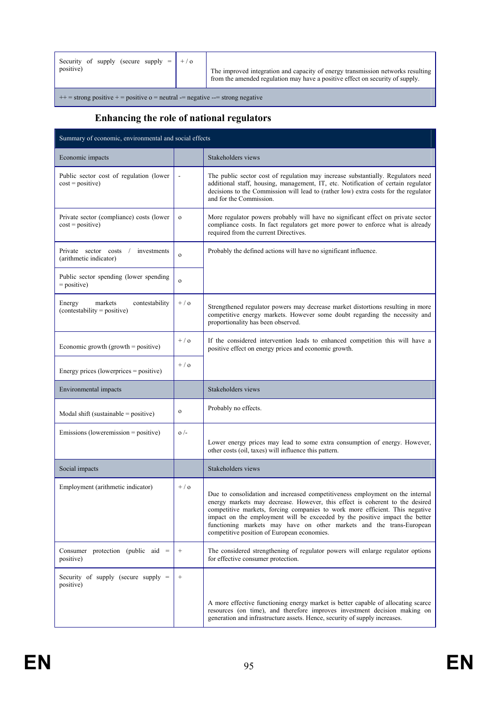| Security of supply (secure supply $=   + / \text{o} $<br>positive)                |  | The improved integration and capacity of energy transmission networks resulting<br>from the amended regulation may have a positive effect on security of supply. |  |  |  |
|-----------------------------------------------------------------------------------|--|------------------------------------------------------------------------------------------------------------------------------------------------------------------|--|--|--|
| $++$ = strong positive + = positive $o$ = neutral -= negative --= strong negative |  |                                                                                                                                                                  |  |  |  |

# **Enhancing the role of national regulators**

| Summary of economic, environmental and social effects              |                 |                                                                                                                                                                                                                                                                                                                                                                                                                                                     |  |  |  |
|--------------------------------------------------------------------|-----------------|-----------------------------------------------------------------------------------------------------------------------------------------------------------------------------------------------------------------------------------------------------------------------------------------------------------------------------------------------------------------------------------------------------------------------------------------------------|--|--|--|
| Economic impacts                                                   |                 | Stakeholders views                                                                                                                                                                                                                                                                                                                                                                                                                                  |  |  |  |
| Public sector cost of regulation (lower<br>$cost = positive)$      |                 | The public sector cost of regulation may increase substantially. Regulators need<br>additional staff, housing, management, IT, etc. Notification of certain regulator<br>decisions to the Commission will lead to (rather low) extra costs for the regulator<br>and for the Commission.                                                                                                                                                             |  |  |  |
| Private sector (compliance) costs (lower<br>$cost = positive)$     | $\mathbf{o}$    | More regulator powers probably will have no significant effect on private sector<br>compliance costs. In fact regulators get more power to enforce what is already<br>required from the current Directives.                                                                                                                                                                                                                                         |  |  |  |
| Private sector costs /<br>investments<br>(arithmetic indicator)    | $\mathbf{o}$    | Probably the defined actions will have no significant influence.                                                                                                                                                                                                                                                                                                                                                                                    |  |  |  |
| Public sector spending (lower spending<br>$=$ positive)            | $\mathbf{o}$    |                                                                                                                                                                                                                                                                                                                                                                                                                                                     |  |  |  |
| markets<br>contestability<br>Energy<br>(contestability = positive) | $+ / o$         | Strengthened regulator powers may decrease market distortions resulting in more<br>competitive energy markets. However some doubt regarding the necessity and<br>proportionality has been observed.                                                                                                                                                                                                                                                 |  |  |  |
| Economic growth (growth $=$ positive)                              | $+$ / $\alpha$  | If the considered intervention leads to enhanced competition this will have a<br>positive effect on energy prices and economic growth.                                                                                                                                                                                                                                                                                                              |  |  |  |
| Energy prices (lowerprices $=$ positive)                           | $+/-$           |                                                                                                                                                                                                                                                                                                                                                                                                                                                     |  |  |  |
| Environmental impacts                                              |                 | Stakeholders views                                                                                                                                                                                                                                                                                                                                                                                                                                  |  |  |  |
| Modal shift (sustainable $=$ positive)                             | $\mathbf{o}$    | Probably no effects.                                                                                                                                                                                                                                                                                                                                                                                                                                |  |  |  |
| Emissions (loweremission = positive)                               | $\sigma$ /-     | Lower energy prices may lead to some extra consumption of energy. However,<br>other costs (oil, taxes) will influence this pattern.                                                                                                                                                                                                                                                                                                                 |  |  |  |
| Social impacts                                                     |                 | Stakeholders views                                                                                                                                                                                                                                                                                                                                                                                                                                  |  |  |  |
| Employment (arithmetic indicator)                                  | $+ / o$         | Due to consolidation and increased competitiveness employment on the internal<br>energy markets may decrease. However, this effect is coherent to the desired<br>competitive markets, forcing companies to work more efficient. This negative<br>impact on the employment will be exceeded by the positive impact the better<br>functioning markets may have on other markets and the trans-European<br>competitive position of European economies. |  |  |  |
| Consumer protection (public aid $=$<br>positive)                   | $\! + \!\!\!\!$ | The considered strengthening of regulator powers will enlarge regulator options<br>for effective consumer protection.                                                                                                                                                                                                                                                                                                                               |  |  |  |
| Security of supply (secure supply $=$<br>positive)                 | $^{+}$          | A more effective functioning energy market is better capable of allocating scarce<br>resources (on time), and therefore improves investment decision making on<br>generation and infrastructure assets. Hence, security of supply increases.                                                                                                                                                                                                        |  |  |  |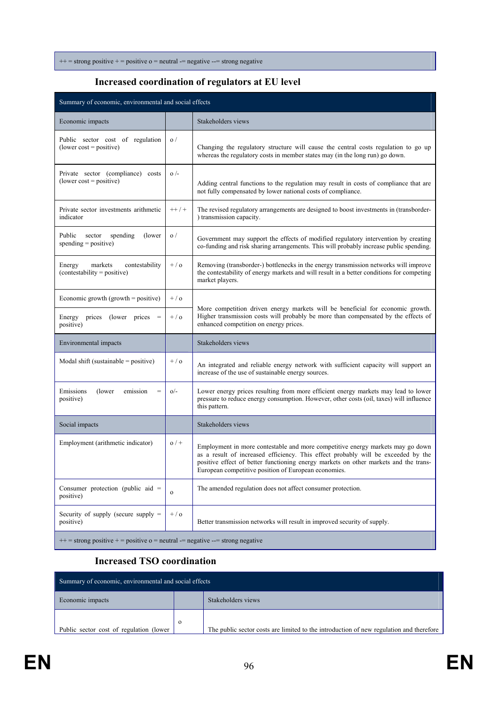$++$  = strong positive + = positive  $o$  = neutral -= negative --= strong negative

#### **Increased coordination of regulators at EU level**

| Summary of economic, environmental and social effects                             |              |                                                                                                                                                                                                                                                                                                                     |
|-----------------------------------------------------------------------------------|--------------|---------------------------------------------------------------------------------------------------------------------------------------------------------------------------------------------------------------------------------------------------------------------------------------------------------------------|
| Economic impacts                                                                  |              | Stakeholders views                                                                                                                                                                                                                                                                                                  |
| Public sector cost of regulation<br>$(lower cost = positive)$                     | $\sigma/$    | Changing the regulatory structure will cause the central costs regulation to go up<br>whereas the regulatory costs in member states may (in the long run) go down.                                                                                                                                                  |
| Private sector (compliance) costs<br>$(lower cost = positive)$                    | $o/-$        | Adding central functions to the regulation may result in costs of compliance that are<br>not fully compensated by lower national costs of compliance.                                                                                                                                                               |
| Private sector investments arithmetic<br>indicator                                | $++$ / +     | The revised regulatory arrangements are designed to boost investments in (transborder-<br>) transmission capacity.                                                                                                                                                                                                  |
| Public<br>spending<br>(lower)<br>sector<br>$spending = positive)$                 | $\sigma/$    | Government may support the effects of modified regulatory intervention by creating<br>co-funding and risk sharing arrangements. This will probably increase public spending.                                                                                                                                        |
| Energy<br>markets<br>contestability<br>(contestability = positive)                | $+ / o$      | Removing (transborder-) bottlenecks in the energy transmission networks will improve<br>the contestability of energy markets and will result in a better conditions for competing<br>market players.                                                                                                                |
| Economic growth (growth $=$ positive)                                             | $+ / o$      |                                                                                                                                                                                                                                                                                                                     |
| Energy prices (lower prices<br>positive)                                          | $+/-$        | More competition driven energy markets will be beneficial for economic growth.<br>Higher transmission costs will probably be more than compensated by the effects of<br>enhanced competition on energy prices.                                                                                                      |
| Environmental impacts                                                             |              | Stakeholders views                                                                                                                                                                                                                                                                                                  |
| Modal shift (sustainable $=$ positive)                                            | $+/-$        | An integrated and reliable energy network with sufficient capacity will support an<br>increase of the use of sustainable energy sources.                                                                                                                                                                            |
| Emissions<br>(lower)<br>emission<br>$=$<br>positive)                              | $O/-$        | Lower energy prices resulting from more efficient energy markets may lead to lower<br>pressure to reduce energy consumption. However, other costs (oil, taxes) will influence<br>this pattern.                                                                                                                      |
| Social impacts                                                                    |              | Stakeholders views                                                                                                                                                                                                                                                                                                  |
| Employment (arithmetic indicator)                                                 | $0/$ +       | Employment in more contestable and more competitive energy markets may go down<br>as a result of increased efficiency. This effect probably will be exceeded by the<br>positive effect of better functioning energy markets on other markets and the trans-<br>European competitive position of European economies. |
| Consumer protection (public aid $=$<br>positive)                                  | $\mathbf{o}$ | The amended regulation does not affect consumer protection.                                                                                                                                                                                                                                                         |
| Security of supply (secure supply $=$<br>positive)                                | $+ / o$      | Better transmission networks will result in improved security of supply.                                                                                                                                                                                                                                            |
| $++$ = strong positive + = positive $o$ = neutral -= negative --= strong negative |              |                                                                                                                                                                                                                                                                                                                     |

#### **Increased TSO coordination**

| Summary of economic, environmental and social effects |  |                                                                                         |
|-------------------------------------------------------|--|-----------------------------------------------------------------------------------------|
| Economic impacts                                      |  | Stakeholders views                                                                      |
| Public sector cost of regulation (lower               |  | The public sector costs are limited to the introduction of new regulation and therefore |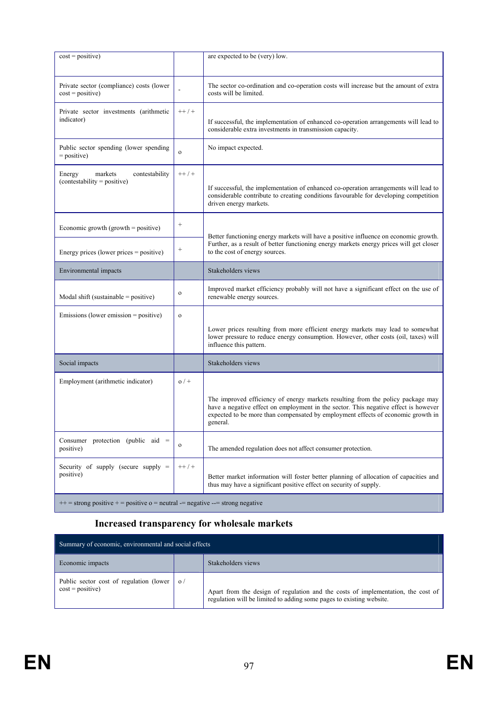| $cost = positive)$                                                                |                 | are expected to be (very) low.                                                                                                                                                                                                                                         |
|-----------------------------------------------------------------------------------|-----------------|------------------------------------------------------------------------------------------------------------------------------------------------------------------------------------------------------------------------------------------------------------------------|
| Private sector (compliance) costs (lower<br>$cost = positive)$                    |                 | The sector co-ordination and co-operation costs will increase but the amount of extra<br>costs will be limited.                                                                                                                                                        |
| Private sector investments (arithmetic<br>indicator)                              | $++$ / +        | If successful, the implementation of enhanced co-operation arrangements will lead to<br>considerable extra investments in transmission capacity.                                                                                                                       |
| Public sector spending (lower spending)<br>$=$ positive)                          | $\mathbf{o}$    | No impact expected.                                                                                                                                                                                                                                                    |
| markets<br>Energy<br>contestability<br>$(contextability = positive)$              | $++$ / +        | If successful, the implementation of enhanced co-operation arrangements will lead to<br>considerable contribute to creating conditions favourable for developing competition<br>driven energy markets.                                                                 |
| Economic growth (growth = positive)                                               | $\! + \!\!\!\!$ | Better functioning energy markets will have a positive influence on economic growth.                                                                                                                                                                                   |
| Energy prices (lower prices = positive)                                           | $\! + \!\!\!\!$ | Further, as a result of better functioning energy markets energy prices will get closer<br>to the cost of energy sources.                                                                                                                                              |
| Environmental impacts                                                             |                 | Stakeholders views                                                                                                                                                                                                                                                     |
| Modal shift (sustainable $=$ positive)                                            | $\mathbf{o}$    | Improved market efficiency probably will not have a significant effect on the use of<br>renewable energy sources.                                                                                                                                                      |
| Emissions (lower emission = positive)                                             | $\mathbf{o}$    | Lower prices resulting from more efficient energy markets may lead to somewhat<br>lower pressure to reduce energy consumption. However, other costs (oil, taxes) will<br>influence this pattern.                                                                       |
| Social impacts                                                                    |                 | Stakeholders views                                                                                                                                                                                                                                                     |
| Employment (arithmetic indicator)                                                 | $0/$ +          |                                                                                                                                                                                                                                                                        |
|                                                                                   |                 | The improved efficiency of energy markets resulting from the policy package may<br>have a negative effect on employment in the sector. This negative effect is however<br>expected to be more than compensated by employment effects of economic growth in<br>general. |
| Consumer protection (public aid $=$<br>positive)                                  | $\mathbf 0$     | The amended regulation does not affect consumer protection.                                                                                                                                                                                                            |
| Security of supply (secure supply $=$<br>positive)                                | $++$ / +        | Better market information will foster better planning of allocation of capacities and<br>thus may have a significant positive effect on security of supply.                                                                                                            |
| $++$ = strong positive + = positive $o$ = neutral -= negative --= strong negative |                 |                                                                                                                                                                                                                                                                        |

# **Increased transparency for wholesale markets**

| Summary of economic, environmental and social effects         |           |                                                                                                                                                          |
|---------------------------------------------------------------|-----------|----------------------------------------------------------------------------------------------------------------------------------------------------------|
| Economic impacts                                              |           | Stakeholders views                                                                                                                                       |
| Public sector cost of regulation (lower<br>$cost = positive)$ | $\sigma/$ | Apart from the design of regulation and the costs of implementation, the cost of<br>regulation will be limited to adding some pages to existing website. |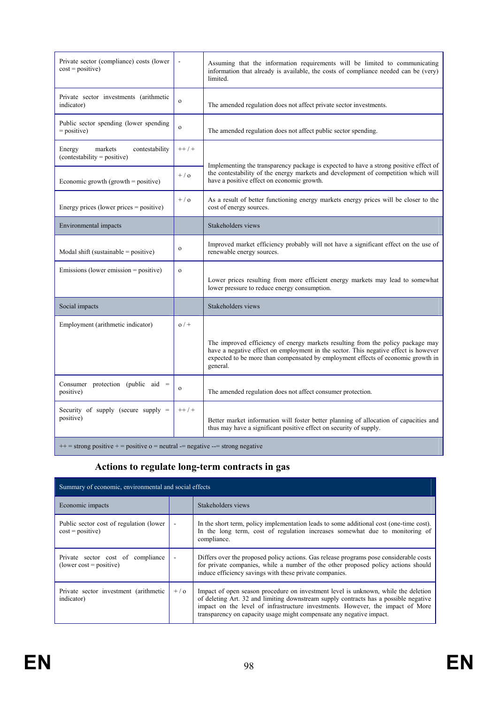| Private sector (compliance) costs (lower<br>$cost = positive)$       |              | Assuming that the information requirements will be limited to communicating<br>information that already is available, the costs of compliance needed can be (very)<br>limited.                                                                                         |
|----------------------------------------------------------------------|--------------|------------------------------------------------------------------------------------------------------------------------------------------------------------------------------------------------------------------------------------------------------------------------|
| Private sector investments (arithmetic<br>indicator)                 | $\mathbf{o}$ | The amended regulation does not affect private sector investments.                                                                                                                                                                                                     |
| Public sector spending (lower spending)<br>$=$ positive)             | $\mathbf{o}$ | The amended regulation does not affect public sector spending.                                                                                                                                                                                                         |
| markets<br>contestability<br>Energy<br>$(contextability = positive)$ | $++$ / +     |                                                                                                                                                                                                                                                                        |
| Economic growth (growth $=$ positive)                                | $+ / o$      | Implementing the transparency package is expected to have a strong positive effect of<br>the contestability of the energy markets and development of competition which will<br>have a positive effect on economic growth.                                              |
| Energy prices (lower prices $=$ positive)                            | $+ / 0$      | As a result of better functioning energy markets energy prices will be closer to the<br>cost of energy sources.                                                                                                                                                        |
| Environmental impacts                                                |              | Stakeholders views                                                                                                                                                                                                                                                     |
| Modal shift (sustainable $=$ positive)                               | $\mathbf{o}$ | Improved market efficiency probably will not have a significant effect on the use of<br>renewable energy sources.                                                                                                                                                      |
| $E$ missions (lower emission = positive)                             | $\mathbf{o}$ | Lower prices resulting from more efficient energy markets may lead to somewhat<br>lower pressure to reduce energy consumption.                                                                                                                                         |
| Social impacts                                                       |              | Stakeholders views                                                                                                                                                                                                                                                     |
| Employment (arithmetic indicator)                                    | $0/$ +       |                                                                                                                                                                                                                                                                        |
|                                                                      |              | The improved efficiency of energy markets resulting from the policy package may<br>have a negative effect on employment in the sector. This negative effect is however<br>expected to be more than compensated by employment effects of economic growth in<br>general. |
| Consumer protection (public aid $=$<br>positive)                     | $\mathbf{o}$ | The amended regulation does not affect consumer protection.                                                                                                                                                                                                            |
| Security of supply (secure supply $=$<br>positive)                   | $++$ / +     | Better market information will foster better planning of allocation of capacities and<br>thus may have a significant positive effect on security of supply.                                                                                                            |
|                                                                      |              |                                                                                                                                                                                                                                                                        |

 $+$  = strong positive + = positive o = neutral -= negative --= strong negative

# **Actions to regulate long-term contracts in gas**

| Summary of economic, environmental and social effects          |                          |                                                                                                                                                                                                                                                                                                                                      |
|----------------------------------------------------------------|--------------------------|--------------------------------------------------------------------------------------------------------------------------------------------------------------------------------------------------------------------------------------------------------------------------------------------------------------------------------------|
| Economic impacts                                               |                          | Stakeholders views                                                                                                                                                                                                                                                                                                                   |
| Public sector cost of regulation (lower)<br>$cost = positive)$ | $\overline{\phantom{a}}$ | In the short term, policy implementation leads to some additional cost (one-time cost).<br>In the long term, cost of regulation increases somewhat due to monitoring of<br>compliance.                                                                                                                                               |
| Private sector cost of compliance<br>$(lower cost = positive)$ | $\overline{\phantom{a}}$ | Differs over the proposed policy actions. Gas release programs pose considerable costs<br>for private companies, while a number of the other proposed policy actions should<br>induce efficiency savings with these private companies.                                                                                               |
| Private sector investment (arithmetic<br>indicator)            | $+/-$                    | Impact of open season procedure on investment level is unknown, while the deletion<br>of deleting Art. 32 and limiting downstream supply contracts has a possible negative<br>impact on the level of infrastructure investments. However, the impact of More<br>transparency on capacity usage might compensate any negative impact. |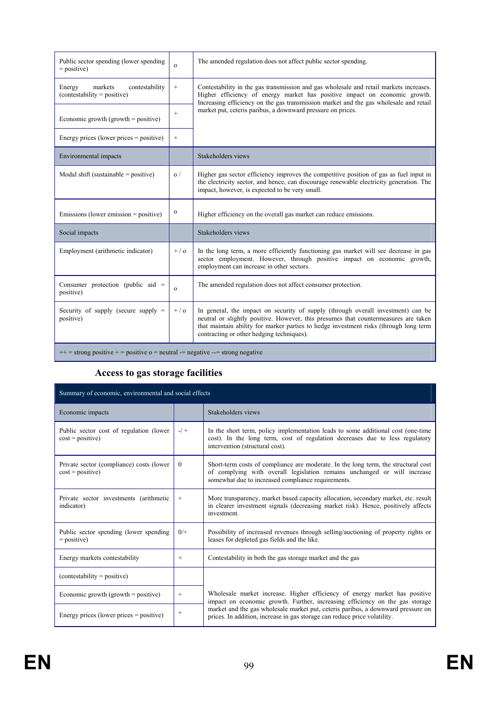| Public sector spending (lower spending)<br>$=$ positive)                                                                                                                                                                                                                                                  | $\Omega$          | The amended regulation does not affect public sector spending.                                                                                                                                                                                                                                                |
|-----------------------------------------------------------------------------------------------------------------------------------------------------------------------------------------------------------------------------------------------------------------------------------------------------------|-------------------|---------------------------------------------------------------------------------------------------------------------------------------------------------------------------------------------------------------------------------------------------------------------------------------------------------------|
| markets<br>contestability<br>Energy<br>$(contextability = positive)$                                                                                                                                                                                                                                      | $^{+}$            | Contestability in the gas transmission and gas wholesale and retail markets increases.<br>Higher efficiency of energy market has positive impact on economic growth.<br>Increasing efficiency on the gas transmission market and the gas wholesale and retail                                                 |
| Economic growth (growth $=$ positive)                                                                                                                                                                                                                                                                     | $+$               | market put, ceteris paribus, a downward pressure on prices.                                                                                                                                                                                                                                                   |
| Energy prices (lower prices $=$ positive)                                                                                                                                                                                                                                                                 | $\qquad \qquad +$ |                                                                                                                                                                                                                                                                                                               |
| Environmental impacts                                                                                                                                                                                                                                                                                     |                   | Stakeholders views                                                                                                                                                                                                                                                                                            |
| Modal shift (sustainable $=$ positive)                                                                                                                                                                                                                                                                    | $\Omega$          | Higher gas sector efficiency improves the competitive position of gas as fuel input in<br>the electricity sector, and hence, can discourage renewable electricity generation. The<br>impact, however, is expected to be very small.                                                                           |
| Emissions (lower emission $=$ positive)                                                                                                                                                                                                                                                                   | $\mathbf{o}$      | Higher efficiency on the overall gas market can reduce emissions.                                                                                                                                                                                                                                             |
| Social impacts                                                                                                                                                                                                                                                                                            |                   | Stakeholders views                                                                                                                                                                                                                                                                                            |
| Employment (arithmetic indicator)                                                                                                                                                                                                                                                                         | $+/-$             | In the long term, a more efficiently functioning gas market will see decrease in gas<br>sector employment. However, through positive impact on economic growth,<br>employment can increase in other sectors.                                                                                                  |
| Consumer protection (public aid $=$<br>positive)                                                                                                                                                                                                                                                          | $\mathbf{O}$      | The amended regulation does not affect consumer protection.                                                                                                                                                                                                                                                   |
| Security of supply (secure supply $=$<br>positive)                                                                                                                                                                                                                                                        | $+$ / $\alpha$    | In general, the impact on security of supply (through overall investment) can be<br>neutral or slightly positive. However, this presumes that countermeasures are taken<br>that maintain ability for marker parties to hedge investment risks (through long term<br>contracting or other hedging techniques). |
| $\frac{1}{2}$ = $\frac{1}{2}$ = $\frac{1}{2}$ = $\frac{1}{2}$ = $\frac{1}{2}$ = $\frac{1}{2}$ = $\frac{1}{2}$ = $\frac{1}{2}$ = $\frac{1}{2}$ = $\frac{1}{2}$ = $\frac{1}{2}$ = $\frac{1}{2}$ = $\frac{1}{2}$ = $\frac{1}{2}$ = $\frac{1}{2}$ = $\frac{1}{2}$ = $\frac{1}{2}$ = $\frac{1}{2}$ = $\frac{1$ |                   |                                                                                                                                                                                                                                                                                                               |

#### $++$  = strong positive + = positive  $o$  = neutral -= negative --= strong negative

# **Access to gas storage facilities**

| Summary of economic, environmental and social effects          |          |                                                                                                                                                                                                                      |
|----------------------------------------------------------------|----------|----------------------------------------------------------------------------------------------------------------------------------------------------------------------------------------------------------------------|
| Economic impacts                                               |          | Stakeholders views                                                                                                                                                                                                   |
| Public sector cost of regulation (lower<br>$cost = positive)$  | $-/-$    | In the short term, policy implementation leads to some additional cost (one-time<br>cost). In the long term, cost of regulation decreases due to less regulatory<br>intervention (structural cost).                  |
| Private sector (compliance) costs (lower<br>$cost = positive)$ | $\theta$ | Short-term costs of compliance are moderate. In the long term, the structural cost<br>of complying with overall legislation remains unchanged or will increase<br>somewhat due to increased compliance requirements. |
| Private sector investments (arithmetic<br>indicator)           | $^{+}$   | More transparency, market based capacity allocation, secondary market, etc. result<br>in clearer investment signals (decreasing market risk). Hence, positively affects<br>investment.                               |
| Public sector spending (lower spending)<br>$=$ positive)       | $0/+$    | Possibility of increased revenues through selling/auctioning of property rights or<br>leases for depleted gas fields and the like.                                                                                   |
| Energy markets contestability                                  | $+$      | Contestability in both the gas storage market and the gas                                                                                                                                                            |
| $(contextability = positive)$                                  |          |                                                                                                                                                                                                                      |
| Economic growth (growth $=$ positive)                          | $^{+}$   | Wholesale market increase. Higher efficiency of energy market has positive<br>impact on economic growth. Further, increasing efficiency on the gas storage                                                           |
| Energy prices (lower prices $=$ positive)                      | $^{+}$   | market and the gas wholesale market put, ceteris paribus, a downward pressure on<br>prices. In addition, increase in gas storage can reduce price volatility.                                                        |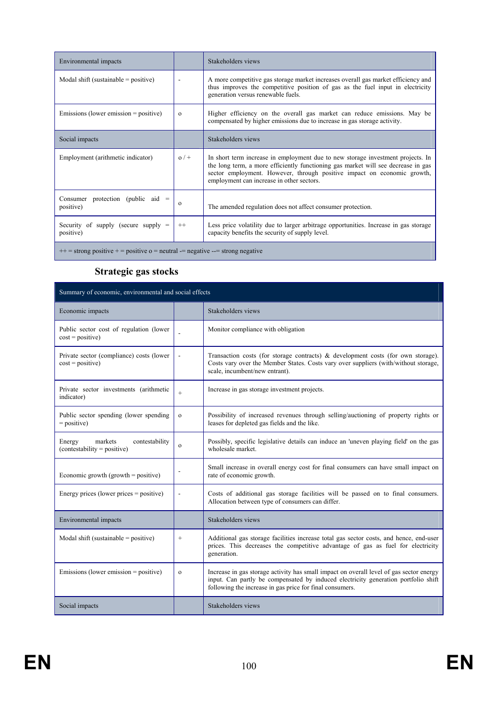| Environmental impacts                              |          | Stakeholders views                                                                                                                                                                                                                                                                           |
|----------------------------------------------------|----------|----------------------------------------------------------------------------------------------------------------------------------------------------------------------------------------------------------------------------------------------------------------------------------------------|
| Modal shift (sustainable = positive)               |          | A more competitive gas storage market increases overall gas market efficiency and<br>thus improves the competitive position of gas as the fuel input in electricity<br>generation versus renewable fuels.                                                                                    |
| Emissions (lower emission $=$ positive)            | $\Omega$ | Higher efficiency on the overall gas market can reduce emissions. May be<br>compensated by higher emissions due to increase in gas storage activity.                                                                                                                                         |
| Social impacts                                     |          | Stakeholders views                                                                                                                                                                                                                                                                           |
| Employment (arithmetic indicator)                  | $0/$ +   | In short term increase in employment due to new storage investment projects. In<br>the long term, a more efficiently functioning gas market will see decrease in gas<br>sector employment. However, through positive impact on economic growth,<br>employment can increase in other sectors. |
| Consumer protection (public aid $=$<br>positive)   | $\Omega$ | The amended regulation does not affect consumer protection.                                                                                                                                                                                                                                  |
| Security of supply (secure supply $=$<br>positive) | $^{++}$  | Less price volatility due to larger arbitrage opportunities. Increase in gas storage<br>capacity benefits the security of supply level.                                                                                                                                                      |
|                                                    |          |                                                                                                                                                                                                                                                                                              |

 $++$  = strong positive + = positive  $o$  = neutral  $-$  negative  $--$  strong negative

### **Strategic gas stocks**

| Summary of economic, environmental and social effects                |                          |                                                                                                                                                                                                                                           |
|----------------------------------------------------------------------|--------------------------|-------------------------------------------------------------------------------------------------------------------------------------------------------------------------------------------------------------------------------------------|
| Economic impacts                                                     |                          | Stakeholders views                                                                                                                                                                                                                        |
| Public sector cost of regulation (lower<br>$cost = positive)$        |                          | Monitor compliance with obligation                                                                                                                                                                                                        |
| Private sector (compliance) costs (lower<br>$cost = positive)$       | $\overline{\phantom{a}}$ | Transaction costs (for storage contracts) $\&$ development costs (for own storage).<br>Costs vary over the Member States. Costs vary over suppliers (with/without storage,<br>scale, incumbent/new entrant).                              |
| Private sector investments (arithmetic<br>indicator)                 | $^{+}$                   | Increase in gas storage investment projects.                                                                                                                                                                                              |
| Public sector spending (lower spending)<br>$=$ positive)             | $\mathbf{o}$             | Possibility of increased revenues through selling/auctioning of property rights or<br>leases for depleted gas fields and the like.                                                                                                        |
| markets<br>contestability<br>Energy<br>$(contextability = positive)$ | $\mathbf{o}$             | Possibly, specific legislative details can induce an 'uneven playing field' on the gas<br>wholesale market.                                                                                                                               |
| Economic growth (growth $=$ positive)                                |                          | Small increase in overall energy cost for final consumers can have small impact on<br>rate of economic growth.                                                                                                                            |
| Energy prices (lower prices $=$ positive)                            | $\overline{a}$           | Costs of additional gas storage facilities will be passed on to final consumers.<br>Allocation between type of consumers can differ.                                                                                                      |
| Environmental impacts                                                |                          | Stakeholders views                                                                                                                                                                                                                        |
| Modal shift (sustainable = positive)                                 | $^{+}$                   | Additional gas storage facilities increase total gas sector costs, and hence, end-user<br>prices. This decreases the competitive advantage of gas as fuel for electricity<br>generation.                                                  |
| Emissions (lower emission $=$ positive)                              | $\Omega$                 | Increase in gas storage activity has small impact on overall level of gas sector energy<br>input. Can partly be compensated by induced electricity generation portfolio shift<br>following the increase in gas price for final consumers. |
| Social impacts                                                       |                          | Stakeholders views                                                                                                                                                                                                                        |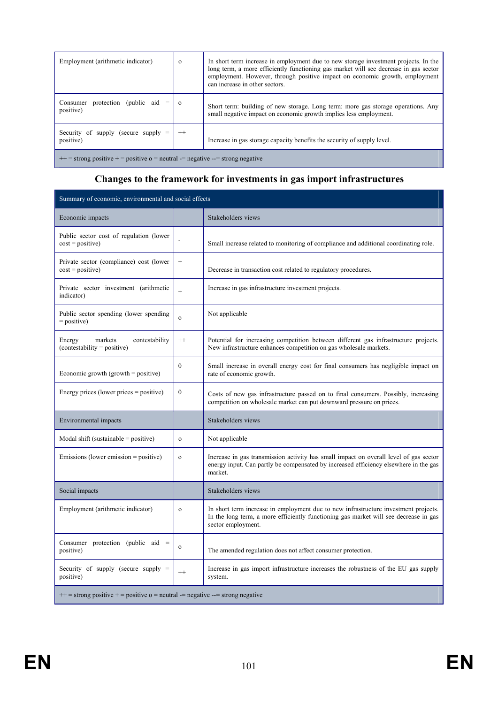| Employment (arithmetic indicator)                                                 | $\Omega$ | In short term increase in employment due to new storage investment projects. In the<br>long term, a more efficiently functioning gas market will see decrease in gas sector<br>employment. However, through positive impact on economic growth, employment<br>can increase in other sectors. |
|-----------------------------------------------------------------------------------|----------|----------------------------------------------------------------------------------------------------------------------------------------------------------------------------------------------------------------------------------------------------------------------------------------------|
| protection (public aid<br>Consumer<br>positive)                                   | $\Omega$ | Short term: building of new storage. Long term: more gas storage operations. Any<br>small negative impact on economic growth implies less employment.                                                                                                                                        |
| Security of supply (secure supply $=$<br>positive)                                | $^{++}$  | Increase in gas storage capacity benefits the security of supply level.                                                                                                                                                                                                                      |
| $++$ = strong positive + = positive $o$ = neutral -= negative --= strong negative |          |                                                                                                                                                                                                                                                                                              |

#### **Changes to the framework for investments in gas import infrastructures**

| Summary of economic, environmental and social effects                             |              |                                                                                                                                                                                                   |
|-----------------------------------------------------------------------------------|--------------|---------------------------------------------------------------------------------------------------------------------------------------------------------------------------------------------------|
| Economic impacts                                                                  |              | Stakeholders views                                                                                                                                                                                |
| Public sector cost of regulation (lower<br>$cost = positive)$                     |              | Small increase related to monitoring of compliance and additional coordinating role.                                                                                                              |
| Private sector (compliance) cost (lower<br>$cost = positive)$                     | $+$          | Decrease in transaction cost related to regulatory procedures.                                                                                                                                    |
| Private sector investment (arithmetic<br>indicator)                               | $^{+}$       | Increase in gas infrastructure investment projects.                                                                                                                                               |
| Public sector spending (lower spending)<br>$=$ positive)                          | $\mathbf{o}$ | Not applicable                                                                                                                                                                                    |
| Energy<br>markets<br>contestability<br>(contestability = positive)                | $^{++}$      | Potential for increasing competition between different gas infrastructure projects.<br>New infrastructure enhances competition on gas wholesale markets.                                          |
| Economic growth $(growth = positive)$                                             | $\theta$     | Small increase in overall energy cost for final consumers has negligible impact on<br>rate of economic growth.                                                                                    |
| Energy prices (lower prices = positive)                                           | $\mathbf{0}$ | Costs of new gas infrastructure passed on to final consumers. Possibly, increasing<br>competition on wholesale market can put downward pressure on prices.                                        |
| Environmental impacts                                                             |              | Stakeholders views                                                                                                                                                                                |
| Modal shift (sustainable $=$ positive)                                            | $\mathbf{o}$ | Not applicable                                                                                                                                                                                    |
| Emissions (lower emission = positive)                                             | $\mathbf{o}$ | Increase in gas transmission activity has small impact on overall level of gas sector<br>energy input. Can partly be compensated by increased efficiency elsewhere in the gas<br>market.          |
| Social impacts                                                                    |              | Stakeholders views                                                                                                                                                                                |
| Employment (arithmetic indicator)                                                 | $\mathbf{o}$ | In short term increase in employment due to new infrastructure investment projects.<br>In the long term, a more efficiently functioning gas market will see decrease in gas<br>sector employment. |
| Consumer protection (public aid $=$<br>positive)                                  | $\mathbf{o}$ | The amended regulation does not affect consumer protection.                                                                                                                                       |
| Security of supply (secure supply $=$<br>positive)                                | $++$         | Increase in gas import infrastructure increases the robustness of the EU gas supply<br>system.                                                                                                    |
| $++$ = strong positive + = positive $o$ = neutral -= negative --= strong negative |              |                                                                                                                                                                                                   |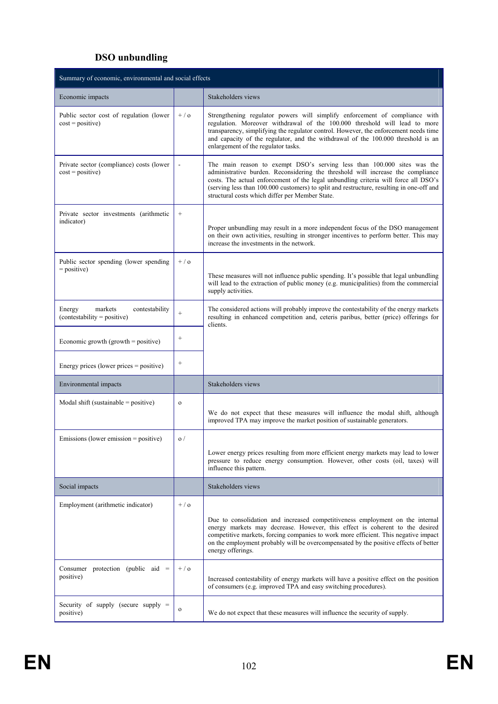# **DSO unbundling**

| Summary of economic, environmental and social effects                |                 |                                                                                                                                                                                                                                                                                                                                                                                                  |  |  |
|----------------------------------------------------------------------|-----------------|--------------------------------------------------------------------------------------------------------------------------------------------------------------------------------------------------------------------------------------------------------------------------------------------------------------------------------------------------------------------------------------------------|--|--|
| Economic impacts                                                     |                 | Stakeholders views                                                                                                                                                                                                                                                                                                                                                                               |  |  |
| Public sector cost of regulation (lower<br>$cost = positive)$        | $+$ / $\alpha$  | Strengthening regulator powers will simplify enforcement of compliance with<br>regulation. Moreover withdrawal of the 100.000 threshold will lead to more<br>transparency, simplifying the regulator control. However, the enforcement needs time<br>and capacity of the regulator, and the withdrawal of the 100.000 threshold is an<br>enlargement of the regulator tasks.                     |  |  |
| Private sector (compliance) costs (lower<br>$cost = positive)$       |                 | The main reason to exempt DSO's serving less than 100.000 sites was the<br>administrative burden. Reconsidering the threshold will increase the compliance<br>costs. The actual enforcement of the legal unbundling criteria will force all DSO's<br>(serving less than 100.000 customers) to split and restructure, resulting in one-off and<br>structural costs which differ per Member State. |  |  |
| Private sector investments (arithmetic<br>indicator)                 | $\! +$          | Proper unbundling may result in a more independent focus of the DSO management<br>on their own activities, resulting in stronger incentives to perform better. This may<br>increase the investments in the network.                                                                                                                                                                              |  |  |
| Public sector spending (lower spending<br>$=$ positive)              | $+ / o$         | These measures will not influence public spending. It's possible that legal unbundling<br>will lead to the extraction of public money (e.g. municipalities) from the commercial<br>supply activities.                                                                                                                                                                                            |  |  |
| markets<br>contestability<br>Energy<br>$(contextability = positive)$ | $^{+}$          | The considered actions will probably improve the contestability of the energy markets<br>resulting in enhanced competition and, ceteris paribus, better (price) offerings for<br>clients.                                                                                                                                                                                                        |  |  |
| Economic growth (growth = positive)                                  | $\! + \!\!\!\!$ |                                                                                                                                                                                                                                                                                                                                                                                                  |  |  |
| Energy prices (lower prices = positive)                              | $\! + \!\!\!\!$ |                                                                                                                                                                                                                                                                                                                                                                                                  |  |  |
| Environmental impacts                                                |                 | Stakeholders views                                                                                                                                                                                                                                                                                                                                                                               |  |  |
| Modal shift (sustainable $=$ positive)                               | $\mathbf{o}$    | We do not expect that these measures will influence the modal shift, although<br>improved TPA may improve the market position of sustainable generators.                                                                                                                                                                                                                                         |  |  |
| Emissions (lower emission $=$ positive)                              | $\sigma/$       | Lower energy prices resulting from more efficient energy markets may lead to lower<br>pressure to reduce energy consumption. However, other costs (oil, taxes) will<br>influence this pattern.                                                                                                                                                                                                   |  |  |
| Social impacts                                                       |                 | Stakeholders views                                                                                                                                                                                                                                                                                                                                                                               |  |  |
| Employment (arithmetic indicator)                                    | $+/-$           | Due to consolidation and increased competitiveness employment on the internal<br>energy markets may decrease. However, this effect is coherent to the desired<br>competitive markets, forcing companies to work more efficient. This negative impact<br>on the employment probably will be overcompensated by the positive effects of better<br>energy offerings.                                |  |  |
| Consumer protection (public aid $=$<br>positive)                     | $+/-$           | Increased contestability of energy markets will have a positive effect on the position<br>of consumers (e.g. improved TPA and easy switching procedures).                                                                                                                                                                                                                                        |  |  |
| Security of supply (secure supply $=$<br>positive)                   | $\mathbf{o}$    | We do not expect that these measures will influence the security of supply.                                                                                                                                                                                                                                                                                                                      |  |  |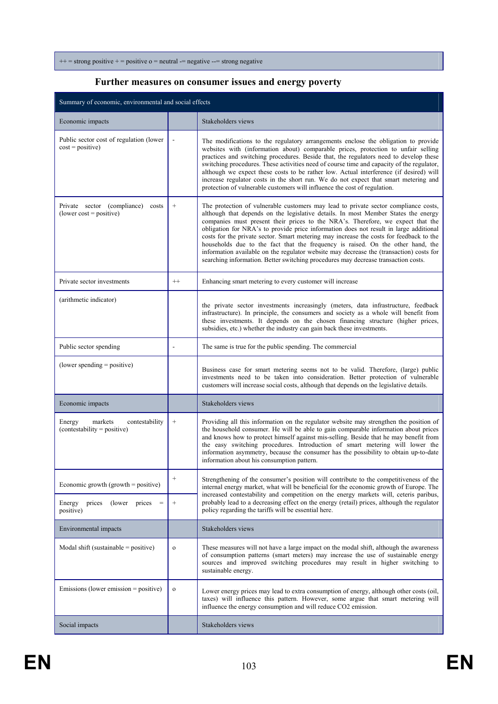$++$  = strong positive + = positive  $o$  = neutral -= negative --= strong negative

#### **Further measures on consumer issues and energy poverty**

| Summary of economic, environmental and social effects                |                 |                                                                                                                                                                                                                                                                                                                                                                                                                                                                                                                                                                                                                                                                                                                      |  |  |
|----------------------------------------------------------------------|-----------------|----------------------------------------------------------------------------------------------------------------------------------------------------------------------------------------------------------------------------------------------------------------------------------------------------------------------------------------------------------------------------------------------------------------------------------------------------------------------------------------------------------------------------------------------------------------------------------------------------------------------------------------------------------------------------------------------------------------------|--|--|
| Economic impacts                                                     |                 | Stakeholders views                                                                                                                                                                                                                                                                                                                                                                                                                                                                                                                                                                                                                                                                                                   |  |  |
| Public sector cost of regulation (lower<br>$cost = positive)$        |                 | The modifications to the regulatory arrangements enclose the obligation to provide<br>websites with (information about) comparable prices, protection to unfair selling<br>practices and switching procedures. Beside that, the regulators need to develop these<br>switching procedures. These activities need of course time and capacity of the regulator,<br>although we expect these costs to be rather low. Actual interference (if desired) will<br>increase regulator costs in the short run. We do not expect that smart metering and<br>protection of vulnerable customers will influence the cost of regulation.                                                                                          |  |  |
| Private sector (compliance) costs<br>$(lower cost = positive)$       | $+$             | The protection of vulnerable customers may lead to private sector compliance costs,<br>although that depends on the legislative details. In most Member States the energy<br>companies must present their prices to the NRA's. Therefore, we expect that the<br>obligation for NRA's to provide price information does not result in large additional<br>costs for the private sector. Smart metering may increase the costs for feedback to the<br>households due to the fact that the frequency is raised. On the other hand, the<br>information available on the regulator website may decrease the (transaction) costs for<br>searching information. Better switching procedures may decrease transaction costs. |  |  |
| Private sector investments                                           | $++$            | Enhancing smart metering to every customer will increase                                                                                                                                                                                                                                                                                                                                                                                                                                                                                                                                                                                                                                                             |  |  |
| (arithmetic indicator)                                               |                 | the private sector investments increasingly (meters, data infrastructure, feedback<br>infrastructure). In principle, the consumers and society as a whole will benefit from<br>these investments. It depends on the chosen financing structure (higher prices,<br>subsidies, etc.) whether the industry can gain back these investments.                                                                                                                                                                                                                                                                                                                                                                             |  |  |
| Public sector spending                                               | $\overline{a}$  | The same is true for the public spending. The commercial                                                                                                                                                                                                                                                                                                                                                                                                                                                                                                                                                                                                                                                             |  |  |
| $(lower spending = positive)$                                        |                 | Business case for smart metering seems not to be valid. Therefore, (large) public<br>investments need to be taken into consideration. Better protection of vulnerable<br>customers will increase social costs, although that depends on the legislative details.                                                                                                                                                                                                                                                                                                                                                                                                                                                     |  |  |
| Economic impacts                                                     |                 | Stakeholders views                                                                                                                                                                                                                                                                                                                                                                                                                                                                                                                                                                                                                                                                                                   |  |  |
| markets<br>contestability<br>Energy<br>$(contextability = positive)$ | $+$             | Providing all this information on the regulator website may strengthen the position of<br>the household consumer. He will be able to gain comparable information about prices<br>and knows how to protect himself against mis-selling. Beside that he may benefit from<br>the easy switching procedures. Introduction of smart metering will lower the<br>information asymmetry, because the consumer has the possibility to obtain up-to-date<br>information about his consumption pattern.                                                                                                                                                                                                                         |  |  |
| Economic growth (growth = positive)                                  | $\! + \!\!\!\!$ | Strengthening of the consumer's position will contribute to the competitiveness of the<br>internal energy market, what will be beneficial for the economic growth of Europe. The                                                                                                                                                                                                                                                                                                                                                                                                                                                                                                                                     |  |  |
| (lower prices)<br>Energy<br>prices<br>positive)                      | $+$             | increased contestability and competition on the energy markets will, ceteris paribus,<br>probably lead to a decreasing effect on the energy (retail) prices, although the regulator<br>policy regarding the tariffs will be essential here.                                                                                                                                                                                                                                                                                                                                                                                                                                                                          |  |  |
| Environmental impacts                                                |                 | Stakeholders views                                                                                                                                                                                                                                                                                                                                                                                                                                                                                                                                                                                                                                                                                                   |  |  |
| Modal shift (sustainable = positive)                                 | $\mathbf{o}$    | These measures will not have a large impact on the modal shift, although the awareness<br>of consumption patterns (smart meters) may increase the use of sustainable energy<br>sources and improved switching procedures may result in higher switching to<br>sustainable energy.                                                                                                                                                                                                                                                                                                                                                                                                                                    |  |  |
| Emissions (lower emission = positive)                                | $\mathbf{o}$    | Lower energy prices may lead to extra consumption of energy, although other costs (oil,<br>taxes) will influence this pattern. However, some argue that smart metering will<br>influence the energy consumption and will reduce CO2 emission.                                                                                                                                                                                                                                                                                                                                                                                                                                                                        |  |  |
| Social impacts                                                       |                 | Stakeholders views                                                                                                                                                                                                                                                                                                                                                                                                                                                                                                                                                                                                                                                                                                   |  |  |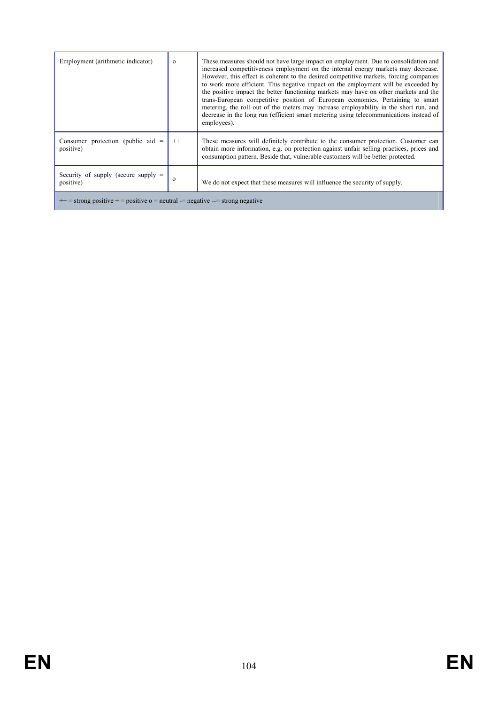| Employment (arithmetic indicator)                                                 | $\Omega$ | These measures should not have large impact on employment. Due to consolidation and<br>increased competitiveness employment on the internal energy markets may decrease.<br>However, this effect is coherent to the desired competitive markets, forcing companies<br>to work more efficient. This negative impact on the employment will be exceeded by<br>the positive impact the better functioning markets may have on other markets and the<br>trans-European competitive position of European economies. Pertaining to smart<br>metering, the roll out of the meters may increase employability in the short run, and<br>decrease in the long run (efficient smart metering using telecommunications instead of<br>employees). |  |  |
|-----------------------------------------------------------------------------------|----------|--------------------------------------------------------------------------------------------------------------------------------------------------------------------------------------------------------------------------------------------------------------------------------------------------------------------------------------------------------------------------------------------------------------------------------------------------------------------------------------------------------------------------------------------------------------------------------------------------------------------------------------------------------------------------------------------------------------------------------------|--|--|
| Consumer protection (public aid $=$<br>positive)                                  | $^{++}$  | These measures will definitely contribute to the consumer protection. Customer can<br>obtain more information, e.g. on protection against unfair selling practices, prices and<br>consumption pattern. Beside that, vulnerable customers will be better protected.                                                                                                                                                                                                                                                                                                                                                                                                                                                                   |  |  |
| Security of supply (secure supply $=$<br>positive)                                | $\Omega$ | We do not expect that these measures will influence the security of supply.                                                                                                                                                                                                                                                                                                                                                                                                                                                                                                                                                                                                                                                          |  |  |
| $++$ = strong positive + = positive $o$ = neutral -= negative --= strong negative |          |                                                                                                                                                                                                                                                                                                                                                                                                                                                                                                                                                                                                                                                                                                                                      |  |  |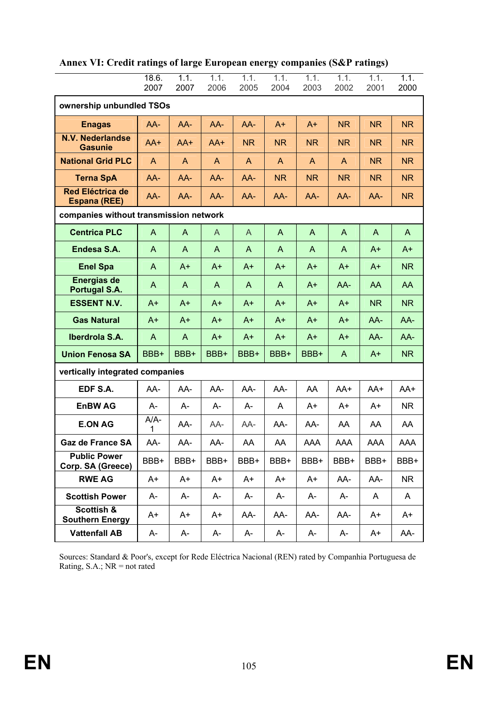|                                                | 18.6.<br>2007 | 1.1.<br>2007 | 1.1.<br>2006 | 1.1.<br>2005 | 1.1.<br>2004 | 1.1.<br>2003   | 1.1.<br>2002   | 1.1.<br>2001 | 1.1.<br>2000   |
|------------------------------------------------|---------------|--------------|--------------|--------------|--------------|----------------|----------------|--------------|----------------|
| ownership unbundled TSOs                       |               |              |              |              |              |                |                |              |                |
| <b>Enagas</b>                                  | $AA-$         | AA-          | $AA-$        | $AA-$        | $A+$         | $A+$           | <b>NR</b>      | <b>NR</b>    | NR             |
| <b>N.V. Nederlandse</b><br><b>Gasunie</b>      | AA+           | $AA+$        | AA+          | <b>NR</b>    | <b>NR</b>    | <b>NR</b>      | <b>NR</b>      | NR.          | <b>NR</b>      |
| <b>National Grid PLC</b>                       | A             | A            | A            | A            | $\mathsf{A}$ | A              | A              | <b>NR</b>    | N <sub>R</sub> |
| <b>Terna SpA</b>                               | $AA-$         | $AA-$        | $AA-$        | AA-          | <b>NR</b>    | N <sub>R</sub> | N <sub>R</sub> | <b>NR</b>    | <b>NR</b>      |
| <b>Red Eléctrica de</b><br><b>Espana (REE)</b> | AA-           | AA-          | AA-          | AA-          | AA-          | AA-            | AA-            | AA-          | N <sub>R</sub> |
| companies without transmission network         |               |              |              |              |              |                |                |              |                |
| <b>Centrica PLC</b>                            | A             | A            | A            | A            | A            | A              | $\mathsf{A}$   | A            | A              |
| Endesa S.A.                                    | A             | A            | A            | A            | A            | A              | A              | $A+$         | $A+$           |
| <b>Enel Spa</b>                                | A             | $A+$         | $A+$         | $A+$         | $A+$         | $A+$           | $A+$           | $A+$         | <b>NR</b>      |
| <b>Energias de</b><br>Portugal S.A.            | A             | A            | A            | A            | A            | $A+$           | AA-            | AA           | AA             |
| <b>ESSENT N.V.</b>                             | $A+$          | $A+$         | $A+$         | $A+$         | $A+$         | $A+$           | $A+$           | NR           | <b>NR</b>      |
| <b>Gas Natural</b>                             | $A+$          | $A+$         | $A+$         | $A+$         | $A+$         | $A+$           | $A+$           | AA-          | AA-            |
| Iberdrola S.A.                                 | A             | A            | $A+$         | $A+$         | $A+$         | $A+$           | $A+$           | AA-          | AA-            |
| <b>Union Fenosa SA</b>                         | BBB+          | BBB+         | BBB+         | BBB+         | BBB+         | BBB+           | A              | $A+$         | NR             |
| vertically integrated companies                |               |              |              |              |              |                |                |              |                |
| EDF S.A.                                       | AA-           | AA-          | AA-          | AA-          | AA-          | AA             | AA+            | AA+          | AA+            |
| <b>EnBW AG</b>                                 | A-            | A-           | A-           | A-           | A            | A+             | A+             | A+           | NR.            |
| <b>E.ON AG</b>                                 | $A/A-$<br>1   | AA-          | AA-          | AA-          | AA-          | AA-            | AA             | AA           | AA             |
| <b>Gaz de France SA</b>                        | AA-           | AA-          | AA-          | AA           | AA           | <b>AAA</b>     | AAA            | AAA          | <b>AAA</b>     |
| <b>Public Power</b><br>Corp. SA (Greece)       | BBB+          | BBB+         | BBB+         | BBB+         | BBB+         | BBB+           | BBB+           | BBB+         | BBB+           |
| <b>RWE AG</b>                                  | A+            | A+           | A+           | A+           | A+           | $A+$           | AA-            | AA-          | NR.            |
| <b>Scottish Power</b>                          | A-            | A-           | A-           | A-           | A-           | A-             | A-             | A            | A              |
| Scottish &<br><b>Southern Energy</b>           | A+            | A+           | A+           | AA-          | AA-          | AA-            | AA-            | A+           | A+             |
| <b>Vattenfall AB</b>                           | A-            | A-           | A-           | A-           | А-           | A-             | A-             | A+           | AA-            |

**Annex VI: Credit ratings of large European energy companies (S&P ratings)** 

Sources: Standard & Poor's, except for Rede Eléctrica Nacional (REN) rated by Companhia Portuguesa de Rating, S.A.;  $NR = not$  rated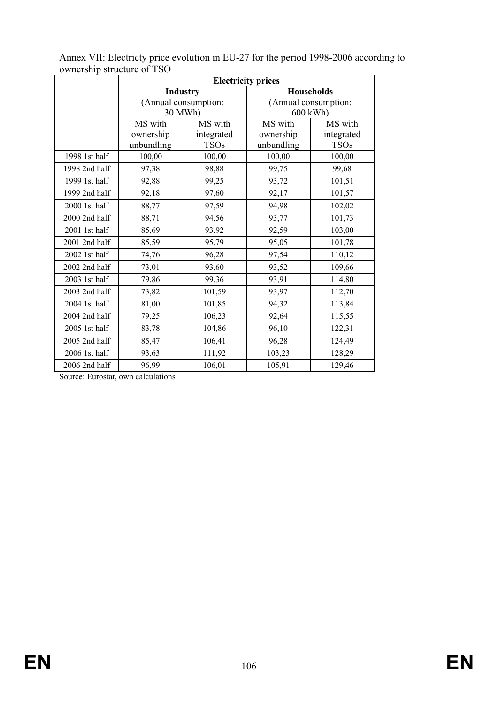|               | <b>Electricity prices</b> |                      |                      |             |  |  |
|---------------|---------------------------|----------------------|----------------------|-------------|--|--|
|               |                           | <b>Industry</b>      | <b>Households</b>    |             |  |  |
|               |                           | (Annual consumption: | (Annual consumption: |             |  |  |
|               |                           | 30 MWh)              | 600 kWh)             |             |  |  |
|               | MS with                   | MS with              | MS with              | MS with     |  |  |
|               | ownership                 | integrated           | ownership            | integrated  |  |  |
|               | unbundling                | <b>TSOs</b>          | unbundling           | <b>TSOs</b> |  |  |
| 1998 1st half | 100,00                    | 100,00               | 100,00               | 100,00      |  |  |
| 1998 2nd half | 97,38                     | 98,88                | 99,75                | 99,68       |  |  |
| 1999 1st half | 92,88                     | 99,25                | 93,72                | 101,51      |  |  |
| 1999 2nd half | 92,18                     | 97,60                | 92,17                | 101,57      |  |  |
| 2000 1st half | 88,77                     | 97,59                | 94,98                | 102,02      |  |  |
| 2000 2nd half | 88,71                     | 94,56                | 93,77                | 101,73      |  |  |
| 2001 1st half | 85,69                     | 93,92                | 92,59                | 103,00      |  |  |
| 2001 2nd half | 85,59                     | 95,79                | 95,05                | 101,78      |  |  |
| 2002 1st half | 74,76                     | 96,28                | 97,54                | 110,12      |  |  |
| 2002 2nd half | 73,01                     | 93,60                | 93,52                | 109,66      |  |  |
| 2003 1st half | 79,86                     | 99,36                | 93,91                | 114,80      |  |  |
| 2003 2nd half | 73,82                     | 101,59               | 93,97                | 112,70      |  |  |
| 2004 1st half | 81,00                     | 101,85               | 94,32                | 113,84      |  |  |
| 2004 2nd half | 79,25                     | 106,23               | 92,64                | 115,55      |  |  |
| 2005 1st half | 83,78                     | 104,86               | 96,10                | 122,31      |  |  |
| 2005 2nd half | 85,47                     | 106,41               | 96,28                | 124,49      |  |  |
| 2006 1st half | 93,63                     | 111,92               | 103,23               | 128,29      |  |  |
| 2006 2nd half | 96,99                     | 106,01               | 105,91               | 129,46      |  |  |

Annex VII: Electricty price evolution in EU-27 for the period 1998-2006 according to ownership structure of TSO

Source: Eurostat, own calculations